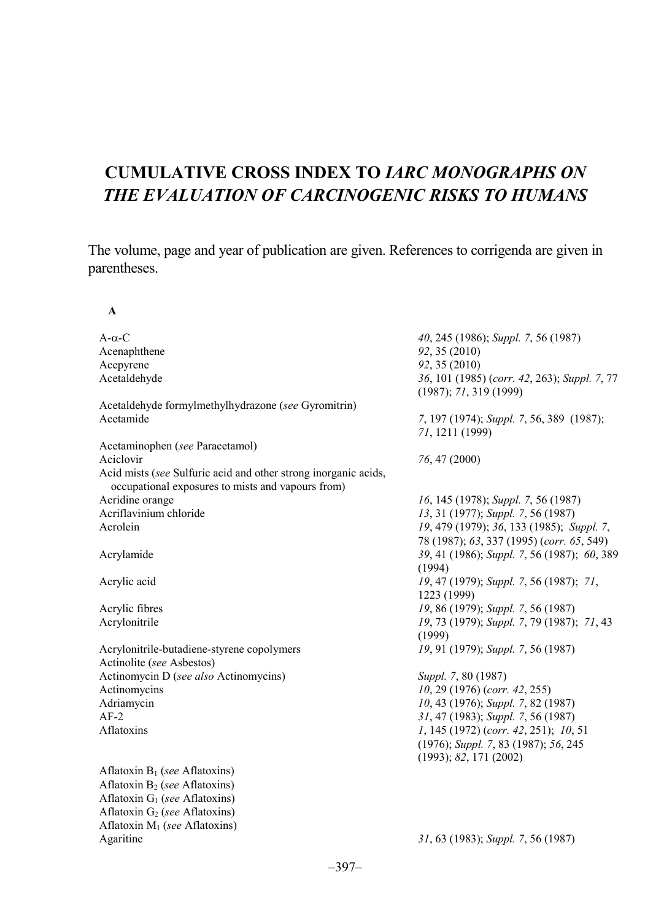# **CUMULATIVE CROSS INDEX TO** *IARC MONOGRAPHS ON THE EVALUATION OF CARCINOGENIC RISKS TO HUMANS*

The volume, page and year of publication are given. References to corrigenda are given in parentheses.

## **A**

Aflatoxin M1 (*see* Aflatoxins)

| $A-\alpha-C$                                                                                                         | 40, 245 (1986); Suppl. 7, 56 (1987)                                    |
|----------------------------------------------------------------------------------------------------------------------|------------------------------------------------------------------------|
| Acenaphthene                                                                                                         | 92, 35 (2010)                                                          |
| Acepyrene                                                                                                            | 92, 35 (2010)                                                          |
| Acetaldehyde                                                                                                         | 36, 101 (1985) (corr. 42, 263); Suppl. 7, 77<br>(1987); 71, 319 (1999) |
| Acetaldehyde formylmethylhydrazone (see Gyromitrin)                                                                  |                                                                        |
| Acetamide                                                                                                            | 7, 197 (1974); Suppl. 7, 56, 389 (1987);<br>71, 1211 (1999)            |
| Acetaminophen (see Paracetamol)                                                                                      |                                                                        |
| Aciclovir                                                                                                            | 76, 47 (2000)                                                          |
| Acid mists (see Sulfuric acid and other strong inorganic acids,<br>occupational exposures to mists and vapours from) |                                                                        |
| Acridine orange                                                                                                      | 16, 145 (1978); Suppl. 7, 56 (1987)                                    |
| Acriflavinium chloride                                                                                               | 13, 31 (1977); Suppl. 7, 56 (1987)                                     |
| Acrolein                                                                                                             | 19, 479 (1979); 36, 133 (1985); Suppl. 7,                              |
|                                                                                                                      | 78 (1987); 63, 337 (1995) (corr. 65, 549)                              |
| Acrylamide                                                                                                           | 39, 41 (1986); Suppl. 7, 56 (1987); 60, 389<br>(1994)                  |
| Acrylic acid                                                                                                         | 19, 47 (1979); Suppl. 7, 56 (1987); 71,<br>1223 (1999)                 |
| Acrylic fibres                                                                                                       | 19, 86 (1979); Suppl. 7, 56 (1987)                                     |
| Acrylonitrile                                                                                                        | 19, 73 (1979); Suppl. 7, 79 (1987); 71, 43                             |
|                                                                                                                      | (1999)                                                                 |
| Acrylonitrile-butadiene-styrene copolymers                                                                           | 19, 91 (1979); Suppl. 7, 56 (1987)                                     |
| Actinolite (see Asbestos)                                                                                            |                                                                        |
| Actinomycin D (see also Actinomycins)                                                                                | Suppl. 7, 80 (1987)                                                    |
| Actinomycins                                                                                                         | 10, 29 (1976) (corr. 42, 255)                                          |
| Adriamycin                                                                                                           | 10, 43 (1976); Suppl. 7, 82 (1987)                                     |
| $AF-2$                                                                                                               | 31, 47 (1983); Suppl. 7, 56 (1987)                                     |
| Aflatoxins                                                                                                           | $1, 145$ (1972) (corr. 42, 251); 10, 51                                |
|                                                                                                                      | $(1976)$ ; Suppl. 7, 83 $(1987)$ ; 56, 245                             |
|                                                                                                                      | (1993); 82, 171 (2002)                                                 |
| Aflatoxin $B_1$ (see Aflatoxins)                                                                                     |                                                                        |
| Aflatoxin $B_2$ (see Aflatoxins)                                                                                     |                                                                        |
| Aflatoxin $G_1$ (see Aflatoxins)                                                                                     |                                                                        |
| Aflatoxin $G_2$ (see Aflatoxins)                                                                                     |                                                                        |

Agaritine *31*, 63 (1983); *Suppl. 7*, 56 (1987)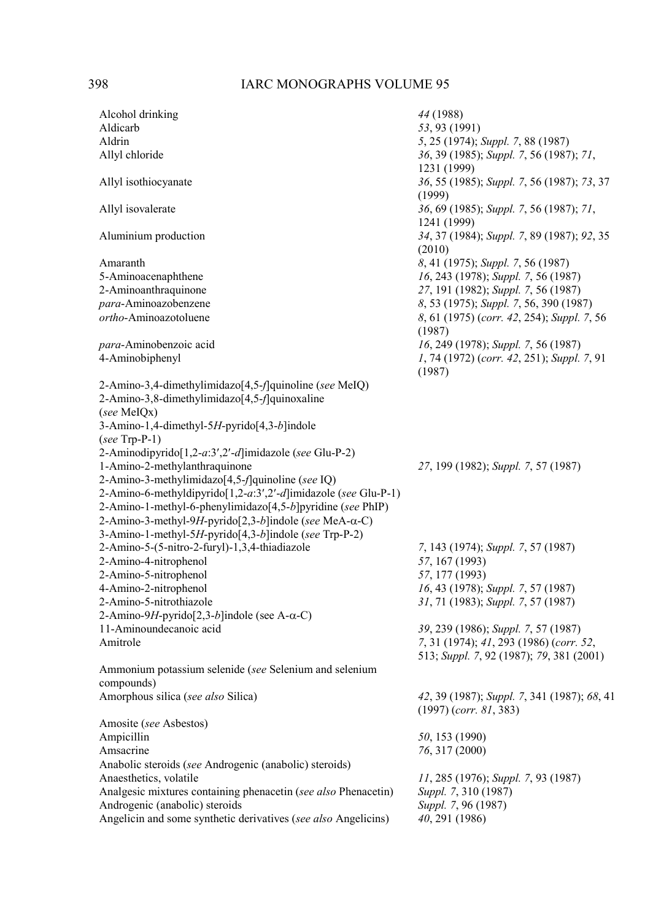| Alcohol drinking                                               | 44 (1988)                                                                           |
|----------------------------------------------------------------|-------------------------------------------------------------------------------------|
| Aldicarb                                                       | 53, 93 (1991)                                                                       |
| Aldrin                                                         | 5, 25 (1974); Suppl. 7, 88 (1987)                                                   |
| Allyl chloride                                                 | 36, 39 (1985); Suppl. 7, 56 (1987); 71,<br>1231 (1999)                              |
| Allyl isothiocyanate                                           | 36, 55 (1985); Suppl. 7, 56 (1987); 73, 37<br>(1999)                                |
| Allyl isovalerate                                              | 36, 69 (1985); Suppl. 7, 56 (1987); 71,<br>1241 (1999)                              |
| Aluminium production                                           | 34, 37 (1984); Suppl. 7, 89 (1987); 92, 35<br>(2010)                                |
| Amaranth                                                       | 8, 41 (1975); Suppl. 7, 56 (1987)                                                   |
| 5-Aminoacenaphthene                                            | 16, 243 (1978); Suppl. 7, 56 (1987)                                                 |
| 2-Aminoanthraquinone                                           | 27, 191 (1982); Suppl. 7, 56 (1987)                                                 |
| para-Aminoazobenzene                                           | 8, 53 (1975); Suppl. 7, 56, 390 (1987)                                              |
| ortho-Aminoazotoluene                                          | 8, 61 (1975) (corr. 42, 254); Suppl. 7, 56<br>(1987)                                |
| para-Aminobenzoic acid                                         | 16, 249 (1978); Suppl. 7, 56 (1987)                                                 |
| 4-Aminobiphenyl                                                | 1, 74 (1972) (corr. 42, 251); Suppl. 7, 91<br>(1987)                                |
| 2-Amino-3,4-dimethylimidazo[4,5-f]quinoline (see MeIQ)         |                                                                                     |
| 2-Amino-3,8-dimethylimidazo[4,5-f]quinoxaline                  |                                                                                     |
| (see MeIQx)                                                    |                                                                                     |
| 3-Amino-1,4-dimethyl-5H-pyrido[4,3-b]indole                    |                                                                                     |
| $(see$ Trp-P-1)                                                |                                                                                     |
| 2-Aminodipyrido[1,2-a:3',2'-d]imidazole (see Glu-P-2)          |                                                                                     |
| 1-Amino-2-methylanthraquinone                                  | 27, 199 (1982); Suppl. 7, 57 (1987)                                                 |
| 2-Amino-3-methylimidazo[4,5-f]quinoline (see IQ)               |                                                                                     |
| 2-Amino-6-methyldipyrido[1,2-a:3',2'-d]imidazole (see Glu-P-1) |                                                                                     |
| 2-Amino-1-methyl-6-phenylimidazo[4,5-b]pyridine (see PhIP)     |                                                                                     |
| 2-Amino-3-methyl-9H-pyrido[2,3-b]indole (see MeA-α-C)          |                                                                                     |
| 3-Amino-1-methyl-5H-pyrido[4,3-b]indole (see Trp-P-2)          |                                                                                     |
| 2-Amino-5-(5-nitro-2-furyl)-1,3,4-thiadiazole                  | 7, 143 (1974); Suppl. 7, 57 (1987)                                                  |
|                                                                | 57, 167 (1993)                                                                      |
| 2-Amino-4-nitrophenol<br>2-Amino-5-nitrophenol                 | 57, 177 (1993)                                                                      |
|                                                                |                                                                                     |
| 4-Amino-2-nitrophenol                                          | 16, 43 (1978); Suppl. 7, 57 (1987)                                                  |
| 2-Amino-5-nitrothiazole                                        | 31, 71 (1983); Suppl. 7, 57 (1987)                                                  |
| 2-Amino-9H-pyrido[2,3-b]indole (see A- $\alpha$ -C)            |                                                                                     |
| 11-Aminoundecanoic acid                                        | 39, 239 (1986); Suppl. 7, 57 (1987)                                                 |
| Amitrole                                                       | 7, 31 (1974); 41, 293 (1986) (corr. 52,<br>513; Suppl. 7, 92 (1987); 79, 381 (2001) |
| Ammonium potassium selenide (see Selenium and selenium         |                                                                                     |
| compounds)                                                     |                                                                                     |
| Amorphous silica (see also Silica)                             | 42, 39 (1987); Suppl. 7, 341 (1987); 68, 41<br>$(1997)$ (corr. 81, 383)             |
| Amosite (see Asbestos)                                         |                                                                                     |
| Ampicillin                                                     | 50, 153 (1990)                                                                      |
| Amsacrine                                                      | 76, 317 (2000)                                                                      |
| Anabolic steroids (see Androgenic (anabolic) steroids)         |                                                                                     |
| Anaesthetics, volatile                                         | 11, 285 (1976); Suppl. 7, 93 (1987)                                                 |
| Analgesic mixtures containing phenacetin (see also Phenacetin) | Suppl. 7, 310 (1987)                                                                |
| Androgenic (anabolic) steroids                                 | Suppl. 7, 96 (1987)                                                                 |
| Angelicin and some synthetic derivatives (see also Angelicins) | 40, 291 (1986)                                                                      |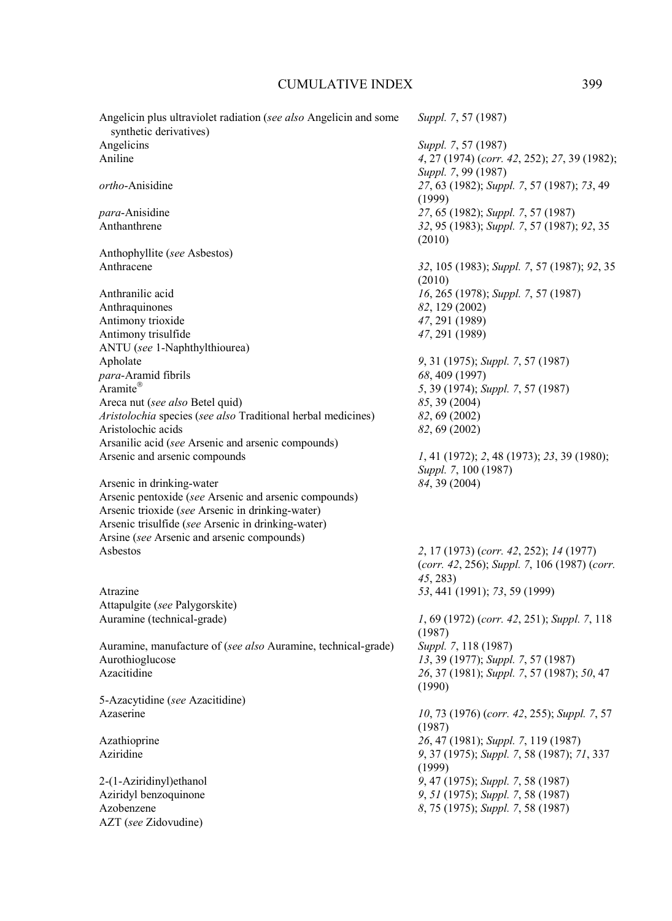| Angelicin plus ultraviolet radiation (see also Angelicin and some<br>synthetic derivatives) | Suppl. 7, 57 (1987)                          |
|---------------------------------------------------------------------------------------------|----------------------------------------------|
| Angelicins                                                                                  | Suppl. 7, 57 (1987)                          |
| Aniline                                                                                     | 4, 27 (1974) (corr. 42, 252); 27, 39 (1982); |
|                                                                                             |                                              |
|                                                                                             | Suppl. 7, 99 (1987)                          |
| ortho-Anisidine                                                                             | 27, 63 (1982); Suppl. 7, 57 (1987); 73, 49   |
|                                                                                             | (1999)                                       |
| <i>para</i> -Anisidine                                                                      | 27, 65 (1982); Suppl. 7, 57 (1987)           |
| Anthanthrene                                                                                | 32, 95 (1983); Suppl. 7, 57 (1987); 92, 35   |
|                                                                                             | (2010)                                       |
| Anthophyllite (see Asbestos)                                                                |                                              |
| Anthracene                                                                                  | 32, 105 (1983); Suppl. 7, 57 (1987); 92, 35  |
|                                                                                             | (2010)                                       |
|                                                                                             |                                              |
| Anthranilic acid                                                                            | 16, 265 (1978); Suppl. 7, 57 (1987)          |
| Anthraquinones                                                                              | 82, 129 (2002)                               |
| Antimony trioxide                                                                           | 47, 291 (1989)                               |
| Antimony trisulfide                                                                         | 47, 291 (1989)                               |
| ANTU (see 1-Naphthylthiourea)                                                               |                                              |
| Apholate                                                                                    | 9, 31 (1975); Suppl. 7, 57 (1987)            |
| para-Aramid fibrils                                                                         | 68, 409 (1997)                               |
| Aramite®                                                                                    | 5, 39 (1974); Suppl. 7, 57 (1987)            |
|                                                                                             |                                              |
| Areca nut (see also Betel quid)                                                             | 85, 39 (2004)                                |
| Aristolochia species (see also Traditional herbal medicines)                                | 82, 69 (2002)                                |
| Aristolochic acids                                                                          | 82, 69 (2002)                                |
| Arsanilic acid (see Arsenic and arsenic compounds)                                          |                                              |
| Arsenic and arsenic compounds                                                               | 1, 41 (1972); 2, 48 (1973); 23, 39 (1980);   |
|                                                                                             | Suppl. 7, 100 (1987)                         |
| Arsenic in drinking-water                                                                   | 84, 39 (2004)                                |
| Arsenic pentoxide (see Arsenic and arsenic compounds)                                       |                                              |
|                                                                                             |                                              |
| Arsenic trioxide (see Arsenic in drinking-water)                                            |                                              |
| Arsenic trisulfide (see Arsenic in drinking-water)                                          |                                              |
| Arsine (see Arsenic and arsenic compounds)                                                  |                                              |
| Asbestos                                                                                    | 2, 17 (1973) (corr. 42, 252); 14 (1977)      |
|                                                                                             | (corr. 42, 256); Suppl. 7, 106 (1987) (corr. |
|                                                                                             | 45, 283)                                     |
| Atrazine                                                                                    | 53, 441 (1991); 73, 59 (1999)                |
| Attapulgite (see Palygorskite)                                                              |                                              |
|                                                                                             |                                              |
| Auramine (technical-grade)                                                                  | 1, 69 (1972) (corr. 42, 251); Suppl. 7, 118  |
|                                                                                             | (1987)                                       |
| Auramine, manufacture of (see also Auramine, technical-grade)                               | Suppl. 7, 118 (1987)                         |
| Aurothioglucose                                                                             | 13, 39 (1977); Suppl. 7, 57 (1987)           |
| Azacitidine                                                                                 | 26, 37 (1981); Suppl. 7, 57 (1987); 50, 47   |
|                                                                                             | (1990)                                       |
| 5-Azacytidine (see Azacitidine)                                                             |                                              |
| Azaserine                                                                                   | 10, 73 (1976) (corr. 42, 255); Suppl. 7, 57  |
|                                                                                             |                                              |
|                                                                                             | (1987)                                       |
| Azathioprine                                                                                | 26, 47 (1981); Suppl. 7, 119 (1987)          |
| Aziridine                                                                                   | 9, 37 (1975); Suppl. 7, 58 (1987); 71, 337   |
|                                                                                             | (1999)                                       |
| 2-(1-Aziridinyl) ethanol                                                                    | 9, 47 (1975); Suppl. 7, 58 (1987)            |
| Aziridyl benzoquinone                                                                       | 9, 51 (1975); Suppl. 7, 58 (1987)            |
| Azobenzene                                                                                  | 8, 75 (1975); Suppl. 7, 58 (1987)            |
| AZT (see Zidovudine)                                                                        |                                              |
|                                                                                             |                                              |
|                                                                                             |                                              |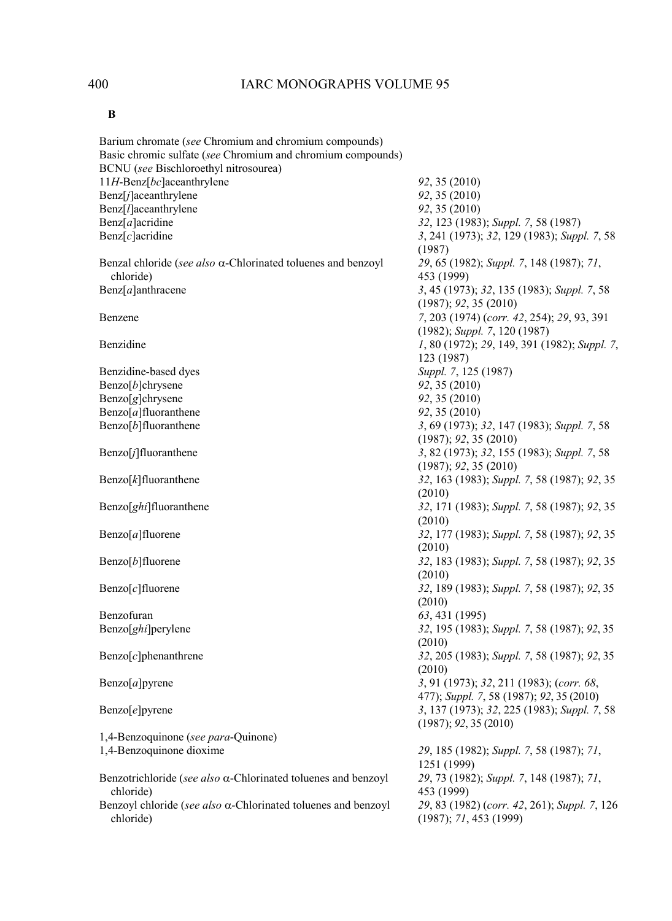| I<br>۰. |
|---------|
|---------|

| Barium chromate (see Chromium and chromium compounds)                             |                                                                                 |
|-----------------------------------------------------------------------------------|---------------------------------------------------------------------------------|
| Basic chromic sulfate (see Chromium and chromium compounds)                       |                                                                                 |
| BCNU (see Bischloroethyl nitrosourea)                                             |                                                                                 |
| 11H-Benz[bc]aceanthrylene                                                         | 92, 35 (2010)                                                                   |
| Benz[j]aceanthrylene                                                              | 92, 35 (2010)                                                                   |
| Benz[ <i>l</i> ]aceanthrylene                                                     | 92, 35 (2010)                                                                   |
| Benz[a]acridine                                                                   | 32, 123 (1983); Suppl. 7, 58 (1987)                                             |
| Benz[c]acridine                                                                   | 3, 241 (1973); 32, 129 (1983); Suppl. 7, 58                                     |
|                                                                                   | (1987)                                                                          |
| Benzal chloride (see also $\alpha$ -Chlorinated toluenes and benzoyl<br>chloride) | 29, 65 (1982); Suppl. 7, 148 (1987); 71,<br>453 (1999)                          |
| Benz[a]anthracene                                                                 | 3, 45 (1973); 32, 135 (1983); Suppl. 7, 58                                      |
|                                                                                   | (1987); 92, 35(2010)                                                            |
| Benzene                                                                           | 7, 203 (1974) (corr. 42, 254); 29, 93, 391<br>$(1982)$ ; Suppl. 7, 120 $(1987)$ |
| Benzidine                                                                         | 1, 80 (1972); 29, 149, 391 (1982); Suppl. 7,                                    |
|                                                                                   | 123 (1987)                                                                      |
| Benzidine-based dyes                                                              | Suppl. 7, 125 (1987)                                                            |
| Benzo[b]chrysene                                                                  | 92, 35 (2010)                                                                   |
| $\text{Benzo}[g]$ chrysene                                                        | 92, 35 (2010)                                                                   |
| $\text{Benzo}[a]$ fluoranthene                                                    | 92, 35 (2010)                                                                   |
| Benzo[b]fluoranthene                                                              | 3, 69 (1973); 32, 147 (1983); Suppl. 7, 58                                      |
|                                                                                   | (1987); 92, 35(2010)                                                            |
| Benzo[j]fluoranthene                                                              | 3, 82 (1973); 32, 155 (1983); Suppl. 7, 58                                      |
|                                                                                   | (1987); 92, 35(2010)                                                            |
| $\text{Benzo}[k]$ fluoranthene                                                    | 32, 163 (1983); Suppl. 7, 58 (1987); 92, 35                                     |
|                                                                                   | (2010)                                                                          |
|                                                                                   |                                                                                 |
| Benzo[ghi]fluoranthene                                                            | 32, 171 (1983); Suppl. 7, 58 (1987); 92, 35                                     |
|                                                                                   | (2010)                                                                          |
| Benzo[a]fluorene                                                                  | 32, 177 (1983); Suppl. 7, 58 (1987); 92, 35                                     |
|                                                                                   | (2010)                                                                          |
| Benzo[ <i>b</i> ]fluorene                                                         | 32, 183 (1983); Suppl. 7, 58 (1987); 92, 35                                     |
|                                                                                   | (2010)                                                                          |
| $\text{Benzo}[c]$ fluorene                                                        | 32, 189 (1983); Suppl. 7, 58 (1987); 92, 35                                     |
|                                                                                   | (2010)                                                                          |
| Benzofuran                                                                        | 63, 431 (1995)                                                                  |
| Benzo[ <i>ghi</i> ]perylene                                                       | 32, 195 (1983); Suppl. 7, 58 (1987); 92, 35                                     |
|                                                                                   | (2010)                                                                          |
| $\text{Benzo}[c]$ phenanthrene                                                    | 32, 205 (1983); Suppl. 7, 58 (1987); 92, 35                                     |
|                                                                                   | (2010)                                                                          |
|                                                                                   |                                                                                 |
| $\text{Benzo}[a]$ pyrene                                                          | 3, 91 (1973); 32, 211 (1983); (corr. 68,                                        |
|                                                                                   | 477); Suppl. 7, 58 (1987); 92, 35 (2010)                                        |
| Benzo[e]pyrene                                                                    | 3, 137 (1973); 32, 225 (1983); Suppl. 7, 58                                     |
|                                                                                   | (1987); 92, 35(2010)                                                            |
| 1,4-Benzoquinone (see para-Quinone)                                               |                                                                                 |
| 1,4-Benzoquinone dioxime                                                          | 29, 185 (1982); Suppl. 7, 58 (1987); 71,                                        |
|                                                                                   | 1251 (1999)                                                                     |
| Benzotrichloride (see also α-Chlorinated toluenes and benzoyl                     | 29, 73 (1982); Suppl. 7, 148 (1987); 71,                                        |
| chloride)                                                                         | 453 (1999)                                                                      |
| Benzoyl chloride (see also $\alpha$ -Chlorinated toluenes and benzoyl             | 29, 83 (1982) (corr. 42, 261); Suppl. 7, 126                                    |
| chloride)                                                                         | (1987); 71, 453 (1999)                                                          |
|                                                                                   |                                                                                 |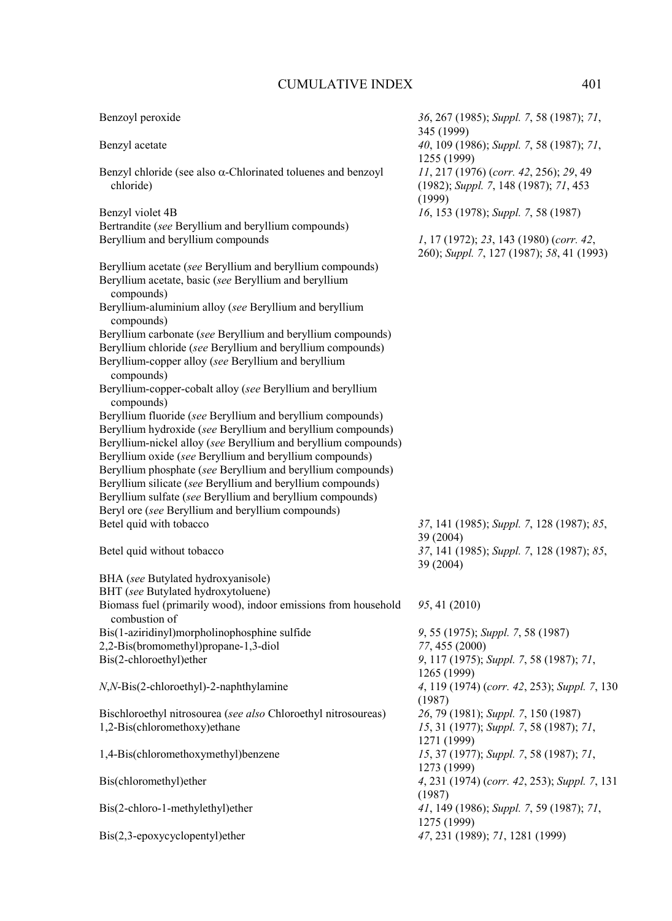Bertrandite (*see* Beryllium and beryllium compounds)

Beryllium and beryllium compounds

| CUMULATIVE INDEA                                                     | 4V L                                                    |
|----------------------------------------------------------------------|---------------------------------------------------------|
| Benzoyl peroxide                                                     | 36, 267 (1985); Suppl. 7, 58 (1987); 71,                |
|                                                                      | 345 (1999)                                              |
| Benzyl acetate                                                       | 40, 109 (1986); Suppl. 7, 58 (1987); 71,<br>1255 (1999) |
| Benzyl chloride (see also $\alpha$ -Chlorinated toluenes and benzoyl | $11, 217$ (1976) (corr. 42, 256); 29, 49                |
| chloride)                                                            | $(1982)$ ; Suppl. 7, 148 $(1987)$ ; 71, 453             |
|                                                                      | 1000/                                                   |

|                  | $\cdots$                            |
|------------------|-------------------------------------|
| Benzyl violet 4B | 16, 153 (1978); Suppl. 7, 58 (1987) |

(1999)

| 1, 17 (1972); 23, 143 (1980) (corr. 42,   |  |  |
|-------------------------------------------|--|--|
| 260); Suppl. 7, 127 (1987); 58, 41 (1993) |  |  |

Beryllium acetate (*see* Beryllium and beryllium compounds) Beryllium acetate, basic (*see* Beryllium and beryllium compounds) Beryllium-aluminium alloy (*see* Beryllium and beryllium compounds) Beryllium carbonate (*see* Beryllium and beryllium compounds) Beryllium chloride (*see* Beryllium and beryllium compounds) Beryllium-copper alloy (*see* Beryllium and beryllium compounds) Beryllium-copper-cobalt alloy (*see* Beryllium and beryllium compounds) Beryllium fluoride (*see* Beryllium and beryllium compounds) Beryllium hydroxide (*see* Beryllium and beryllium compounds) Beryllium-nickel alloy (*see* Beryllium and beryllium compounds) Beryllium oxide (*see* Beryllium and beryllium compounds) Beryllium phosphate (*see* Beryllium and beryllium compounds) Beryllium silicate (*see* Beryllium and beryllium compounds) Beryllium sulfate (*see* Beryllium and beryllium compounds) Beryl ore (*see* Beryllium and beryllium compounds) Betel quid with tobacco *37*, 141 (1985); *Suppl. 7*, 128 (1987); *85*, 39 (2004) Betel quid without tobacco *37*, 141 (1985); *Suppl. 7*, 128 (1987); *85*, 39 (2004) BHA (*see* Butylated hydroxyanisole) BHT (*see* Butylated hydroxytoluene) Biomass fuel (primarily wood), indoor emissions from household combustion of *95*, 41 (2010) Bis(1-aziridinyl)morpholinophosphine sulfide *9*, 55 (1975); *Suppl. 7*, 58 (1987) 2,2-Bis(bromomethyl)propane-1,3-diol *77*, 455 (2000) Bis(2-chloroethyl)ether *9*, 117 (1975); *Suppl. 7*, 58 (1987); *71*, 1265 (1999) *N*,*N*-Bis(2-chloroethyl)-2-naphthylamine *4*, 119 (1974) (*corr. 42*, 253); *Suppl. 7*, 130 (1987) Bischloroethyl nitrosourea (*see also* Chloroethyl nitrosoureas) *26*, 79 (1981); *Suppl. 7*, 150 (1987) 1,2-Bis(chloromethoxy)ethane *15*, 31 (1977); *Suppl. 7*, 58 (1987); *71*, 1271 (1999) 1,4-Bis(chloromethoxymethyl)benzene *15*, 37 (1977); *Suppl. 7*, 58 (1987); *71*, 1273 (1999) Bis(chloromethyl)ether *4*, 231 (1974) (*corr. 42*, 253); *Suppl. 7*, 131 (1987) Bis(2-chloro-1-methylethyl)ether *41*, 149 (1986); *Suppl. 7*, 59 (1987); *71*, 1275 (1999)

Bis(2,3-epoxycyclopentyl)ether *47*, 231 (1989); *71*, 1281 (1999)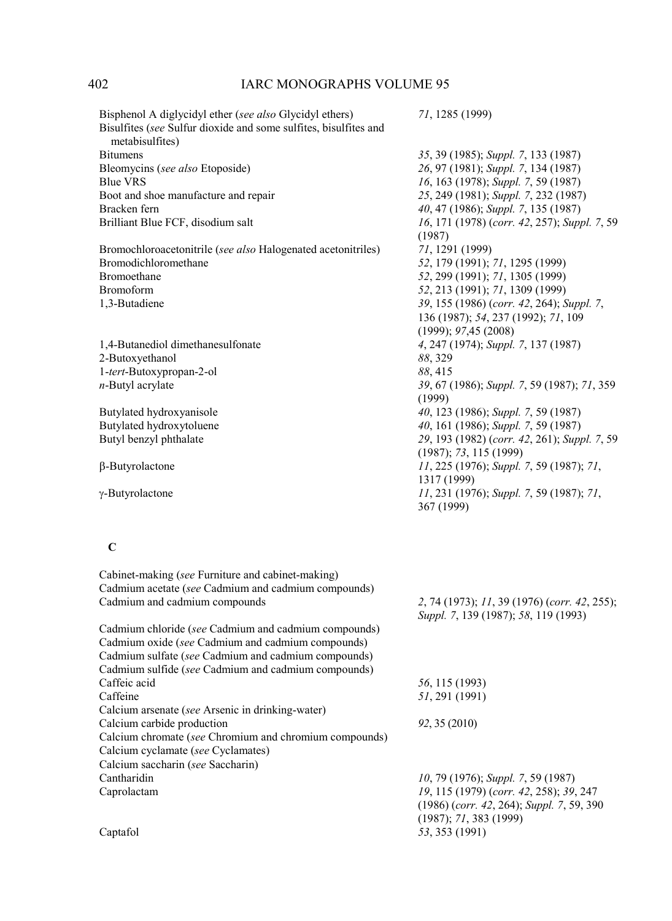Bisphenol A diglycidyl ether (*see also* Glycidyl ethers) *71*, 1285 (1999) Bisulfites (*see* Sulfur dioxide and some sulfites, bisulfites and metabisulfites) Bitumens *35*, 39 (1985); *Suppl. 7*, 133 (1987) Bleomycins (*see also* Etoposide) *26*, 97 (1981); *Suppl. 7*, 134 (1987) Blue VRS *16*, 163 (1978); *Suppl. 7*, 59 (1987) Boot and shoe manufacture and repair *25*, 249 (1981); *Suppl. 7*, 232 (1987) Bracken fern *40, 47 (1986); Suppl. 7, 135 (1987)*<br>Brilliant Blue FCF, disodium salt *16, 171 (1978) (corr. 42, 257); Supp* Brilliant Blue FCF, disodium salt *16*, 171 (1978) (*corr. 42*, 257); *Suppl. 7*, 59 (1987) Bromochloroacetonitrile (*see also* Halogenated acetonitriles) *71*, 1291 (1999) Bromodichloromethane *52*, 179 (1991); *71*, 1295 (1999) Bromoethane *52*, 299 (1991); *71*, 1305 (1999) Bromoform *52*, 213 (1991); *71*, 1309 (1999) 1,3-Butadiene *39*, 155 (1986) (*corr. 42*, 264); *Suppl. 7*, 136 (1987); *54*, 237 (1992); *71*, 109 (1999); *97*,45 (2008) 1,4-Butanediol dimethanesulfonate *4*, 247 (1974); *Suppl. 7*, 137 (1987) 2-Butoxyethanol *88*, 329 1-*tert*-Butoxypropan-2-ol *88*, 415 *n*-Butyl acrylate *39*, 67 (1986); *Suppl. 7*, 59 (1987); *71*, 359 (1999) Butylated hydroxyanisole *40*, 123 (1986); *Suppl. 7*, 59 (1987) Butylated hydroxytoluene *40*, 161 (1986); *Suppl. 7*, 59 (1987) Butyl benzyl phthalate *29*, 193 (1982) (*corr. 42*, 261); *Suppl. 7*, 59 (1987); *73*, 115 (1999) β-Butyrolactone *11*, 225 (1976); *Suppl. 7*, 59 (1987); *71*, 1317 (1999) γ-Butyrolactone *11*, 231 (1976); *Suppl. 7*, 59 (1987); *71*, 367 (1999)  **C**  Cabinet-making (*see* Furniture and cabinet-making) Cadmium acetate (*see* Cadmium and cadmium compounds) Cadmium and cadmium compounds *2*, 74 (1973); *11*, 39 (1976) (*corr. 42*, 255); *Suppl. 7*, 139 (1987); *58*, 119 (1993) Cadmium chloride (*see* Cadmium and cadmium compounds) Cadmium oxide (*see* Cadmium and cadmium compounds) Cadmium sulfate (*see* Cadmium and cadmium compounds) Cadmium sulfide (*see* Cadmium and cadmium compounds) Caffeic acid *56*, 115 (1993) Caffeine *51*, 291 (1991) Calcium arsenate (*see* Arsenic in drinking-water) Calcium carbide production *92*, 35 (2010) Calcium chromate (*see* Chromium and chromium compounds) Calcium cyclamate (*see* Cyclamates) Calcium saccharin (*see* Saccharin) Cantharidin *10*, 79 (1976); *Suppl. 7*, 59 (1987) Caprolactam *19*, 115 (1979) (*corr. 42*, 258); *39*, 247 (1986) (*corr. 42*, 264); *Suppl. 7*, 59, 390 (1987); *71*, 383 (1999) Captafol *53*, 353 (1991)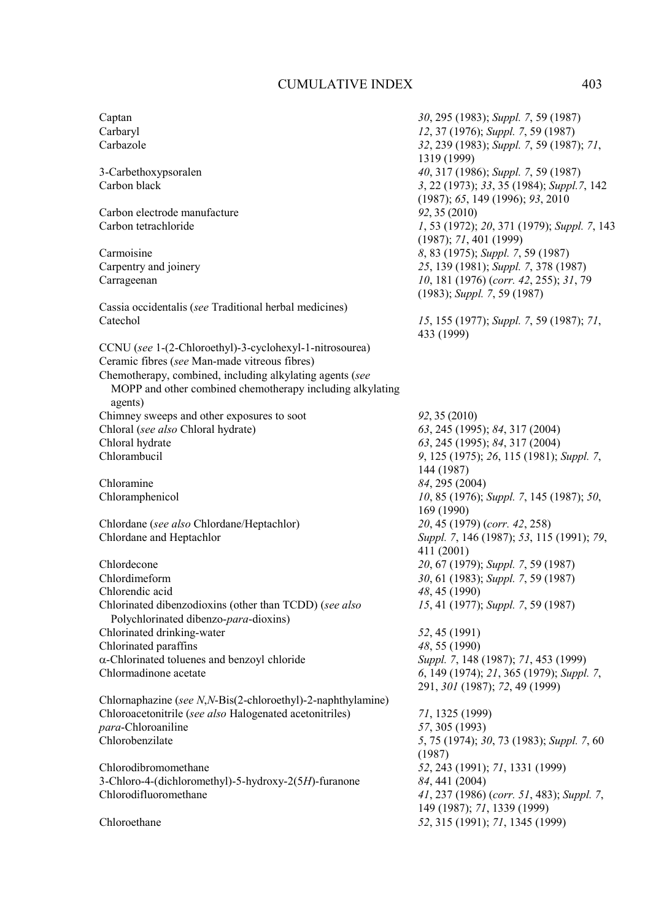Carbon electrode manufacture *92*, 35 (2010)<br>Carbon tetrachloride *1* 53 (1972)

Cassia occidentalis (*see* Traditional herbal medicines)

CCNU (*see* 1-(2-Chloroethyl)-3-cyclohexyl-1-nitrosourea) Ceramic fibres (*see* Man-made vitreous fibres) Chemotherapy, combined, including alkylating agents (*see* MOPP and other combined chemotherapy including alkylating agents) Chimney sweeps and other exposures to soot *92*, 35 (2010) Chloral (*see also* Chloral hydrate) *63*, 245 (1995); *84*, 317 (2004) Chloral hydrate *63*, 245 (1995); *84*, 317 (2004)

Chloramine *84*, 295 (2004)

Chlordane (*see also* Chlordane/Heptachlor) Chlordane and Heptachlor *Suppl. 7*, 146 (1987); *53*, 115 (1991); *79*,

Chlordecone 20, 67 (1979); *Suppl. 7*, 59 (1987)<br>
Chlordimeform 30 61 (1983): *Suppl. 7*, 59 (1987) Chlorendic acid *48*, 45 (1990) Chlorinated dibenzodioxins (other than TCDD) (*see also*  Polychlorinated dibenzo-*para*-dioxins) Chlorinated drinking-water *52*, 45 (1991) Chlorinated paraffins *48*, 55 (1990) α-Chlorinated toluenes and benzoyl chloride *Suppl. 7*, 148 (1987); *71*, 453 (1999)

Chlornaphazine (*see N*,*N*-Bis(2-chloroethyl)-2-naphthylamine) Chloroacetonitrile (*see also* Halogenated acetonitriles) *71*, 1325 (1999) *para*-Chloroaniline *57*, 305 (1993) Chlorobenzilate *5*, 75 (1974); *30*, 73 (1983); *Suppl. 7*, 60

Chlorodibromomethane *52*, 243 (1991); *71*, 1331 (1999) 3-Chloro-4-(dichloromethyl)-5-hydroxy-2(5*H*)-furanone *84*, 441 (2004) Chlorodifluoromethane *41*, 237 (1986) (*corr. 51*, 483); *Suppl. 7*,

Captan *30*, 295 (1983); *Suppl. 7*, 59 (1987) Carbaryl *12*, 37 (1976); *Suppl. 7*, 59 (1987) Carbazole *32*, 239 (1983); *Suppl. 7*, 59 (1987); *71*, 1319 (1999) 3-Carbethoxypsoralen *40*, 317 (1986); *Suppl. 7*, 59 (1987) Carbon black *3*, 22 (1973); *33*, 35 (1984); *Suppl.7*, 142 (1987); *65*, 149 (1996); *93*, 2010 Carbon tetrachloride *1*, 53 (1972); *20*, 371 (1979); *Suppl. 7*, 143 (1987); *71*, 401 (1999) Carmoisine *8*, 83 (1975); *Suppl. 7*, 59 (1987)<br>Carpentry and joinery 25, 139 (1981); *Suppl. 7*, 378 (19 25, 139 (1981); *Suppl.* 7, 378 (1987) Carrageenan *10*, 181 (1976) (*corr. 42*, 255); *31*, 79 (1983); *Suppl. 7*, 59 (1987) Catechol *15*, 155 (1977); *Suppl. 7*, 59 (1987); *71*, 433 (1999) Chlorambucil *9*, 125 (1975); *26*, 115 (1981); *Suppl. 7*, 144 (1987) Chloramphenicol *10*, 85 (1976); *Suppl. 7*, 145 (1987); *50*, 169 (1990)<br>20, 45 (1979) (corr. 42, 258) 411 (2001) 30, 61 (1983); *Suppl.* 7, 59 (1987) *15*, 41 (1977); *Suppl. 7*, 59 (1987) Chlormadinone acetate *6*, 149 (1974); *21*, 365 (1979); *Suppl. 7*, 291, *301* (1987); *72*, 49 (1999) (1987) 149 (1987); *71*, 1339 (1999) Chloroethane *52*, 315 (1991); *71*, 1345 (1999)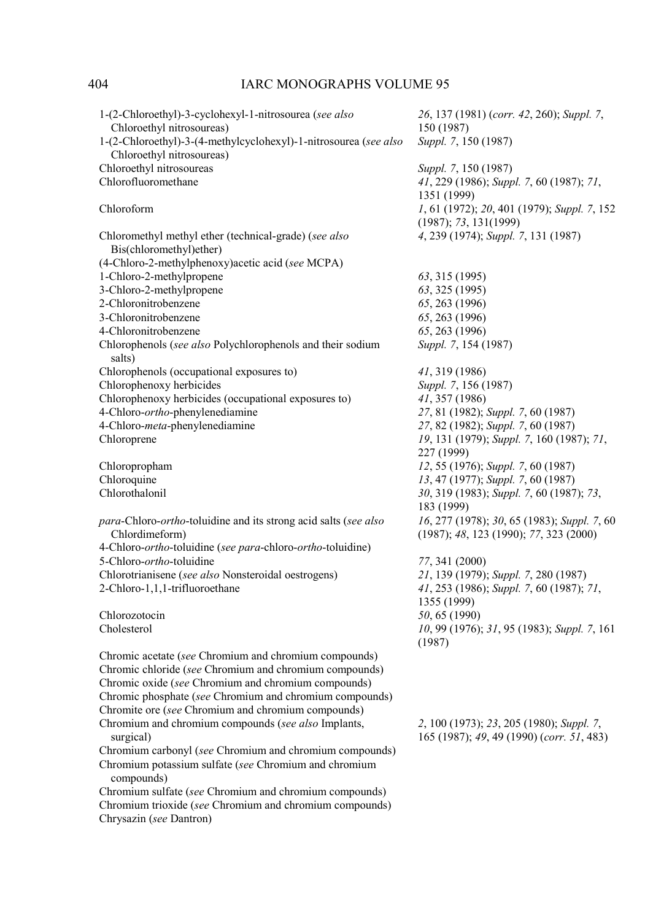| 1-(2-Chloroethyl)-3-cyclohexyl-1-nitrosourea (see also<br>Chloroethyl nitrosoureas)<br>1-(2-Chloroethyl)-3-(4-methylcyclohexyl)-1-nitrosourea (see also | 26, 137 (1981) (corr. 42, 260); Suppl. 7,<br>150 (1987)<br>Suppl. 7, 150 (1987)         |
|---------------------------------------------------------------------------------------------------------------------------------------------------------|-----------------------------------------------------------------------------------------|
| Chloroethyl nitrosoureas)                                                                                                                               |                                                                                         |
| Chloroethyl nitrosoureas                                                                                                                                | Suppl. 7, 150 (1987)                                                                    |
| Chlorofluoromethane                                                                                                                                     | 41, 229 (1986); Suppl. 7, 60 (1987); 71,                                                |
|                                                                                                                                                         | 1351 (1999)                                                                             |
| Chloroform                                                                                                                                              | 1, 61 (1972); 20, 401 (1979); Suppl. 7, 152                                             |
|                                                                                                                                                         | (1987); 73, 131(1999)                                                                   |
| Chloromethyl methyl ether (technical-grade) (see also<br>Bis(chloromethyl)ether)                                                                        | 4, 239 (1974); Suppl. 7, 131 (1987)                                                     |
| (4-Chloro-2-methylphenoxy) acetic acid (see MCPA)                                                                                                       |                                                                                         |
| 1-Chloro-2-methylpropene                                                                                                                                | 63, 315 (1995)                                                                          |
| 3-Chloro-2-methylpropene                                                                                                                                | 63, 325 (1995)                                                                          |
| 2-Chloronitrobenzene                                                                                                                                    | 65, 263 (1996)                                                                          |
| 3-Chloronitrobenzene                                                                                                                                    | 65, 263 (1996)                                                                          |
|                                                                                                                                                         |                                                                                         |
| 4-Chloronitrobenzene                                                                                                                                    | 65, 263 (1996)                                                                          |
| Chlorophenols (see also Polychlorophenols and their sodium                                                                                              | Suppl. 7, 154 (1987)                                                                    |
| salts)                                                                                                                                                  |                                                                                         |
| Chlorophenols (occupational exposures to)                                                                                                               | 41, 319 (1986)                                                                          |
| Chlorophenoxy herbicides                                                                                                                                | Suppl. 7, 156 (1987)                                                                    |
| Chlorophenoxy herbicides (occupational exposures to)                                                                                                    | 41, 357 (1986)                                                                          |
| 4-Chloro-ortho-phenylenediamine                                                                                                                         | 27, 81 (1982); Suppl. 7, 60 (1987)                                                      |
| 4-Chloro-meta-phenylenediamine                                                                                                                          | 27, 82 (1982); Suppl. 7, 60 (1987)                                                      |
| Chloroprene                                                                                                                                             | 19, 131 (1979); Suppl. 7, 160 (1987); 71,                                               |
|                                                                                                                                                         | 227 (1999)                                                                              |
| Chloropropham                                                                                                                                           | 12, 55 (1976); Suppl. 7, 60 (1987)                                                      |
| Chloroquine                                                                                                                                             | 13, 47 (1977); Suppl. 7, 60 (1987)                                                      |
| Chlorothalonil                                                                                                                                          | 30, 319 (1983); Suppl. 7, 60 (1987); 73,                                                |
|                                                                                                                                                         | 183 (1999)                                                                              |
| para-Chloro-ortho-toluidine and its strong acid salts (see also<br>Chlordimeform)                                                                       | 16, 277 (1978); 30, 65 (1983); Suppl. 7, 60<br>$(1987); 48, 123 (1990); 77, 323 (2000)$ |
| 4-Chloro-ortho-toluidine (see para-chloro-ortho-toluidine)                                                                                              |                                                                                         |
| 5-Chloro-ortho-toluidine                                                                                                                                |                                                                                         |
|                                                                                                                                                         | 77, 341 (2000)                                                                          |
| Chlorotrianisene (see also Nonsteroidal oestrogens)                                                                                                     | 21, 139 (1979); Suppl. 7, 280 (1987)                                                    |
| 2-Chloro-1,1,1-trifluoroethane                                                                                                                          | 41, 253 (1986); Suppl. 7, 60 (1987); 71,                                                |
|                                                                                                                                                         | 1355 (1999)                                                                             |
| Chlorozotocin                                                                                                                                           | 50, 65 (1990)                                                                           |
| Cholesterol                                                                                                                                             | 10, 99 (1976); 31, 95 (1983); Suppl. 7, 161                                             |
|                                                                                                                                                         | (1987)                                                                                  |
| Chromic acetate (see Chromium and chromium compounds)                                                                                                   |                                                                                         |
| Chromic chloride (see Chromium and chromium compounds)                                                                                                  |                                                                                         |
| Chromic oxide (see Chromium and chromium compounds)                                                                                                     |                                                                                         |
| Chromic phosphate (see Chromium and chromium compounds)                                                                                                 |                                                                                         |
| Chromite ore (see Chromium and chromium compounds)                                                                                                      |                                                                                         |
|                                                                                                                                                         |                                                                                         |
| Chromium and chromium compounds (see also Implants,<br>surgical)                                                                                        | 2, 100 (1973); 23, 205 (1980); Suppl. 7,<br>165 (1987); 49, 49 (1990) (corr. 51, 483)   |
| Chromium carbonyl (see Chromium and chromium compounds)                                                                                                 |                                                                                         |
| Chromium potassium sulfate (see Chromium and chromium<br>compounds)                                                                                     |                                                                                         |
| Chromium sulfate (see Chromium and chromium compounds)                                                                                                  |                                                                                         |
| Chromium trioxide (see Chromium and chromium compounds)                                                                                                 |                                                                                         |
| Chrysazin (see Dantron)                                                                                                                                 |                                                                                         |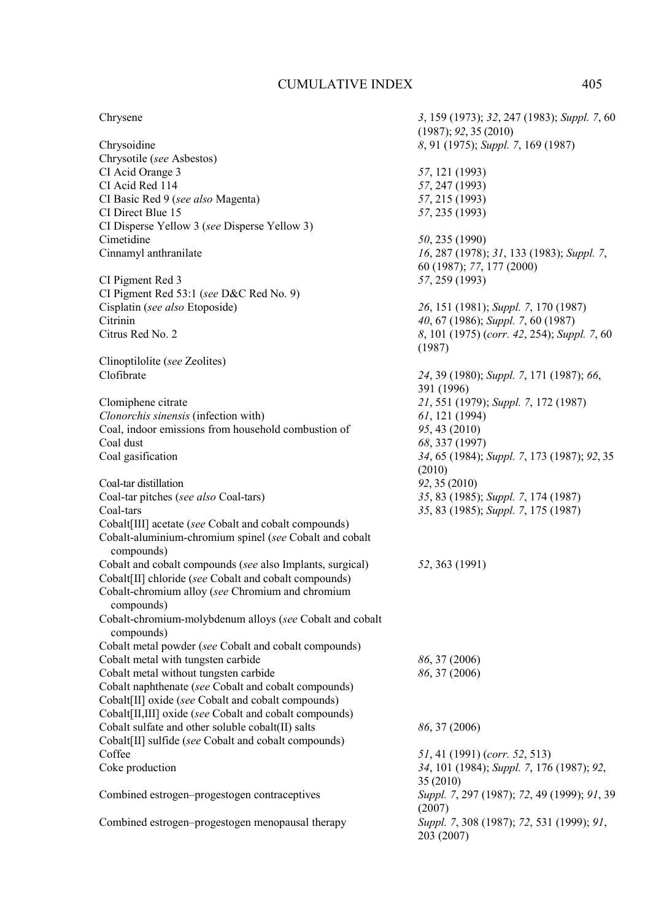### Chrysene *3*, 159 (1973); *32*, 247 (1983); *Suppl. 7*, 60

Chrysoidine *8*, 91 (1975); *Suppl. 7*, 169 (1987) Chrysotile (*see* Asbestos) CI Acid Orange 3 *57*, 121 (1993)<br>CI Acid Red 114 57 247 (1993) CI Basic Red 9 (*see also* Magenta) *57*, 215 (1993) CI Direct Blue 15 *57*, 235 (1993) CI Disperse Yellow 3 (*see* Disperse Yellow 3) Cimetidine *50*, 235 (1990) Cinnamyl anthranilate *16*, 287 (1978); *31*, 133 (1983); *Suppl. 7*,

CI Pigment Red 3 *57*, 259 (1993) CI Pigment Red 53:1 (*see* D&C Red No. 9) Cisplatin (*see also* Etoposide) *26*, 151 (1981); *Suppl. 7*, 170 (1987) Citrus Red No. 2 *8*, 101 (1975) (*corr. 42*, 254); *Suppl. 7*, 60

Clinoptilolite (*see* Zeolites)

*Clonorchis sinensis* (infection with) *61*, 121 (1994) Coal, indoor emissions from household combustion of *95*, 43 (2010) Coal dust *68*, 337 (1997)

Coal-tar distillation *92*, 35 (2010)<br>
Coal-tar pitches (*see also* Coal-tars) 35, 83 (1985); *Suppl.* 7, 174 (1987) Coal-tar pitches (*see also* Coal-tars) Coal-tars *35*, 83 (1985); *Suppl. 7*, 175 (1987) Cobalt[III] acetate (*see* Cobalt and cobalt compounds) Cobalt-aluminium-chromium spinel (*see* Cobalt and cobalt compounds) Cobalt and cobalt compounds (*see* also Implants, surgical) *52*, 363 (1991) Cobalt[II] chloride (*see* Cobalt and cobalt compounds) Cobalt-chromium alloy (*see* Chromium and chromium compounds) Cobalt-chromium-molybdenum alloys (*see* Cobalt and cobalt compounds) Cobalt metal powder (*see* Cobalt and cobalt compounds) Cobalt metal with tungsten carbide *86*, 37 (2006) Cobalt metal without tungsten carbide *86*, 37 (2006) Cobalt naphthenate (*see* Cobalt and cobalt compounds) Cobalt[II] oxide (*see* Cobalt and cobalt compounds) Cobalt[II,III] oxide (*see* Cobalt and cobalt compounds) Cobalt sulfate and other soluble cobalt(II) salts *86*, 37 (2006) Cobalt[II] sulfide (*see* Cobalt and cobalt compounds) Coffee *51*, 41 (1991) (*corr. 52*, 513)

Clofibrate *24*, 39 (1980); *Suppl. 7*, 171 (1987); *66*, 391 (1996) Clomiphene citrate *21*, 551 (1979); *Suppl. 7*, 172 (1987) Coal gasification *34*, 65 (1984); *Suppl. 7*, 173 (1987); *92*, 35  $(2010)$ <br> $92, 35(2010)$ Coke production *34*, 101 (1984); *Suppl. 7*, 176 (1987); *92*, 35 (2010) Combined estrogen–progestogen contraceptives *Suppl. 7*, 297 (1987); *72*, 49 (1999); *91*, 39 (2007) Combined estrogen–progestogen menopausal therapy *Suppl. 7*, 308 (1987); *72*, 531 (1999); *91*, 203 (2007)

(1987); *92*, 35 (2010)

60 (1987); *77*, 177 (2000)

Citrinin *40*, 67 (1986); *Suppl. 7*, 60 (1987)

57, 247 (1993)

(1987)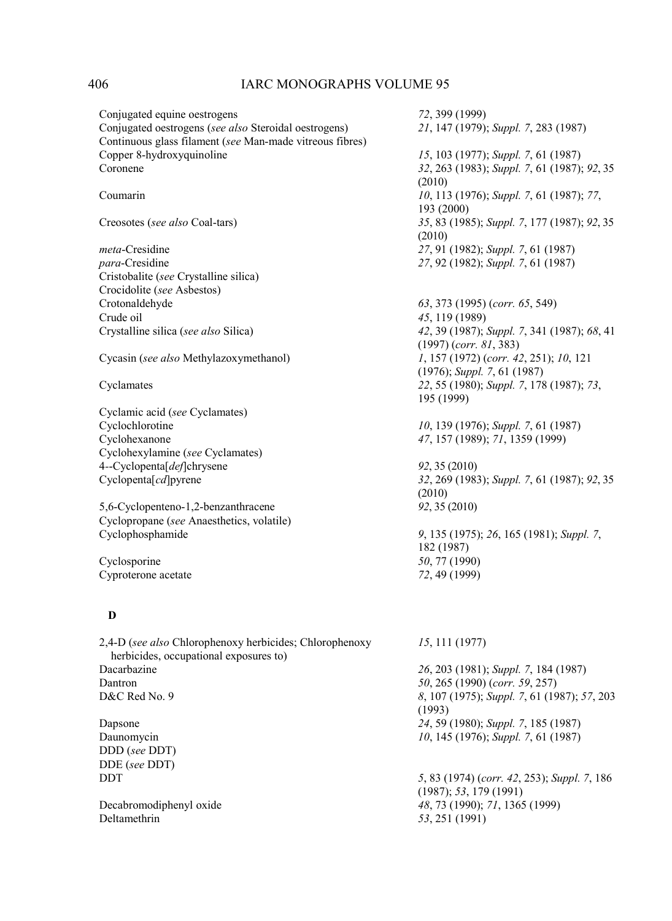Conjugated equine oestrogens *72*, 399 (1999) Conjugated oestrogens (*see also* Steroidal oestrogens) *21*, 147 (1979); *Suppl. 7*, 283 (1987) Continuous glass filament (*see* Man-made vitreous fibres) Copper 8-hydroxyquinoline *15*, 103 (1977); *Suppl. 7*, 61 (1987) Coronene *32*, 263 (1983); *Suppl. 7*, 61 (1987); *92*, 35 (2010) Coumarin *10*, 113 (1976); *Suppl. 7*, 61 (1987); *77*, 193 (2000) Creosotes (*see also* Coal-tars) *35*, 83 (1985); *Suppl. 7*, 177 (1987); *92*, 35 (2010) *meta*-Cresidine *27*, 91 (1982); *Suppl. 7*, 61 (1987) *para*-Cresidine *27*, 92 (1982); *Suppl. 7*, 61 (1987) Cristobalite (*see* Crystalline silica) Crocidolite (*see* Asbestos) Crotonaldehyde *63*, 373 (1995) (*corr. 65*, 549) Crude oil *45*, 119 (1989) Crystalline silica (*see also* Silica) *42*, 39 (1987); *Suppl. 7*, 341 (1987); *68*, 41 (1997) (*corr. 81*, 383) Cycasin (*see also* Methylazoxymethanol) *1*, 157 (1972) (*corr. 42*, 251); *10*, 121 (1976); *Suppl. 7*, 61 (1987) Cyclamates *22*, 55 (1980); *Suppl. 7*, 178 (1987); *73*, 195 (1999) Cyclamic acid (*see* Cyclamates) Cyclochlorotine *10*, 139 (1976); *Suppl. 7*, 61 (1987) Cyclohexanone *47*, 157 (1989); *71*, 1359 (1999) Cyclohexylamine (*see* Cyclamates) 4*-*-Cyclopenta[*def*]chrysene *92*, 35 (2010) Cyclopenta[*cd*]pyrene *32*, 269 (1983); *Suppl. 7*, 61 (1987); *92*, 35 (2010) 5,6-Cyclopenteno-1,2-benzanthracene *92*, 35 (2010) Cyclopropane (*see* Anaesthetics, volatile) Cyclophosphamide *9*, 135 (1975); *26*, 165 (1981); *Suppl. 7*, 182 (1987) Cyclosporine *50*, 77 (1990)<br>
Cyproterone acetate *72*, 49 (1999) Cyproterone acetate  **D**  2,4-D (*see also* Chlorophenoxy herbicides; Chlorophenoxy herbicides, occupational exposures to) *15*, 111 (1977) Dacarbazine *26*, 203 (1981); *Suppl. 7*, 184 (1987) Dantron *50*, 265 (1990) (*corr. 59*, 257) D&C Red No. 9 *8*, 107 (1975); *Suppl. 7*, 61 (1987); *57*, 203 (1993) Dapsone *24*, 59 (1980); *Suppl. 7*, 185 (1987) Daunomycin *10*, 145 (1976); *Suppl. 7*, 61 (1987) DDD (*see* DDT) DDE (*see* DDT) DDT *5*, 83 (1974) (*corr. 42*, 253); *Suppl. 7*, 186 (1987); *53*, 179 (1991) Decabromodiphenyl oxide *48*, 73 (1990); *71*, 1365 (1999) Deltamethrin *53*, 251 (1991)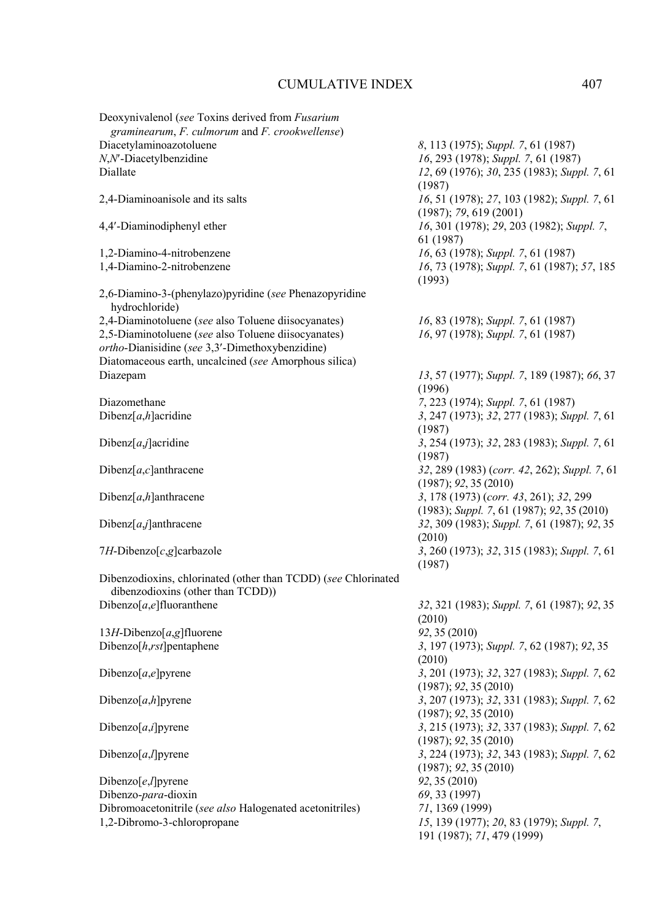| Deoxynivalenol (see Toxins derived from Fusarium<br>graminearum, F. culmorum and F. crookwellense) |                                                    |
|----------------------------------------------------------------------------------------------------|----------------------------------------------------|
|                                                                                                    |                                                    |
| Diacetylaminoazotoluene                                                                            | 8, 113 (1975); Suppl. 7, 61 (1987)                 |
| $N, N'$ -Diacetylbenzidine                                                                         | 16, 293 (1978); Suppl. 7, 61 (1987)                |
| Diallate                                                                                           | 12, 69 (1976); 30, 235 (1983); Suppl. 7, 61        |
|                                                                                                    | (1987)                                             |
| 2,4-Diaminoanisole and its salts                                                                   | 16, 51 (1978); 27, 103 (1982); Suppl. 7, 61        |
|                                                                                                    | (1987); 79, 619 (2001)                             |
| 4,4'-Diaminodiphenyl ether                                                                         | 16, 301 (1978); 29, 203 (1982); Suppl. 7,          |
|                                                                                                    | 61 (1987)                                          |
|                                                                                                    | 16, 63 (1978); Suppl. 7, 61 (1987)                 |
| 1,2-Diamino-4-nitrobenzene                                                                         |                                                    |
| 1,4-Diamino-2-nitrobenzene                                                                         | 16, 73 (1978); Suppl. 7, 61 (1987); 57, 185        |
|                                                                                                    | (1993)                                             |
| 2,6-Diamino-3-(phenylazo)pyridine (see Phenazopyridine                                             |                                                    |
| hydrochloride)                                                                                     |                                                    |
| 2,4-Diaminotoluene (see also Toluene diisocyanates)                                                | 16, 83 (1978); Suppl. 7, 61 (1987)                 |
| 2,5-Diaminotoluene (see also Toluene diisocyanates)                                                | 16, 97 (1978); Suppl. 7, 61 (1987)                 |
| ortho-Dianisidine (see 3,3'-Dimethoxybenzidine)                                                    |                                                    |
| Diatomaceous earth, uncalcined (see Amorphous silica)                                              |                                                    |
| Diazepam                                                                                           | 13, 57 (1977); Suppl. 7, 189 (1987); 66, 37        |
|                                                                                                    |                                                    |
|                                                                                                    | (1996)                                             |
| Diazomethane                                                                                       | 7, 223 (1974); Suppl. 7, 61 (1987)                 |
| Dibenz $[a,h]$ acridine                                                                            | 3, 247 (1973); 32, 277 (1983); Suppl. 7, 61        |
|                                                                                                    | (1987)                                             |
| Dibenz $[a, j]$ acridine                                                                           | 3, 254 (1973); 32, 283 (1983); Suppl. 7, 61        |
|                                                                                                    | (1987)                                             |
| Dibenz $[a,c]$ anthracene                                                                          | 32, 289 (1983) (corr. 42, 262); Suppl. 7, 61       |
|                                                                                                    | (1987); 92, 35(2010)                               |
| Dibenz $[a,h]$ anthracene                                                                          | 3, 178 (1973) (corr. 43, 261); 32, 299             |
|                                                                                                    |                                                    |
|                                                                                                    | $(1983)$ ; Suppl. 7, 61 $(1987)$ ; 92, 35 $(2010)$ |
| Dibenz $[a, j]$ anthracene                                                                         | 32, 309 (1983); Suppl. 7, 61 (1987); 92, 35        |
|                                                                                                    | (2010)                                             |
| 7H-Dibenzo $[c, g]$ carbazole                                                                      | 3, 260 (1973); 32, 315 (1983); Suppl. 7, 61        |
|                                                                                                    | (1987)                                             |
| Dibenzodioxins, chlorinated (other than TCDD) (see Chlorinated                                     |                                                    |
| dibenzodioxins (other than TCDD))                                                                  |                                                    |
| Dibenzo $[a,e]$ fluoranthene                                                                       | 32, 321 (1983); Suppl. 7, 61 (1987); 92, 35        |
|                                                                                                    | (2010)                                             |
| 13H-Dibenzo $[a,g]$ fluorene                                                                       | 92, 35 (2010)                                      |
| Dibenzo $[h,rst]$ pentaphene                                                                       | 3, 197 (1973); Suppl. 7, 62 (1987); 92, 35         |
|                                                                                                    |                                                    |
|                                                                                                    | (2010)                                             |
| Dibenzo $[a,e]$ pyrene                                                                             | 3, 201 (1973); 32, 327 (1983); Suppl. 7, 62        |
|                                                                                                    | (1987); 92, 35(2010)                               |
| Dibenzo[ $a,h$ ] pyrene                                                                            | 3, 207 (1973); 32, 331 (1983); Suppl. 7, 62        |
|                                                                                                    | (1987); 92, 35(2010)                               |
| Dibenzo $[a, i]$ pyrene                                                                            | 3, 215 (1973); 32, 337 (1983); Suppl. 7, 62        |
|                                                                                                    | (1987); 92, 35(2010)                               |
| Dibenzo[ $a,$ ] pyrene                                                                             | 3, 224 (1973); 32, 343 (1983); Suppl. 7, 62        |
|                                                                                                    | (1987); 92, 35(2010)                               |
| Dibenzo $[e, I]$ pyrene                                                                            | 92, 35 (2010)                                      |
| Dibenzo-para-dioxin                                                                                | 69, 33 (1997)                                      |
| Dibromoacetonitrile (see also Halogenated acetonitriles)                                           |                                                    |
|                                                                                                    | 71, 1369 (1999)                                    |
| 1,2-Dibromo-3-chloropropane                                                                        | 15, 139 (1977); 20, 83 (1979); Suppl. 7,           |
|                                                                                                    | 191 (1987); 71, 479 (1999)                         |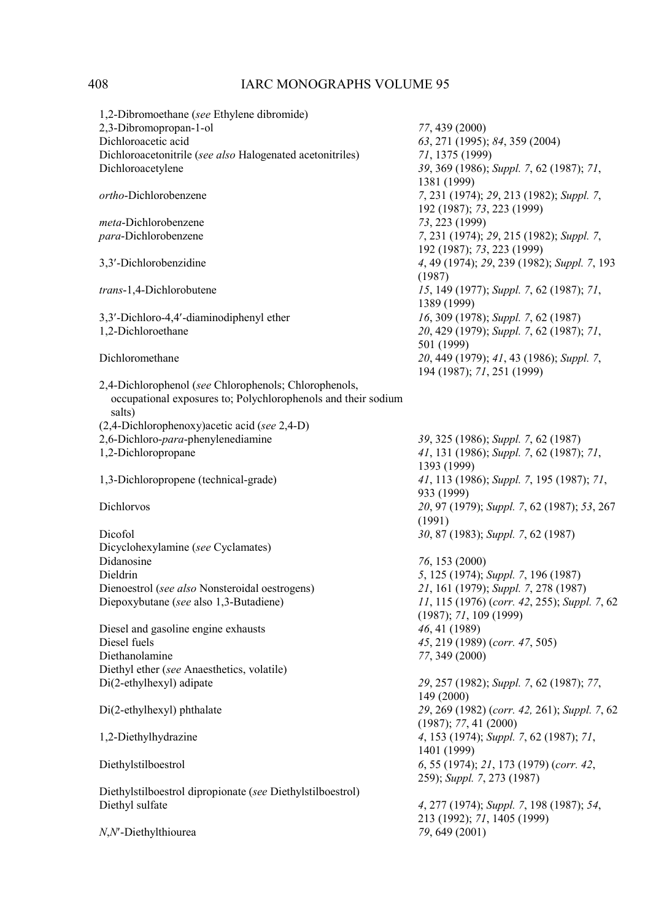| 1,2-Dibromoethane (see Ethylene dibromide)                    |                                              |
|---------------------------------------------------------------|----------------------------------------------|
| 2,3-Dibromopropan-1-ol                                        | 77, 439 (2000)                               |
| Dichloroacetic acid                                           | 63, 271 (1995); 84, 359 (2004)               |
| Dichloroacetonitrile (see also Halogenated acetonitriles)     | 71, 1375 (1999)                              |
| Dichloroacetylene                                             | 39, 369 (1986); Suppl. 7, 62 (1987); 71,     |
|                                                               | 1381 (1999)                                  |
| ortho-Dichlorobenzene                                         | 7, 231 (1974); 29, 213 (1982); Suppl. 7,     |
|                                                               | 192 (1987); 73, 223 (1999)                   |
| <i>meta-Dichlorobenzene</i>                                   | 73, 223 (1999)                               |
| para-Dichlorobenzene                                          | 7, 231 (1974); 29, 215 (1982); Suppl. 7,     |
|                                                               | 192 (1987); 73, 223 (1999)                   |
| 3,3'-Dichlorobenzidine                                        | 4, 49 (1974); 29, 239 (1982); Suppl. 7, 193  |
|                                                               | (1987)                                       |
| trans-1,4-Dichlorobutene                                      | 15, 149 (1977); Suppl. 7, 62 (1987); 71,     |
|                                                               | 1389 (1999)                                  |
| 3,3'-Dichloro-4,4'-diaminodiphenyl ether                      | 16, 309 (1978); Suppl. 7, 62 (1987)          |
| 1,2-Dichloroethane                                            | 20, 429 (1979); Suppl. 7, 62 (1987); 71,     |
|                                                               | 501 (1999)                                   |
|                                                               |                                              |
| Dichloromethane                                               | 20, 449 (1979); 41, 43 (1986); Suppl. 7,     |
|                                                               | 194 (1987); 71, 251 (1999)                   |
| 2,4-Dichlorophenol (see Chlorophenols; Chlorophenols,         |                                              |
| occupational exposures to; Polychlorophenols and their sodium |                                              |
| salts)                                                        |                                              |
| (2,4-Dichlorophenoxy) acetic acid (see 2,4-D)                 |                                              |
| 2,6-Dichloro-para-phenylenediamine                            | 39, 325 (1986); Suppl. 7, 62 (1987)          |
| 1,2-Dichloropropane                                           | 41, 131 (1986); Suppl. 7, 62 (1987); 71,     |
|                                                               | 1393 (1999)                                  |
| 1,3-Dichloropropene (technical-grade)                         | 41, 113 (1986); Suppl. 7, 195 (1987); 71,    |
|                                                               | 933 (1999)                                   |
| Dichlorvos                                                    | 20, 97 (1979); Suppl. 7, 62 (1987); 53, 267  |
|                                                               | (1991)                                       |
| Dicofol                                                       | 30, 87 (1983); Suppl. 7, 62 (1987)           |
| Dicyclohexylamine (see Cyclamates)                            |                                              |
| Didanosine                                                    | 76, 153 (2000)                               |
| Dieldrin                                                      | 5, 125 (1974); Suppl. 7, 196 (1987)          |
| Dienoestrol (see also Nonsteroidal oestrogens)                | 21, 161 (1979); Suppl. 7, 278 (1987)         |
| Diepoxybutane (see also 1,3-Butadiene)                        | 11, 115 (1976) (corr. 42, 255); Suppl. 7, 62 |
|                                                               | (1987); 71, 109 (1999)                       |
| Diesel and gasoline engine exhausts                           | 46, 41 (1989)                                |
| Diesel fuels                                                  | 45, 219 (1989) (corr. 47, 505)               |
| Diethanolamine                                                | 77, 349 (2000)                               |
| Diethyl ether (see Anaesthetics, volatile)                    |                                              |
| Di(2-ethylhexyl) adipate                                      | 29, 257 (1982); Suppl. 7, 62 (1987); 77,     |
|                                                               | 149 (2000)                                   |
| Di(2-ethylhexyl) phthalate                                    | 29, 269 (1982) (corr. 42, 261); Suppl. 7, 62 |
|                                                               | (1987); 77, 41 (2000)                        |
|                                                               |                                              |
| 1,2-Diethylhydrazine                                          | 4, 153 (1974); Suppl. 7, 62 (1987); 71,      |
|                                                               | 1401 (1999)                                  |
| Diethylstilboestrol                                           | 6, 55 (1974); 21, 173 (1979) (corr. 42,      |
|                                                               | 259); Suppl. 7, 273 (1987)                   |
| Diethylstilboestrol dipropionate (see Diethylstilboestrol)    |                                              |
| Diethyl sulfate                                               | 4, 277 (1974); Suppl. 7, 198 (1987); 54,     |
|                                                               | 213 (1992); 71, 1405 (1999)                  |
| N,N'-Diethylthiourea                                          | 79, 649 (2001)                               |
|                                                               |                                              |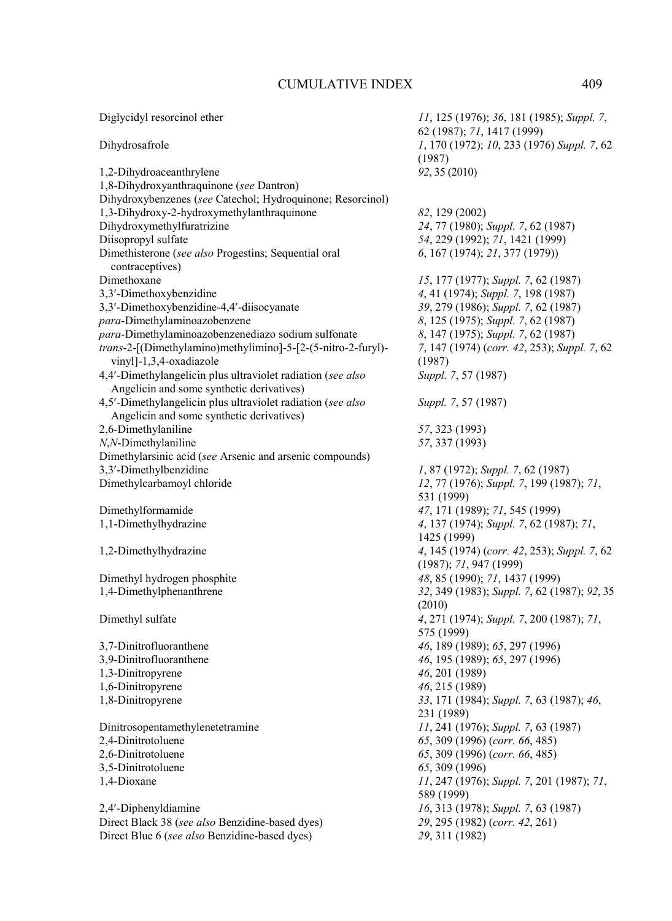| Diglycidyl resorcinol ether                                             | 11, 125 (1976); 36, 181 (1985); Suppl. 7,<br>62 (1987); 71, 1417 (1999) |
|-------------------------------------------------------------------------|-------------------------------------------------------------------------|
| Dihydrosafrole                                                          | 1, 170 (1972); 10, 233 (1976) Suppl. 7, 62<br>(1987)                    |
| 1,2-Dihydroaceanthrylene                                                | 92, 35 (2010)                                                           |
| 1,8-Dihydroxyanthraquinone (see Dantron)                                |                                                                         |
| Dihydroxybenzenes (see Catechol; Hydroquinone; Resorcinol)              |                                                                         |
| 1,3-Dihydroxy-2-hydroxymethylanthraquinone                              | 82, 129 (2002)                                                          |
| Dihydroxymethylfuratrizine                                              | 24, 77 (1980); Suppl. 7, 62 (1987)                                      |
| Diisopropyl sulfate                                                     | 54, 229 (1992); 71, 1421 (1999)                                         |
| Dimethisterone (see also Progestins; Sequential oral<br>contraceptives) | 6, 167 (1974); 21, 377 (1979))                                          |
| Dimethoxane                                                             | 15, 177 (1977); Suppl. 7, 62 (1987)                                     |
| 3,3'-Dimethoxybenzidine                                                 | 4, 41 (1974); Suppl. 7, 198 (1987)                                      |
| 3,3'-Dimethoxybenzidine-4,4'-diisocyanate                               | 39, 279 (1986); Suppl. 7, 62 (1987)                                     |
| para-Dimethylaminoazobenzene                                            | 8, 125 (1975); Suppl. 7, 62 (1987)                                      |
| para-Dimethylaminoazobenzenediazo sodium sulfonate                      | 8, 147 (1975); Suppl. 7, 62 (1987)                                      |
| trans-2-[(Dimethylamino)methylimino]-5-[2-(5-nitro-2-furyl)-            | 7, 147 (1974) (corr. 42, 253); Suppl. 7, 62                             |
| vinyl]-1,3,4-oxadiazole                                                 |                                                                         |
| 4,4'-Dimethylangelicin plus ultraviolet radiation (see also             | (1987)                                                                  |
| Angelicin and some synthetic derivatives)                               | Suppl. 7, 57 (1987)                                                     |
|                                                                         |                                                                         |
| 4,5'-Dimethylangelicin plus ultraviolet radiation (see also             | Suppl. 7, 57 (1987)                                                     |
| Angelicin and some synthetic derivatives)                               |                                                                         |
| 2,6-Dimethylaniline                                                     | 57, 323 (1993)                                                          |
| N,N-Dimethylaniline                                                     | 57, 337 (1993)                                                          |
| Dimethylarsinic acid (see Arsenic and arsenic compounds)                |                                                                         |
| 3,3'-Dimethylbenzidine                                                  | 1, 87 (1972); Suppl. 7, 62 (1987)                                       |
| Dimethylcarbamoyl chloride                                              | 12, 77 (1976); Suppl. 7, 199 (1987); 71,<br>531 (1999)                  |
| Dimethylformamide                                                       | 47, 171 (1989); 71, 545 (1999)                                          |
| 1,1-Dimethylhydrazine                                                   | 4, 137 (1974); Suppl. 7, 62 (1987); 71,<br>1425 (1999)                  |
| 1,2-Dimethylhydrazine                                                   | 4, 145 (1974) (corr. 42, 253); Suppl. 7, 62<br>(1987); 71, 947 (1999)   |
| Dimethyl hydrogen phosphite                                             | 48, 85 (1990); 71, 1437 (1999)                                          |
| 1,4-Dimethylphenanthrene                                                | 32, 349 (1983); Suppl. 7, 62 (1987); 92, 35                             |
|                                                                         | (2010)                                                                  |
| Dimethyl sulfate                                                        | 4, 271 (1974); Suppl. 7, 200 (1987); 71,                                |
|                                                                         | 575 (1999)                                                              |
| 3,7-Dinitrofluoranthene                                                 | 46, 189 (1989); 65, 297 (1996)                                          |
| 3,9-Dinitrofluoranthene                                                 | 46, 195 (1989); 65, 297 (1996)                                          |
| 1,3-Dinitropyrene                                                       | 46, 201 (1989)                                                          |
| 1,6-Dinitropyrene                                                       | 46, 215 (1989)                                                          |
| 1,8-Dinitropyrene                                                       | 33, 171 (1984); Suppl. 7, 63 (1987); 46,                                |
|                                                                         | 231 (1989)                                                              |
| Dinitrosopentamethylenetetramine                                        | 11, 241 (1976); Suppl. 7, 63 (1987)                                     |
| 2,4-Dinitrotoluene                                                      | 65, 309 (1996) (corr. 66, 485)                                          |
| 2,6-Dinitrotoluene                                                      | 65, 309 (1996) (corr. 66, 485)                                          |
| 3,5-Dinitrotoluene                                                      | 65, 309 (1996)                                                          |
| 1,4-Dioxane                                                             | 11, 247 (1976); Suppl. 7, 201 (1987); 71,                               |
|                                                                         | 589 (1999)                                                              |
| 2,4'-Diphenyldiamine                                                    | 16, 313 (1978); Suppl. 7, 63 (1987)                                     |
| Direct Black 38 (see also Benzidine-based dyes)                         | 29, 295 (1982) (corr. 42, 261)                                          |
| Direct Blue 6 (see also Benzidine-based dyes)                           | 29, 311 (1982)                                                          |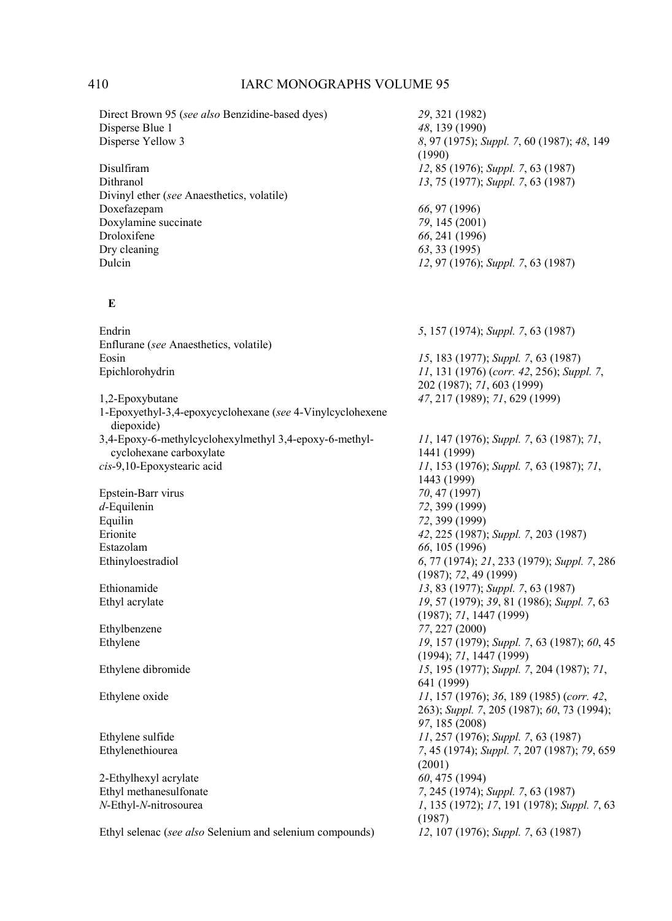Disperse Yellow 3 *8*, 97 (1975); *Suppl. 7*, 60 (1987); *48*, 149

Dithranol *13*, 75 (1977); *Suppl. 7*, 63 (1987)

Dulcin *12*, 97 (1976); *Suppl. 7*, 63 (1987)

(1990)

Droloxifene *66*, 241 (1996)

Direct Brown 95 (*see also* Benzidine-based dyes) *29*, 321 (1982) Disperse Blue 1 *48*, 139 (1990)<br>Disperse Yellow 3 *8*, 97 (1975); S

Disulfiram *12*, 85 (1976); *Suppl. 7*, 63 (1987) Divinyl ether (*see* Anaesthetics, volatile) Doxefazepam *66*, 97 (1996)<br>Doxylamine succinate 79, 145 (2001) Doxylamine succinate<br>*Droloxifene* Dry cleaning *63*, 33 (1995)<br>Dulcin *12*, 97 (1976):

### **E**

Endrin *5*, 157 (1974); *Suppl. 7*, 63 (1987) Enflurane (*see* Anaesthetics, volatile) Eosin *15*, 183 (1977); *Suppl. 7*, 63 (1987) Epichlorohydrin *11*, 131 (1976) (*corr. 42*, 256); *Suppl. 7*, 202 (1987); *71*, 603 (1999) 1,2-Epoxybutane *47*, 217 (1989); *71*, 629 (1999) 1-Epoxyethyl-3,4-epoxycyclohexane (*see* 4-Vinylcyclohexene diepoxide) 3,4-Epoxy-6-methylcyclohexylmethyl 3,4-epoxy-6-methyl cyclohexane carboxylate *11*, 147 (1976); *Suppl. 7*, 63 (1987); *71*, 1441 (1999) *cis*-9,10-Epoxystearic acid *11*, 153 (1976); *Suppl. 7*, 63 (1987); *71*, 1443 (1999) Epstein-Barr virus *70*, 47 (1997) *d*-Equilenin *72*, 399 (1999) Equilin 72, 399 (1999)<br>Erionite 42, 225 (1987) Erionite *42*, 225 (1987); *Suppl. 7*, 203 (1987) Estazolam *66*, 105 (1996)<br>Ethinyloestradiol 6, 77 (1974); 2 Ethinyloestradiol *6*, 77 (1974); *21*, 233 (1979); *Suppl. 7*, 286 (1987); *72*, 49 (1999) Ethionamide *13*, 83 (1977); *Suppl. 7*, 63 (1987) Ethyl acrylate *19*, 57 (1979); *39*, 81 (1986); *Suppl. 7*, 63 (1987); *71*, 1447 (1999) Ethylbenzene *77*, 227 (2000) Ethylene *19*, 157 (1979); *Suppl. 7*, 63 (1987); *60*, 45 (1994); *71*, 1447 (1999) Ethylene dibromide *15*, 195 (1977); *Suppl. 7*, 204 (1987); *71*, 641 (1999) Ethylene oxide *11*, 157 (1976); *36*, 189 (1985) (*corr. 42*, 263); *Suppl. 7*, 205 (1987); *60*, 73 (1994); *97*, 185 (2008) Ethylene sulfide *11*, 257 (1976); *Suppl. 7*, 63 (1987); *Ethylenethiourea 7*, 45 (1974); *Suppl. 7*, 207 (1987); Ethylenethiourea *7*, 45 (1974); *Suppl. 7*, 207 (1987); *79*, 659 (2001) 2-Ethylhexyl acrylate *60*, 475 (1994)<br>Ethyl methanesulfonate 7, 245 (1974); Ethyl methanesulfonate *7*, 245 (1974); *Suppl. 7*, 63 (1987) *N*-Ethyl-*N*-nitrosourea *1*, 135 (1972); *17*, 191 (1978); *Suppl. 7*, 63 (1987)

Ethyl selenac (*see also* Selenium and selenium compounds) *12*, 107 (1976); *Suppl. 7*, 63 (1987)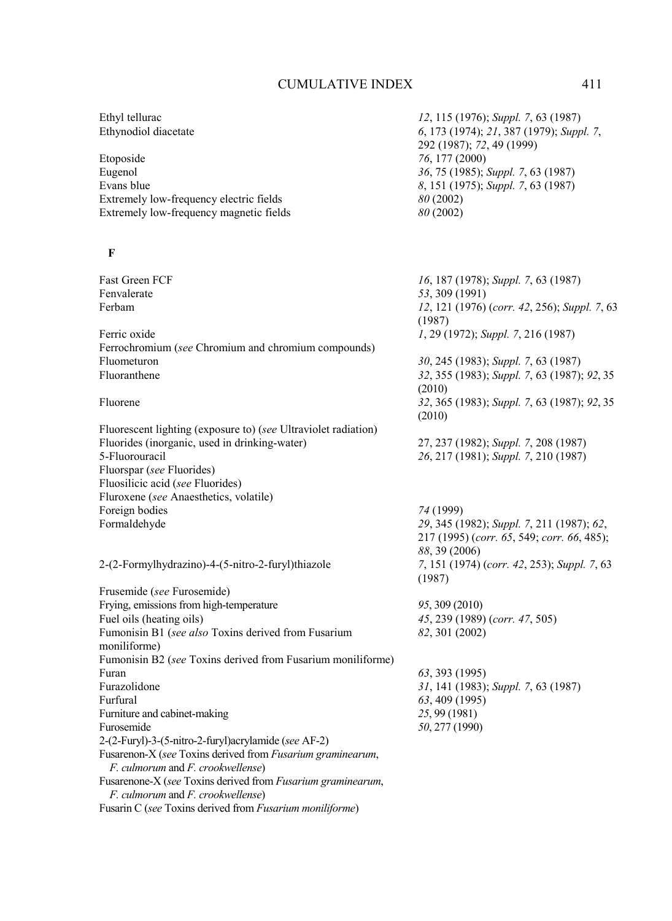| Ethyl tellurac                                                                                   | 12, 115 (1976); Suppl. 7, 63 (1987)          |
|--------------------------------------------------------------------------------------------------|----------------------------------------------|
| Ethynodiol diacetate                                                                             | 6, 173 (1974); 21, 387 (1979); Suppl. 7,     |
|                                                                                                  | 292 (1987); 72, 49 (1999)                    |
| Etoposide                                                                                        | 76, 177 (2000)                               |
| Eugenol                                                                                          | 36, 75 (1985); Suppl. 7, 63 (1987)           |
| Evans blue                                                                                       | 8, 151 (1975); Suppl. 7, 63 (1987)           |
| Extremely low-frequency electric fields                                                          | 80(2002)                                     |
| Extremely low-frequency magnetic fields                                                          | 80 (2002)                                    |
|                                                                                                  |                                              |
| F                                                                                                |                                              |
| Fast Green FCF                                                                                   | 16, 187 (1978); Suppl. 7, 63 (1987)          |
| Fenvalerate                                                                                      | 53, 309 (1991)                               |
| Ferbam                                                                                           | 12, 121 (1976) (corr. 42, 256); Suppl. 7, 63 |
|                                                                                                  | (1987)                                       |
| Ferric oxide                                                                                     | 1, 29 (1972); Suppl. 7, 216 (1987)           |
| Ferrochromium (see Chromium and chromium compounds)                                              |                                              |
| Fluometuron                                                                                      | 30, 245 (1983); Suppl. 7, 63 (1987)          |
| Fluoranthene                                                                                     | 32, 355 (1983); Suppl. 7, 63 (1987); 92, 35  |
|                                                                                                  | (2010)                                       |
| Fluorene                                                                                         | 32, 365 (1983); Suppl. 7, 63 (1987); 92, 35  |
|                                                                                                  | (2010)                                       |
| Fluorescent lighting (exposure to) (see Ultraviolet radiation)                                   |                                              |
| Fluorides (inorganic, used in drinking-water)                                                    | 27, 237 (1982); Suppl. 7, 208 (1987)         |
| 5-Fluorouracil                                                                                   | 26, 217 (1981); Suppl. 7, 210 (1987)         |
| Fluorspar (see Fluorides)                                                                        |                                              |
| Fluosilicic acid (see Fluorides)                                                                 |                                              |
| Fluroxene (see Anaesthetics, volatile)                                                           |                                              |
| Foreign bodies                                                                                   | 74 (1999)                                    |
| Formaldehyde                                                                                     | 29, 345 (1982); Suppl. 7, 211 (1987); 62,    |
|                                                                                                  | 217 (1995) (corr. 65, 549; corr. 66, 485);   |
|                                                                                                  | 88, 39 (2006)                                |
| 2-(2-Formylhydrazino)-4-(5-nitro-2-furyl)thiazole                                                | 7, 151 (1974) (corr. 42, 253); Suppl. 7, 63  |
|                                                                                                  | (1987)                                       |
| Frusemide (see Furosemide)                                                                       |                                              |
| Frying, emissions from high-temperature                                                          | 95, 309 (2010)                               |
| Fuel oils (heating oils)                                                                         | 45, 239 (1989) (corr. 47, 505)               |
| Fumonisin B1 (see also Toxins derived from Fusarium                                              | 82, 301 (2002)                               |
| moniliforme)                                                                                     |                                              |
| Fumonisin B2 (see Toxins derived from Fusarium moniliforme)                                      |                                              |
| Furan                                                                                            | 63, 393 (1995)                               |
| Furazolidone                                                                                     | 31, 141 (1983); Suppl. 7, 63 (1987)          |
| Furfural                                                                                         | 63, 409 (1995)                               |
| Furniture and cabinet-making                                                                     | 25, 99 (1981)                                |
| Furosemide                                                                                       | 50, 277 (1990)                               |
| 2-(2-Furyl)-3-(5-nitro-2-furyl) acrylamide (see AF-2)                                            |                                              |
| Fusarenon-X (see Toxins derived from Fusarium graminearum,                                       |                                              |
| F. culmorum and F. crookwellense)                                                                |                                              |
| Fusarenone-X (see Toxins derived from Fusarium graminearum,<br>F. culmorum and F. crookwellense) |                                              |
| Fusarin C (see Toxins derived from Fusarium moniliforme)                                         |                                              |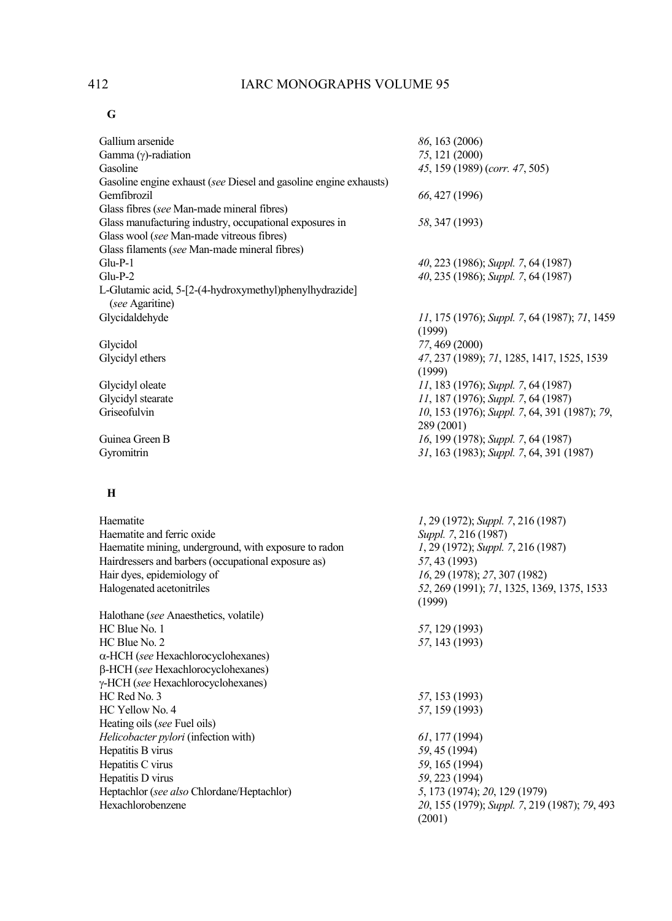## **G**

| Gallium arsenide                                                  | 86, 163 (2006)                                |
|-------------------------------------------------------------------|-----------------------------------------------|
| Gamma $(\gamma)$ -radiation                                       | 75, 121 (2000)                                |
| Gasoline                                                          | 45, 159 (1989) (corr. 47, 505)                |
| Gasoline engine exhaust (see Diesel and gasoline engine exhausts) |                                               |
| Gemfibrozil                                                       | 66, 427 (1996)                                |
| Glass fibres (see Man-made mineral fibres)                        |                                               |
| Glass manufacturing industry, occupational exposures in           | 58, 347 (1993)                                |
| Glass wool (see Man-made vitreous fibres)                         |                                               |
| Glass filaments (see Man-made mineral fibres)                     |                                               |
| $Glu-P-1$                                                         | 40, 223 (1986); Suppl. 7, 64 (1987)           |
| $Glu-P-2$                                                         | 40, 235 (1986); Suppl. 7, 64 (1987)           |
| L-Glutamic acid, 5-[2-(4-hydroxymethyl)phenylhydrazide]           |                                               |
| (see Agaritine)                                                   |                                               |
| Glycidaldehyde                                                    | 11, 175 (1976); Suppl. 7, 64 (1987); 71, 1459 |
|                                                                   | (1999)                                        |
| Glycidol                                                          | 77, 469 (2000)                                |
| Glycidyl ethers                                                   | 47, 237 (1989); 71, 1285, 1417, 1525, 1539    |
|                                                                   | (1999)                                        |
| Glycidyl oleate                                                   | 11, 183 (1976); Suppl. 7, 64 (1987)           |
| Glycidyl stearate                                                 | 11, 187 (1976); Suppl. 7, 64 (1987)           |
| Griseofulvin                                                      | 10, 153 (1976); Suppl. 7, 64, 391 (1987); 79, |
|                                                                   | 289 (2001)                                    |
| Guinea Green B                                                    | 16, 199 (1978); Suppl. 7, 64 (1987)           |
| Gyromitrin                                                        | 31, 163 (1983); Suppl. 7, 64, 391 (1987)      |
|                                                                   |                                               |
| Н                                                                 |                                               |
| Haematite                                                         | 1, 29 (1972); Suppl. 7, 216 (1987)            |
| Haematite and ferric oxide                                        | Suppl. 7, 216 (1987)                          |
| Haematite mining, underground, with exposure to radon             | 1, 29 (1972); Suppl. 7, 216 (1987)            |
| Hairdressers and barbers (occupational exposure as)               | 57, 43 (1993)                                 |
| Hair dyes, epidemiology of                                        | 16, 29 (1978); 27, 307 (1982)                 |
| Halogenated acetonitriles                                         | 52, 269 (1991); 71, 1325, 1369, 1375, 1533    |
|                                                                   | (1999)                                        |
| Halothane (see Anaesthetics, volatile)                            |                                               |
| HC Blue No. 1                                                     | 57, 129 (1993)                                |
| HC Blue No. 2                                                     | 57, 143 (1993)                                |
| α-HCH (see Hexachlorocyclohexanes)                                |                                               |
| β-HCH (see Hexachlorocyclohexanes)                                |                                               |
| γ-HCH (see Hexachlorocyclohexanes)                                |                                               |
| HC Red No. 3                                                      | 57, 153 (1993)                                |
| HC Yellow No. 4                                                   | 57, 159 (1993)                                |
| Heating oils (see Fuel oils)                                      |                                               |
| Helicobacter pylori (infection with)                              | 61, 177 (1994)                                |
| Hepatitis B virus                                                 | 59, 45 (1994)                                 |
| Hepatitis C virus                                                 | 59, 165 (1994)                                |
| Hepatitis D virus                                                 | 59, 223 (1994)                                |
| Heptachlor (see also Chlordane/Heptachlor)                        | 5, 173 (1974); 20, 129 (1979)                 |
| Hexachlorobenzene                                                 | 20, 155 (1979); Suppl. 7, 219 (1987); 79, 493 |
|                                                                   | (2001)                                        |
|                                                                   |                                               |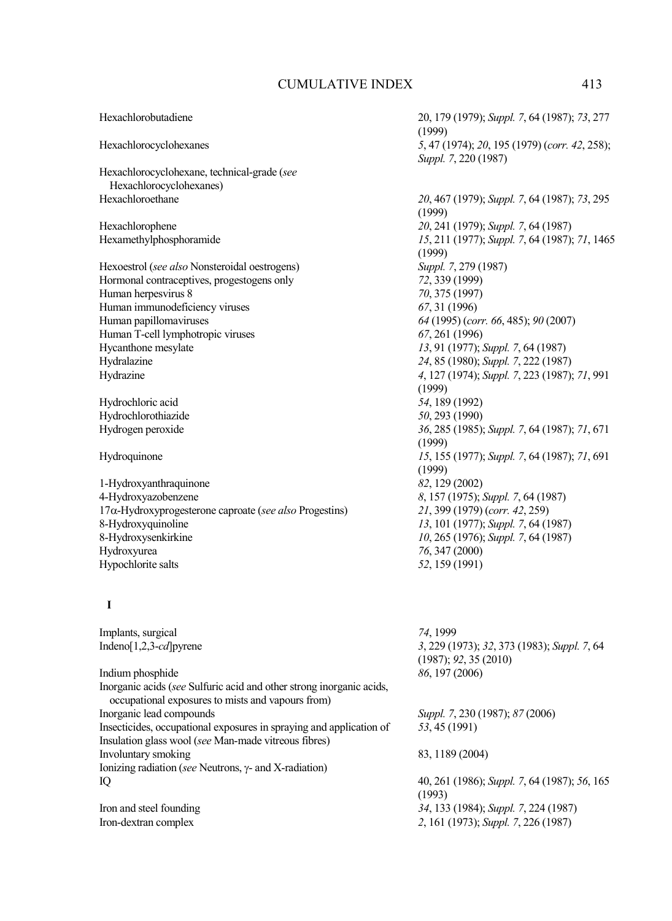Hexachlorobutadiene 20, 179 (1979); *Suppl. 7*, 64 (1987); *73*, 277 (1999) Hexachlorocyclohexanes *5*, 47 (1974); *20*, 195 (1979) (*corr. 42*, 258); *Suppl. 7*, 220 (1987) Hexachlorocyclohexane, technical-grade (*see* Hexachlorocyclohexanes) Hexachloroethane *20*, 467 (1979); *Suppl. 7*, 64 (1987); *73*, 295 (1999) Hexachlorophene *20*, 241 (1979); *Suppl. 7*, 64 (1987) Hexamethylphosphoramide *15*, 211 (1977); *Suppl. 7*, 64 (1987); *71*, 1465 (1999)<br>Suppl. 7, 279 (1987) Hexoestrol (*see also* Nonsteroidal oestrogens) *Suppl. 7, 279* (<br>Hormonal contraceptives, progestogens only 72, 339 (1999) Hormonal contraceptives, progestogens only Human herpesvirus 8 *70*, 375 (1997) Human immunodeficiency viruses *67*, 31 (1996)<br>Human papillomaviruses *64* (1995) (*co* Human papillomaviruses *64* (1995) (*corr. 66*, 485); *90* (2007) Human T-cell lymphotropic viruses *67*, 261 (1996) Hycanthone mesylate *13*, 91 (1977); *Suppl. 7*, 64 (1987)<br>Hydralazine 24, 85 (1980); *Suppl. 7*, 222 (1987) Hydralazine *24*, 85 (1980); *Suppl. 7*, 222 (1987) Hydrazine *4*, 127 (1974); *Suppl. 7*, 223 (1987); *71*, 991 (1999) Hydrochloric acid *54*, 189 (1992) Hydrochlorothiazide *50*, 293 (1990) Hydrogen peroxide *36*, 285 (1985); *Suppl. 7*, 64 (1987); *71*, 671 (1999) Hydroquinone *15*, 155 (1977); *Suppl. 7*, 64 (1987); *71*, 691  $(1999)$ <br> $82, 129 (2002)$ 1-Hydroxyanthraquinone *82*, 129 (2002) 4-Hydroxyazobenzene *8*, 157 (1975); *Suppl. 7*, 64 (1987) 17α-Hydroxyprogesterone caproate (*see also* Progestins) *21*, 399 (1979) (*corr. 42*, 259) 8-Hydroxyquinoline *13*, 101 (1977); *Suppl. 7*, 64 (1987)<br>8-Hydroxysenkirkine *10*, 265 (1976); *Suppl. 7*, 64 (1987) 8-Hydroxysenkirkine *10*, 265 (1976); *Suppl. 7*, 64 (1987) Hydroxyurea *76*, 347 (2000) Hypochlorite salts *52*, 159 (1991)  **I**  Implants, surgical *74*, 1999 Indeno[1,2,3-*cd*]pyrene *3*, 229 (1973); *32*, 373 (1983); *Suppl. 7*, 64 (1987); *92*, 35 (2010) Indium phosphide *86*, 197 (2006) Inorganic acids (*see* Sulfuric acid and other strong inorganic acids, occupational exposures to mists and vapours from) Inorganic lead compounds *Suppl. 7*, 230 (1987); *87* (2006) Insecticides, occupational exposures in spraying and application of *53*, 45 (1991) Insulation glass wool (*see* Man-made vitreous fibres)

Involuntary smoking 83, 1189 (2004)

IQ 40, 261 (1986); *Suppl. 7*, 64 (1987); *56*, 165 (1993) Iron and steel founding *34*, 133 (1984); *Suppl. 7*, 224 (1987) Iron-dextran complex *2*, 161 (1973); *Suppl. 7*, 226 (1987)

Ionizing radiation (*see* Neutrons, γ- and X-radiation)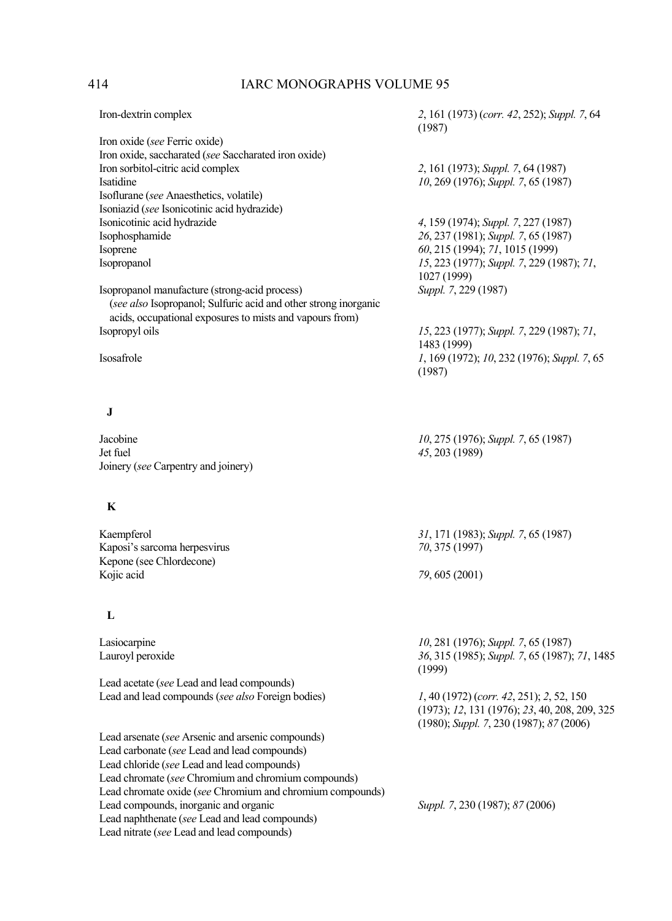| Iron-dextrin complex                                            | 2, 161 (1973) (corr. 42, 252); Suppl. 7, 64<br>(1987) |
|-----------------------------------------------------------------|-------------------------------------------------------|
| Iron oxide (see Ferric oxide)                                   |                                                       |
| Iron oxide, saccharated (see Saccharated iron oxide)            |                                                       |
| Iron sorbitol-citric acid complex                               | 2, 161 (1973); Suppl. 7, 64 (1987)                    |
| Isatidine                                                       | 10, 269 (1976); Suppl. 7, 65 (1987)                   |
| Isoflurane (see Anaesthetics, volatile)                         |                                                       |
| Isoniazid (see Isonicotinic acid hydrazide)                     |                                                       |
| Isonicotinic acid hydrazide                                     | 4, 159 (1974); Suppl. 7, 227 (1987)                   |
| Isophosphamide                                                  | 26, 237 (1981); Suppl. 7, 65 (1987)                   |
| Isoprene                                                        | 60, 215 (1994); 71, 1015 (1999)                       |
| Isopropanol                                                     | 15, 223 (1977); Suppl. 7, 229 (1987); 71,             |
|                                                                 | 1027 (1999)                                           |
| Isopropanol manufacture (strong-acid process)                   |                                                       |
|                                                                 | Suppl. 7, 229 (1987)                                  |
| (see also Isopropanol; Sulfuric acid and other strong inorganic |                                                       |
| acids, occupational exposures to mists and vapours from)        |                                                       |
| Isopropyl oils                                                  | 15, 223 (1977); Suppl. 7, 229 (1987); 71,             |
|                                                                 | 1483 (1999)                                           |
| Isosafrole                                                      | 1, 169 (1972); 10, 232 (1976); Suppl. 7, 65           |
|                                                                 | (1987)                                                |
| J                                                               |                                                       |
| Jacobine                                                        | 10, 275 (1976); Suppl. 7, 65 (1987)                   |
| Jet fuel                                                        | 45, 203 (1989)                                        |
| Joinery (see Carpentry and joinery)                             |                                                       |
| K                                                               |                                                       |
| Kaempferol                                                      |                                                       |
|                                                                 | 31, 171 (1983); Suppl. 7, 65 (1987)                   |
| Kaposi's sarcoma herpesvirus                                    | 70, 375 (1997)                                        |
| Kepone (see Chlordecone)                                        |                                                       |
| Kojic acid                                                      | 79, 605 (2001)                                        |
| L                                                               |                                                       |
| Lasiocarpine                                                    | 10, 281 (1976); Suppl. 7, 65 (1987)                   |
| Lauroyl peroxide                                                | 36, 315 (1985); Suppl. 7, 65 (1987); 71, 1485         |
|                                                                 | (1999)                                                |
| Lead acetate (see Lead and lead compounds)                      |                                                       |
| Lead and lead compounds (see also Foreign bodies)               | 1, 40 (1972) (corr. 42, 251); 2, 52, 150              |
|                                                                 | (1973); 12, 131 (1976); 23, 40, 208, 209, 325         |
|                                                                 | (1980); Suppl. 7, 230 (1987); 87 (2006)               |
| Lead arsenate (see Arsenic and arsenic compounds)               |                                                       |
| Lead carbonate (see Lead and lead compounds)                    |                                                       |
| Lead chloride (see Lead and lead compounds)                     |                                                       |
|                                                                 |                                                       |
| Lead chromate (see Chromium and chromium compounds)             |                                                       |
| Lead chromate oxide (see Chromium and chromium compounds)       |                                                       |
| Lead compounds, inorganic and organic                           | Suppl. 7, 230 (1987); 87 (2006)                       |
| Lead naphthenate (see Lead and lead compounds)                  |                                                       |
| Lead nitrate (see Lead and lead compounds)                      |                                                       |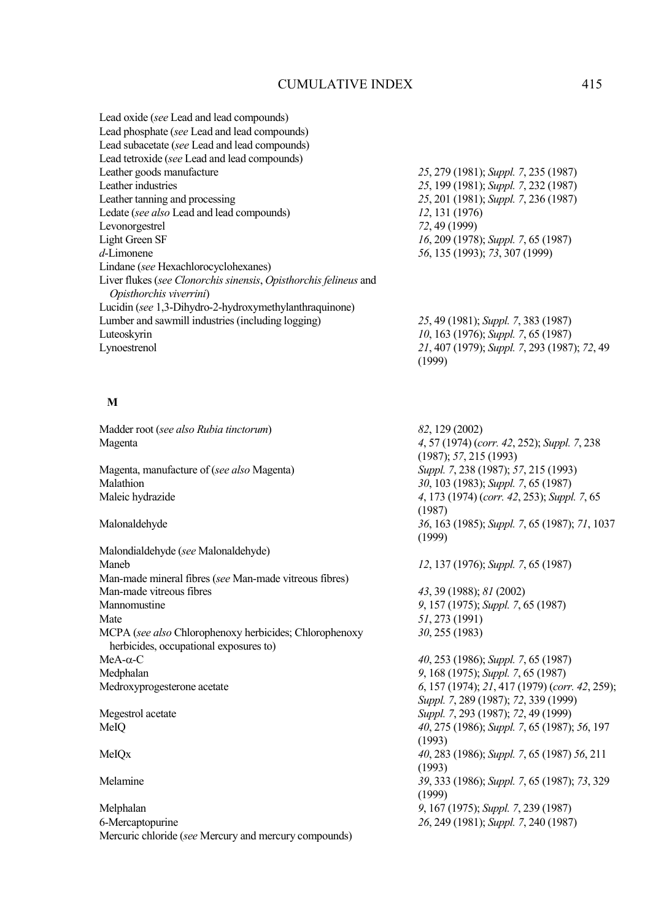| Lead oxide (see Lead and lead compounds)                         |
|------------------------------------------------------------------|
| Lead phosphate (see Lead and lead compounds)                     |
| Lead subacetate (see Lead and lead compounds)                    |
| Lead tetroxide (see Lead and lead compounds)                     |
| Leather goods manufacture                                        |
| Leather industries                                               |
| Leather tanning and processing                                   |
| Ledate (see also Lead and lead compounds)                        |
| Levonorgestrel                                                   |
| Light Green SF                                                   |
| $d$ -Limonene                                                    |
| Lindane (see Hexachlorocyclohexanes)                             |
| Liver flukes (see Clonorchis sinensis, Opisthorchis felineus and |
| Opisthorchis viverrini)                                          |
| Lucidin (see 1,3-Dihydro-2-hydroxymethylanthraquinone)           |
| Lumber and sawmill industries (including logging)                |
| Luteoskyrin                                                      |
| Lynoestrenol                                                     |
|                                                                  |

Leather goods manufacture *25*, 279 (1981); *Suppl. 7*, 235 (1987) Leather industries *25*, 199 (1981); *Suppl. 7*, 232 (1987) Leather tanning and processing *25*, 201 (1981); *Suppl. 7*, 236 (1987) Ledate (*see also* Lead and lead compounds) *12*, 131 (1976) Levonorgestrel *72*, 49 (1999) Light Green SF *16*, 209 (1978); *Suppl. 7*, 65 (1987) *d*-Limonene *56*, 135 (1993); *73*, 307 (1999)

Lumber and sawmill industries (including logging) *25*, 49 (1981); *Suppl. 7*, 383 (1987) *10*, 163 (1976); *Suppl.* 7, 65 (1987) Lynoestrenol *21*, 407 (1979); *Suppl. 7*, 293 (1987); *72*, 49 (1999)

### **M**

Madder root (*see also Rubia tinctorum*) *82*, 129 (2002)

Magenta, manufacture of (*see also* Magenta) *Suppl. 7*, 238 (1987); *57*, 215 (1993) Malathion *30*, 103 (1983); *Suppl. 7*, 65 (1987)<br>
Maleic hydrazide *4*, 173 (1974) (*corr. 42*, 253); *Suppl* 

Malondialdehyde (*see* Malonaldehyde) Maneb *12*, 137 (1976); *Suppl. 7*, 65 (1987) Man-made mineral fibres (*see* Man-made vitreous fibres) Man-made vitreous fibres *43*, 39 (1988); *81* (2002) Mannomustine *9*, 157 (1975); *Suppl. 7*, 65 (1987) MCPA (*see also* Chlorophenoxy herbicides; Chlorophenoxy herbicides, occupational exposures to) MeA-α-C *40*, 253 (1986); *Suppl. 7*, 65 (1987) Medphalan *9*, 168 (1975); *Suppl. 7*, 65 (1987) Medroxyprogesterone acetate *6*, 157 (1974); *21*, 417 (1979) (*corr. 42*, 259);

Melphalan *9*, 167 (1975); *Suppl. 7*, 239 (1987) 6-Mercaptopurine *26*, 249 (1981); *Suppl. 7*, 240 (1987) Mercuric chloride (*see* Mercury and mercury compounds)

Magenta *4*, 57 (1974) (*corr. 42*, 252); *Suppl. 7*, 238 (1987); *57*, 215 (1993) Maleic hydrazide *4*, 173 (1974) (*corr. 42*, 253); *Suppl. 7*, 65 (1987) Malonaldehyde *36*, 163 (1985); *Suppl. 7*, 65 (1987); *71*, 1037 (1999)

Mate *51*, 273 (1991) *30*, 255 (1983)

*Suppl. 7*, 289 (1987); *72*, 339 (1999) Megestrol acetate *Suppl. 7*, 293 (1987); *72*, 49 (1999) MeIQ *40*, 275 (1986); *Suppl. 7*, 65 (1987); *56*, 197 (1993) MeIQx *40*, 283 (1986); *Suppl. 7*, 65 (1987) *56*, 211 (1993) Melamine *39*, 333 (1986); *Suppl. 7*, 65 (1987); *73*, 329 (1999)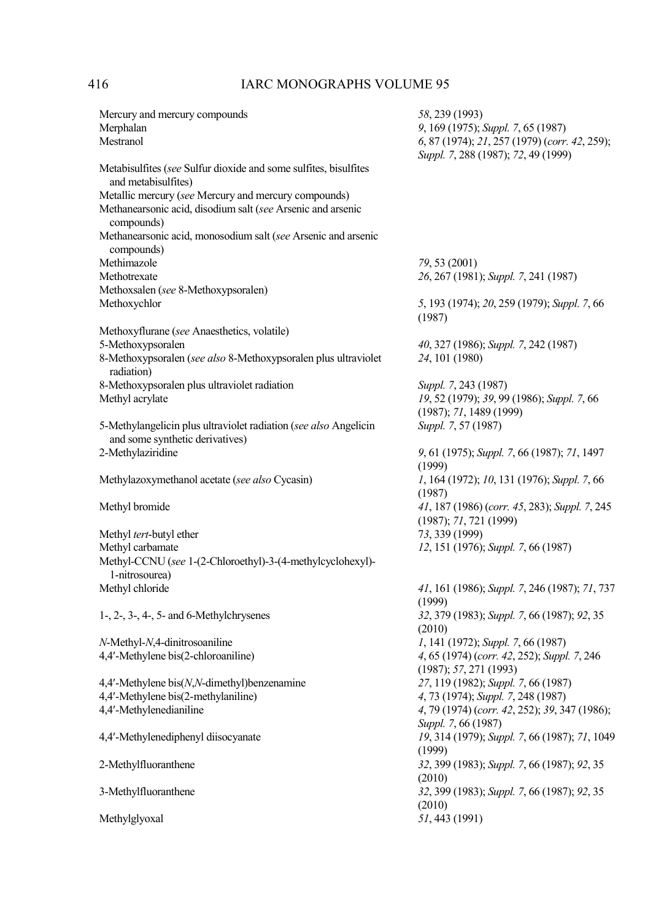| Mercury and mercury compounds                                                                       | 58, 239 (1993)                                          |
|-----------------------------------------------------------------------------------------------------|---------------------------------------------------------|
| Merphalan                                                                                           | 9, 169 (1975); Suppl. 7, 65 (1987)                      |
| Mestranol                                                                                           | 6, 87 (1974); 21, 257 (1979) (corr. 42, 259);           |
| Metabisulfites (see Sulfur dioxide and some sulfites, bisulfites<br>and metabisulfites)             | Suppl. 7, 288 (1987); 72, 49 (1999)                     |
| Metallic mercury (see Mercury and mercury compounds)                                                |                                                         |
| Methanearsonic acid, disodium salt (see Arsenic and arsenic<br>compounds)                           |                                                         |
| Methanearsonic acid, monosodium salt (see Arsenic and arsenic<br>compounds)                         |                                                         |
| Methimazole                                                                                         | 79, 53 (2001)                                           |
| Methotrexate                                                                                        | 26, 267 (1981); Suppl. 7, 241 (1987)                    |
| Methoxsalen (see 8-Methoxypsoralen)                                                                 |                                                         |
| Methoxychlor                                                                                        | 5, 193 (1974); 20, 259 (1979); Suppl. 7, 66<br>(1987)   |
| Methoxyflurane (see Anaesthetics, volatile)                                                         |                                                         |
| 5-Methoxypsoralen                                                                                   | 40, 327 (1986); Suppl. 7, 242 (1987)                    |
| 8-Methoxypsoralen (see also 8-Methoxypsoralen plus ultraviolet<br>radiation)                        | 24, 101 (1980)                                          |
| 8-Methoxypsoralen plus ultraviolet radiation                                                        | Suppl. 7, 243 (1987)                                    |
| Methyl acrylate                                                                                     | 19, 52 (1979); 39, 99 (1986); Suppl. 7, 66              |
|                                                                                                     | (1987); 71, 1489(1999)                                  |
| 5-Methylangelicin plus ultraviolet radiation (see also Angelicin<br>and some synthetic derivatives) | Suppl. 7, 57 (1987)                                     |
| 2-Methylaziridine                                                                                   | 9, 61 (1975); Suppl. 7, 66 (1987); 71, 1497<br>(1999)   |
| Methylazoxymethanol acetate (see also Cycasin)                                                      | 1, 164 (1972); 10, 131 (1976); Suppl. 7, 66<br>(1987)   |
| Methyl bromide                                                                                      | 41, 187 (1986) (corr. 45, 283); Suppl. 7, 245           |
| Methyl tert-butyl ether                                                                             | (1987); 71, 721 (1999)<br>73, 339 (1999)                |
| Methyl carbamate                                                                                    | 12, 151 (1976); Suppl. 7, 66 (1987)                     |
| Methyl-CCNU (see 1-(2-Chloroethyl)-3-(4-methylcyclohexyl)-<br>1-nitrosourea)                        |                                                         |
| Methyl chloride                                                                                     | 41, 161 (1986); Suppl. 7, 246 (1987); 71, 737           |
|                                                                                                     | (1999)                                                  |
| $1-$ , $2-$ , $3-$ , $4-$ , $5-$ and $6$ -Methylchrysenes                                           | 32, 379 (1983); Suppl. 7, 66 (1987); 92, 35<br>(2010)   |
| $N$ -Methyl- $N$ ,4-dinitrosoaniline                                                                | 1, 141 (1972); Suppl. 7, 66 (1987)                      |
| 4,4'-Methylene bis(2-chloroaniline)                                                                 | 4, 65 (1974) (corr. 42, 252); Suppl. 7, 246             |
|                                                                                                     | (1987); 57, 271 (1993)                                  |
| 4,4'-Methylene bis $(N, N$ -dimethyl)benzenamine                                                    | 27, 119 (1982); Suppl. 7, 66 (1987)                     |
| 4,4'-Methylene bis(2-methylaniline)                                                                 | 4, 73 (1974); Suppl. 7, 248 (1987)                      |
| 4,4'-Methylenedianiline                                                                             | 4, 79 (1974) (corr. 42, 252); 39, 347 (1986);           |
|                                                                                                     | Suppl. 7, 66 (1987)                                     |
| 4,4'-Methylenediphenyl diisocyanate                                                                 | 19, 314 (1979); Suppl. 7, 66 (1987); 71, 1049<br>(1999) |
| 2-Methylfluoranthene                                                                                | 32, 399 (1983); Suppl. 7, 66 (1987); 92, 35<br>(2010)   |
| 3-Methylfluoranthene                                                                                | 32, 399 (1983); Suppl. 7, 66 (1987); 92, 35             |
|                                                                                                     | (2010)                                                  |
| Methylglyoxal                                                                                       | 51, 443 (1991)                                          |
|                                                                                                     |                                                         |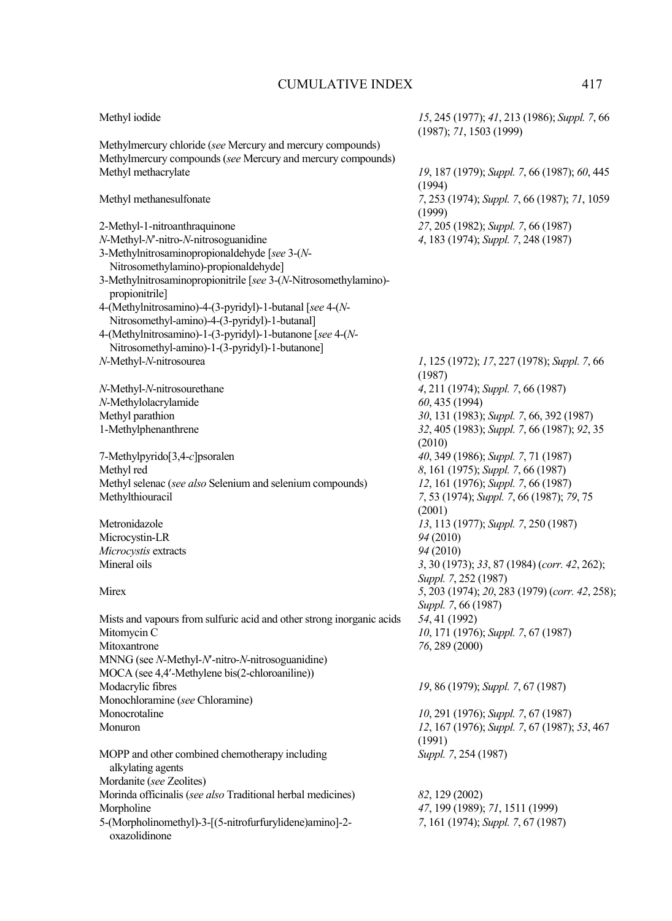| Methyl iodide                                                                                                             | 15, 245 (1977); 41, 213 (1986); Suppl. 7, 66<br>(1987); 71, 1503 (1999) |
|---------------------------------------------------------------------------------------------------------------------------|-------------------------------------------------------------------------|
| Methylmercury chloride (see Mercury and mercury compounds)<br>Methylmercury compounds (see Mercury and mercury compounds) |                                                                         |
| Methyl methacrylate                                                                                                       | 19, 187 (1979); Suppl. 7, 66 (1987); 60, 445                            |
|                                                                                                                           | (1994)                                                                  |
| Methyl methanesulfonate                                                                                                   | 7, 253 (1974); Suppl. 7, 66 (1987); 71, 1059                            |
|                                                                                                                           | (1999)                                                                  |
| 2-Methyl-1-nitroanthraquinone                                                                                             | 27, 205 (1982); Suppl. 7, 66 (1987)                                     |
| N-Methyl-N'-nitro-N-nitrosoguanidine                                                                                      | 4, 183 (1974); Suppl. 7, 248 (1987)                                     |
| 3-Methylnitrosaminopropionaldehyde [see 3-(N-                                                                             |                                                                         |
| Nitrosomethylamino)-propionaldehyde]                                                                                      |                                                                         |
| 3-Methylnitrosaminopropionitrile [see 3-(N-Nitrosomethylamino)-                                                           |                                                                         |
| propionitrile]                                                                                                            |                                                                         |
| 4-(Methylnitrosamino)-4-(3-pyridyl)-1-butanal [see 4-(N-                                                                  |                                                                         |
| Nitrosomethyl-amino)-4-(3-pyridyl)-1-butanal]                                                                             |                                                                         |
| 4-(Methylnitrosamino)-1-(3-pyridyl)-1-butanone [see 4-(N-                                                                 |                                                                         |
| Nitrosomethyl-amino)-1-(3-pyridyl)-1-butanone]                                                                            |                                                                         |
| N-Methyl-N-nitrosourea                                                                                                    | 1, 125 (1972); 17, 227 (1978); Suppl. 7, 66                             |
|                                                                                                                           | (1987)                                                                  |
| N-Methyl-N-nitrosourethane                                                                                                | 4, 211 (1974); Suppl. 7, 66 (1987)                                      |
| N-Methylolacrylamide                                                                                                      | 60, 435 (1994)                                                          |
| Methyl parathion                                                                                                          | 30, 131 (1983); Suppl. 7, 66, 392 (1987)                                |
| 1-Methylphenanthrene                                                                                                      | 32, 405 (1983); Suppl. 7, 66 (1987); 92, 35<br>(2010)                   |
| 7-Methylpyrido[3,4-c]psoralen                                                                                             | 40, 349 (1986); Suppl. 7, 71 (1987)                                     |
| Methyl red                                                                                                                | 8, 161 (1975); Suppl. 7, 66 (1987)                                      |
| Methyl selenac (see also Selenium and selenium compounds)                                                                 | 12, 161 (1976); Suppl. 7, 66 (1987)                                     |
| Methylthiouracil                                                                                                          | 7, 53 (1974); Suppl. 7, 66 (1987); 79, 75                               |
|                                                                                                                           | (2001)                                                                  |
| Metronidazole                                                                                                             | 13, 113 (1977); Suppl. 7, 250 (1987)                                    |
| Microcystin-LR                                                                                                            | 94 (2010)                                                               |
| Microcystis extracts                                                                                                      | 94 (2010)                                                               |
| Mineral oils                                                                                                              | 3, 30 (1973); 33, 87 (1984) (corr. 42, 262);                            |
|                                                                                                                           | Suppl. 7, 252 (1987)                                                    |
| Mirex                                                                                                                     | 5, 203 (1974); 20, 283 (1979) (corr. 42, 258);                          |
|                                                                                                                           | Suppl. 7, 66 (1987)                                                     |
| Mists and vapours from sulfuric acid and other strong inorganic acids                                                     | 54, 41 (1992)                                                           |
| Mitomycin C                                                                                                               | 10, 171 (1976); Suppl. 7, 67 (1987)                                     |
| Mitoxantrone                                                                                                              | 76, 289 (2000)                                                          |
| MNNG (see N-Methyl-N'-nitro-N-nitrosoguanidine)                                                                           |                                                                         |
| MOCA (see 4,4'-Methylene bis(2-chloroaniline))                                                                            |                                                                         |
| Modacrylic fibres                                                                                                         | 19, 86 (1979); Suppl. 7, 67 (1987)                                      |
| Monochloramine (see Chloramine)                                                                                           |                                                                         |
| Monocrotaline                                                                                                             | 10, 291 (1976); Suppl. 7, 67 (1987)                                     |
| Monuron                                                                                                                   | 12, 167 (1976); Suppl. 7, 67 (1987); 53, 467                            |
|                                                                                                                           | (1991)<br>Suppl. 7, 254 (1987)                                          |
| MOPP and other combined chemotherapy including                                                                            |                                                                         |
| alkylating agents<br>Mordanite (see Zeolites)                                                                             |                                                                         |
| Morinda officinalis (see also Traditional herbal medicines)                                                               | 82, 129 (2002)                                                          |
| Morpholine                                                                                                                | 47, 199 (1989); 71, 1511 (1999)                                         |
| 5-(Morpholinomethyl)-3-[(5-nitrofurfurylidene)amino]-2-                                                                   | 7, 161 (1974); Suppl. 7, 67 (1987)                                      |
| oxazolidinone                                                                                                             |                                                                         |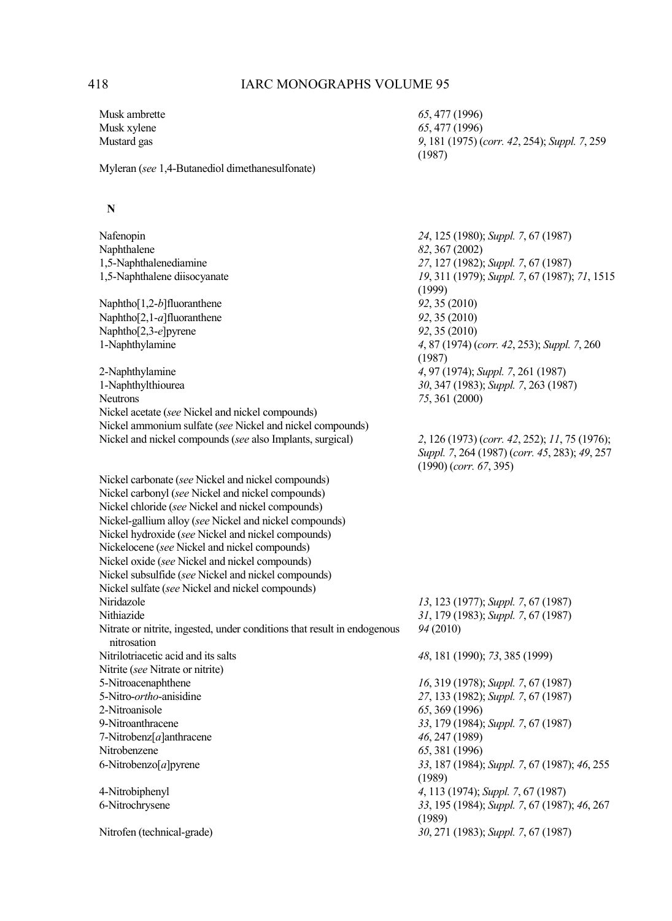Musk ambrette *65*, 477 (1996) Musk xylene *65*, 477 (1996)

Mustard gas *9*, 181 (1975) (*corr. 42*, 254); *Suppl. 7*, 259 (1987)

Myleran (*see* 1,4-Butanediol dimethanesulfonate)

### **N**

| Nafenopin                                                                               | 24, 125 (1980); Suppl. 7, 67 (1987)                                                                                        |
|-----------------------------------------------------------------------------------------|----------------------------------------------------------------------------------------------------------------------------|
| Naphthalene                                                                             | 82, 367 (2002)                                                                                                             |
| 1,5-Naphthalenediamine                                                                  | 27, 127 (1982); Suppl. 7, 67 (1987)                                                                                        |
| 1,5-Naphthalene diisocyanate                                                            | 19, 311 (1979); Suppl. 7, 67 (1987); 71, 1515                                                                              |
|                                                                                         | (1999)                                                                                                                     |
| Naphtho $[1,2-b]$ fluoranthene                                                          | 92, 35 (2010)                                                                                                              |
| Naphtho $[2,1-a]$ fluoranthene                                                          | 92, 35 (2010)                                                                                                              |
| Naphtho[2,3-e]pyrene                                                                    | 92, 35 (2010)                                                                                                              |
| 1-Naphthylamine                                                                         | 4, 87 (1974) (corr. 42, 253); Suppl. 7, 260                                                                                |
|                                                                                         | (1987)                                                                                                                     |
| 2-Naphthylamine                                                                         | 4, 97 (1974); Suppl. 7, 261 (1987)                                                                                         |
| 1-Naphthylthiourea                                                                      | 30, 347 (1983); Suppl. 7, 263 (1987)                                                                                       |
| <b>Neutrons</b>                                                                         | 75, 361 (2000)                                                                                                             |
| Nickel acetate (see Nickel and nickel compounds)                                        |                                                                                                                            |
| Nickel ammonium sulfate (see Nickel and nickel compounds)                               |                                                                                                                            |
| Nickel and nickel compounds (see also Implants, surgical)                               | 2, 126 (1973) (corr. 42, 252); 11, 75 (1976);<br>Suppl. 7, 264 (1987) (corr. 45, 283); 49, 257<br>$(1990)$ (corr. 67, 395) |
| Nickel carbonate (see Nickel and nickel compounds)                                      |                                                                                                                            |
| Nickel carbonyl (see Nickel and nickel compounds)                                       |                                                                                                                            |
| Nickel chloride (see Nickel and nickel compounds)                                       |                                                                                                                            |
| Nickel-gallium alloy (see Nickel and nickel compounds)                                  |                                                                                                                            |
| Nickel hydroxide (see Nickel and nickel compounds)                                      |                                                                                                                            |
| Nickelocene (see Nickel and nickel compounds)                                           |                                                                                                                            |
| Nickel oxide (see Nickel and nickel compounds)                                          |                                                                                                                            |
| Nickel subsulfide (see Nickel and nickel compounds)                                     |                                                                                                                            |
| Nickel sulfate (see Nickel and nickel compounds)                                        |                                                                                                                            |
| Niridazole                                                                              | 13, 123 (1977); Suppl. 7, 67 (1987)                                                                                        |
| Nithiazide                                                                              | 31, 179 (1983); Suppl. 7, 67 (1987)                                                                                        |
| Nitrate or nitrite, ingested, under conditions that result in endogenous<br>nitrosation | 94 (2010)                                                                                                                  |
| Nitrilotriacetic acid and its salts                                                     | 48, 181 (1990); 73, 385 (1999)                                                                                             |
| Nitrite (see Nitrate or nitrite)                                                        |                                                                                                                            |
| 5-Nitroacenaphthene                                                                     | 16, 319 (1978); Suppl. 7, 67 (1987)                                                                                        |
| 5-Nitro-ortho-anisidine                                                                 | 27, 133 (1982); Suppl. 7, 67 (1987)                                                                                        |
| 2-Nitroanisole                                                                          | 65, 369 (1996)                                                                                                             |
| 9-Nitroanthracene                                                                       | 33, 179 (1984); Suppl. 7, 67 (1987)                                                                                        |
| 7-Nitrobenz[a]anthracene                                                                | 46, 247 (1989)                                                                                                             |
| Nitrobenzene                                                                            | 65, 381 (1996)                                                                                                             |
| 6-Nitrobenzo $[a]$ pyrene                                                               | 33, 187 (1984); Suppl. 7, 67 (1987); 46, 255                                                                               |
|                                                                                         | (1989)                                                                                                                     |
| 4-Nitrobiphenyl                                                                         | 4, 113 (1974); Suppl. 7, 67 (1987)                                                                                         |
| 6-Nitrochrysene                                                                         | 33, 195 (1984); Suppl. 7, 67 (1987); 46, 267                                                                               |
|                                                                                         | (1989)                                                                                                                     |
| Nitrofen (technical-grade)                                                              | 30, 271 (1983); Suppl. 7, 67 (1987)                                                                                        |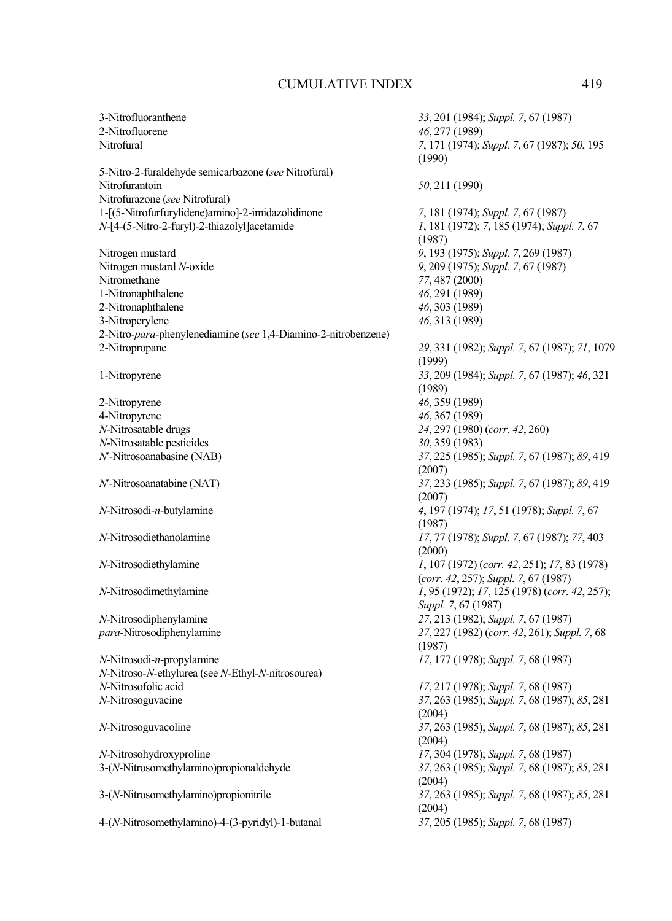5-Nitro-2-furaldehyde semicarbazone (*see* Nitrofural) Nitrofurazone (*see* Nitrofural) 1-[(5-Nitrofurfurylidene)amino]-2-imidazolidinone *7*, 181 (1974); *Suppl. 7*, 67 (1987) *N*-[4-(5-Nitro-2-furyl)-2-thiazolyl]acetamide

Nitrogen mustard *9*, 193 (1975); *Suppl. 7*, 269 (1987)<br>Nitrogen mustard *N*-oxide *9*, 209 (1975); *Suppl. 7*, 67 (1987) Nitrogen mustard *N*-oxide *9*, 209 (1975); *Suppl. 7*, 67 (1987) 1-Nitronaphthalene *46*, 291 (1989) 2-Nitronaphthalene *46*, 303 (1989) 3-Nitroperylene *46*, 313 (1989) 2-Nitro-*para*-phenylenediamine (*see* 1,4-Diamino-2-nitrobenzene) 2-Nitropropane *29*, 331 (1982); *Suppl. 7*, 67 (1987); *71*, 1079

2-Nitropyrene *46*, 359 (1989) 4-Nitropyrene *46*, 367 (1989)<br> *N*-Nitrosatable drugs 24, 297 (1980) *N*-Nitrosatable pesticides *30*, 359 (1983)<br>*N*'-Nitrosoanabasine (NAB) *37*, 225 (1985).

*N*-Nitrosodi-*n*-propylamine *17*, 177 (1978); *Suppl. 7*, 68 (1987) *N*-Nitroso-*N*-ethylurea (see *N*-Ethyl-*N*-nitrosourea) *N*-Nitrosofolic acid *17*, 217 (1978); *Suppl. 7*, 68 (1987) *N*-Nitrosoguvacine *37*, 263 (1985); *Suppl. 7*, 68 (1987); *85*, 281

*N*-Nitrosohydroxyproline *17*, 304 (1978); *Suppl. 7*, 68 (1987)

4-(*N*-Nitrosomethylamino)-4-(3-pyridyl)-1-butanal *37*, 205 (1985); *Suppl. 7*, 68 (1987)

3-Nitrofluoranthene *33*, 201 (1984); *Suppl. 7*, 67 (1987) 2-Nitrofluorene *46*, 277 (1989) Nitrofural *7*, 171 (1974); *Suppl. 7*, 67 (1987); *50*, 195 (1990) Nitrofurantoin *50*, 211 (1990) (1987) Nitromethane *77*, 487 (2000) (1999) 1-Nitropyrene *33*, 209 (1984); *Suppl. 7*, 67 (1987); *46*, 321 (1989) *N*-Nitrosatable drugs *24*, 297 (1980) (*corr. 42*, 260) *A*<sup>7</sup>, 225 (1985); *Suppl.* 7, 67 (1987); 89, 419 (2007) *N*′-Nitrosoanatabine (NAT) *37*, 233 (1985); *Suppl. 7*, 67 (1987); *89*, 419 (2007) *N*-Nitrosodi-*n*-butylamine *4*, 197 (1974); *17*, 51 (1978); *Suppl. 7*, 67 (1987) *N*-Nitrosodiethanolamine *17*, 77 (1978); *Suppl. 7*, 67 (1987); *77*, 403 (2000) *N*-Nitrosodiethylamine *1*, 107 (1972) (*corr. 42*, 251); *17*, 83 (1978) (*corr. 42*, 257); *Suppl. 7*, 67 (1987) *N*-Nitrosodimethylamine *1*, 95 (1972); *17*, 125 (1978) (*corr. 42*, 257); *Suppl. 7*, 67 (1987) *N*-Nitrosodiphenylamine *27*, 213 (1982); *Suppl. 7*, 67 (1987) *para*-Nitrosodiphenylamine *27*, 227 (1982) (*corr. 42*, 261); *Suppl. 7*, 68 (1987) (2004) *N*-Nitrosoguvacoline *37*, 263 (1985); *Suppl. 7*, 68 (1987); *85*, 281 (2004) 3-(*N*-Nitrosomethylamino)propionaldehyde *37*, 263 (1985); *Suppl. 7*, 68 (1987); *85*, 281 (2004) 3-(*N*-Nitrosomethylamino)propionitrile *37*, 263 (1985); *Suppl. 7*, 68 (1987); *85*, 281 (2004)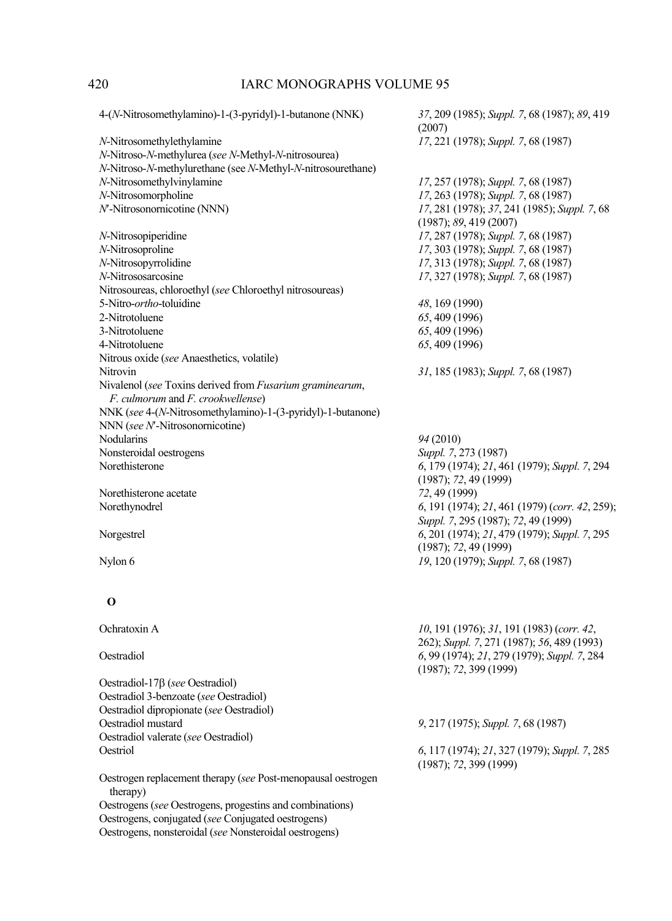| 4-(N-Nitrosomethylamino)-1-(3-pyridyl)-1-butanone (NNK)      | 37, 209 (1985); Suppl. 7, 68 (1987); 89, 419<br>(2007) |
|--------------------------------------------------------------|--------------------------------------------------------|
| N-Nitrosomethylethylamine                                    | 17, 221 (1978); Suppl. 7, 68 (1987)                    |
| N-Nitroso-N-methylurea (see N-Methyl-N-nitrosourea)          |                                                        |
| N-Nitroso-N-methylurethane (see N-Methyl-N-nitrosourethane)  |                                                        |
| N-Nitrosomethylvinylamine                                    | 17, 257 (1978); Suppl. 7, 68 (1987)                    |
| N-Nitrosomorpholine                                          | 17, 263 (1978); Suppl. 7, 68 (1987)                    |
| N'-Nitrosonornicotine (NNN)                                  | 17, 281 (1978); 37, 241 (1985); Suppl. 7, 68           |
|                                                              | (1987); 89, 419(2007)                                  |
| N-Nitrosopiperidine                                          | 17, 287 (1978); Suppl. 7, 68 (1987)                    |
| N-Nitrosoproline                                             | 17, 303 (1978); Suppl. 7, 68 (1987)                    |
| N-Nitrosopyrrolidine                                         | 17, 313 (1978); Suppl. 7, 68 (1987)                    |
| N-Nitrososarcosine                                           | 17, 327 (1978); Suppl. 7, 68 (1987)                    |
| Nitrosoureas, chloroethyl (see Chloroethyl nitrosoureas)     |                                                        |
| 5-Nitro-ortho-toluidine                                      | 48, 169 (1990)                                         |
| 2-Nitrotoluene                                               | 65, 409 (1996)                                         |
| 3-Nitrotoluene                                               | 65, 409 (1996)                                         |
|                                                              |                                                        |
| 4-Nitrotoluene                                               | 65, 409 (1996)                                         |
| Nitrous oxide (see Anaesthetics, volatile)                   |                                                        |
| Nitrovin                                                     | 31, 185 (1983); Suppl. 7, 68 (1987)                    |
| Nivalenol (see Toxins derived from Fusarium graminearum,     |                                                        |
| F. culmorum and F. crookwellense)                            |                                                        |
| NNK (see 4-(N-Nitrosomethylamino)-1-(3-pyridyl)-1-butanone)  |                                                        |
| NNN (see N'-Nitrosonornicotine)                              |                                                        |
| Nodularins                                                   | 94 (2010)                                              |
| Nonsteroidal oestrogens                                      | Suppl. 7, 273 (1987)                                   |
| Norethisterone                                               | 6, 179 (1974); 21, 461 (1979); Suppl. 7, 294           |
|                                                              | (1987); 72, 49(1999)                                   |
| Norethisterone acetate                                       | 72, 49 (1999)                                          |
| Norethynodrel                                                | 6, 191 (1974); 21, 461 (1979) (corr. 42, 259);         |
|                                                              | Suppl. 7, 295 (1987); 72, 49 (1999)                    |
| Norgestrel                                                   | 6, 201 (1974); 21, 479 (1979); Suppl. 7, 295           |
|                                                              | (1987); 72, 49 (1999)                                  |
| Nylon 6                                                      | 19, 120 (1979); Suppl. 7, 68 (1987)                    |
|                                                              |                                                        |
| $\bf{O}$                                                     |                                                        |
| Ochratoxin A                                                 | $10, 191$ (1976); 31, 191 (1983) (corr. 42,            |
|                                                              | 262); Suppl. 7, 271 (1987); 56, 489 (1993)             |
| Oestradiol                                                   | 6, 99 (1974); 21, 279 (1979); Suppl. 7, 284            |
|                                                              | (1987); 72, 399 (1999)                                 |
| Oestradiol-17 $\beta$ (see Oestradiol)                       |                                                        |
| Oestradiol 3-benzoate (see Oestradiol)                       |                                                        |
| Oestradiol dipropionate (see Oestradiol)                     |                                                        |
| Oestradiol mustard                                           | 9, 217 (1975); Suppl. 7, 68 (1987)                     |
| Oestradiol valerate (see Oestradiol)                         |                                                        |
| Oestriol                                                     | 6, 117 (1974); 21, 327 (1979); Suppl. 7, 285           |
|                                                              | (1987); 72, 399 (1999)                                 |
| Oestrogen replacement therapy (see Post-menopausal oestrogen |                                                        |
| therapy)                                                     |                                                        |
| Oestrogens (see Oestrogens, progestins and combinations)     |                                                        |
| Oestrogens, conjugated (see Conjugated oestrogens)           |                                                        |
| Oestrogens, nonsteroidal (see Nonsteroidal oestrogens)       |                                                        |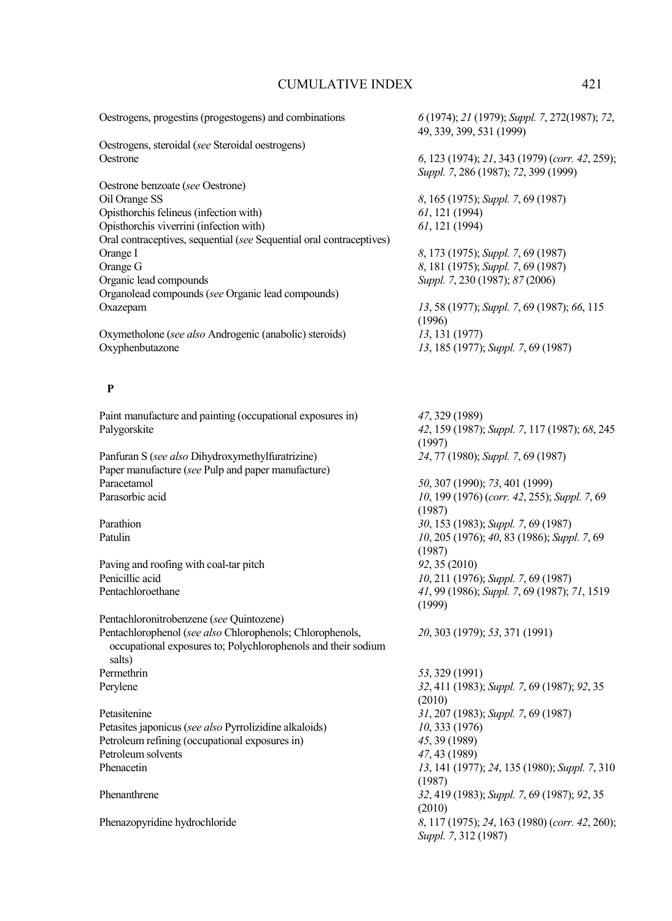Oestrogens, progestins (progestogens) and combinations *6* (1974); *21* (1979); *Suppl. 7*, 272(1987); *72*, 49, 339, 399, 531 (1999) Oestrogens, steroidal (*see* Steroidal oestrogens) Oestrone *6*, 123 (1974); *21*, 343 (1979) (*corr. 42*, 259); *Suppl. 7*, 286 (1987); *72*, 399 (1999) Oestrone benzoate (*see* Oestrone) Oil Orange SS *8*, 165 (1975); *Suppl. 7*, 69 (1987) Opisthorchis felineus (infection with) *61*, 121 (1994)<br>
Opisthorchis viverrini (infection with) *61*, 121 (1994) Opisthorchis viverrini (infection with) Oral contraceptives, sequential (*see* Sequential oral contraceptives) Orange I *8*, 173 (1975); *Suppl. 7*, 69 (1987)<br>Orange G *8*, 181 (1975); *Suppl. 7*, 69 (1987) Orange G *8*, 181 (1975); *Suppl. 7*, 69 (1987) Organic lead compounds *Suppl. 7*, 230 (1987); *87* (2006) Organolead compounds (*see* Organic lead compounds) Oxazepam *13*, 58 (1977); *Suppl. 7*, 69 (1987); *66*, 115 (1996) Oxymetholone (*see also* Androgenic (anabolic) steroids) *13*, 131 (1977) Oxyphenbutazone *13*, 185 (1977); *Suppl. 7*, 69 (1987)  **P**  Paint manufacture and painting (occupational exposures in) *47*, 329 (1989) Palygorskite *42*, 159 (1987); *Suppl. 7*, 117 (1987); *68*, 245 (1997) Panfuran S (*see also* Dihydroxymethylfuratrizine) *24*, 77 (1980); *Suppl. 7*, 69 (1987) Paper manufacture (*see* Pulp and paper manufacture) Paracetamol *50*, 307 (1990); *73*, 401 (1999) Parasorbic acid *10*, 199 (1976) (*corr. 42*, 255); *Suppl. 7*, 69 (1987) Parathion *30*, 153 (1983); *Suppl. 7*, 69 (1987) Patulin *10*, 205 (1976); *40*, 83 (1986); *Suppl. 7*, 69 (1987) Paving and roofing with coal-tar pitch *92*, 35 (2010)<br>Penicillic acid *10* 211 (1976 Penicillic acid *10*, 211 (1976); *Suppl. 7*, 69 (1987) Pentachloroethane *41*, 99 (1986); *Suppl. 7*, 69 (1987); *71*, 1519 (1999) Pentachloronitrobenzene (*see* Quintozene) Pentachlorophenol (*see also* Chlorophenols; Chlorophenols, occupational exposures to; Polychlorophenols and their sodium salts) *20*, 303 (1979); *53*, 371 (1991) Permethrin *53*, 329 (1991) Perylene *32*, 411 (1983); *Suppl. 7*, 69 (1987); *92*, 35

Petasitenine *31*, 207 (1983); *Suppl. 7*, 69 (1987) Petasites japonicus (*see also* Pyrrolizidine alkaloids) *10*, 333 (1976) Petroleum refining (occupational exposures in) *45*, 39 (1989) Petroleum solvents *47*, 43 (1989) Phenacetin *13*, 141 (1977); *24*, 135 (1980); *Suppl. 7*, 310

(2010) (1987) Phenanthrene *32*, 419 (1983); *Suppl. 7*, 69 (1987); *92*, 35 (2010) Phenazopyridine hydrochloride *8*, 117 (1975); *24*, 163 (1980) (*corr. 42*, 260); *Suppl. 7*, 312 (1987)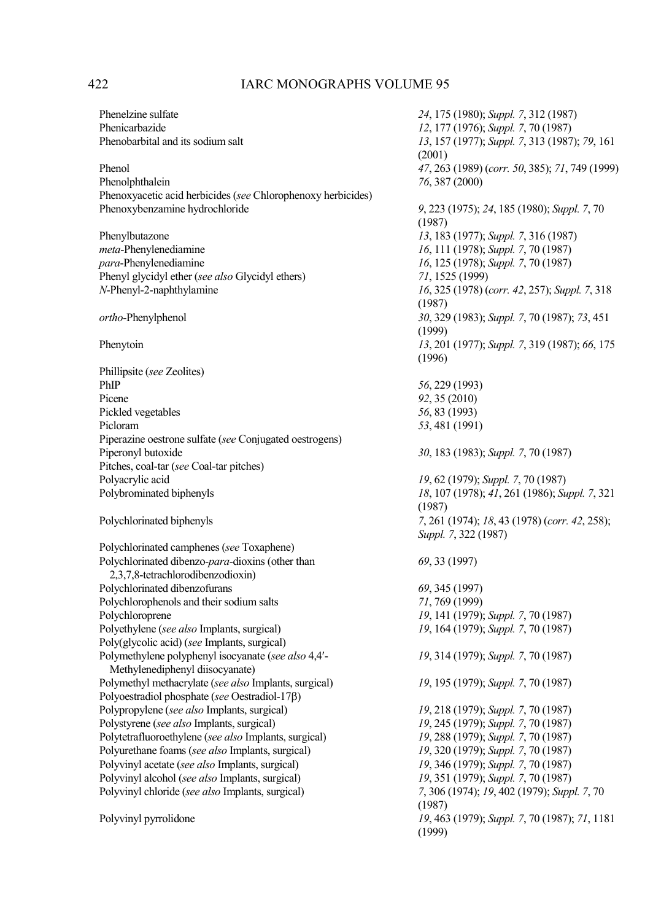Phenol *47*, 263 (1989) (*corr. 50*, 385); *71*, 749 (1999) Phenoxyacetic acid herbicides (*see* Chlorophenoxy herbicides) Phenoxybenzamine hydrochloride *9*, 223 (1975); *24*, 185 (1980); *Suppl. 7*, 70

Phenylbutazone *13*, 183 (1977); *Suppl. 7*, 316 (1987) *meta*-Phenylenediamine *16*, 111 (1978); *Suppl. 7*, 70 (1987) Phenyl glycidyl ether (*see also* Glycidyl ethers) *71*, 1525 (1999)

Phillipsite (*see* Zeolites) PhIP *56*, 229 (1993) Picene *92*, 35 (2010) Pickled vegetables *56*, 83 (1993) Picloram *53*, 481 (1991) Piperazine oestrone sulfate (*see* Conjugated oestrogens) Pitches, coal-tar (*see* Coal-tar pitches) Polyacrylic acid *19*, 62 (1979); *Suppl. 7*, 70 (1987)

Polychlorinated camphenes (*see* Toxaphene) Polychlorinated dibenzo-*para*-dioxins (other than 2,3,7,8-tetrachlorodibenzodioxin) Polychlorinated dibenzofurans *69*, 345 (1997) Polychlorophenols and their sodium salts *71*, 769 (1999) Polyethylene (*see also* Implants, surgical) Poly(glycolic acid) (*see* Implants, surgical) Polymethylene polyphenyl isocyanate (*see also* 4,4′- Methylenediphenyl diisocyanate) Polymethyl methacrylate (*see also* Implants, surgical) *19*, 195 (1979); *Suppl. 7*, 70 (1987) Polyoestradiol phosphate (*see* Oestradiol-17β) Polypropylene (*see also* Implants, surgical) *19*, 218 (1979); *Suppl. 7*, 70 (1987) Polystyrene (*see also* Implants, surgical) *19*, 245 (1979); *Suppl. 7*, 70 (1987) Polytetrafluoroethylene (*see also* Implants, surgical) *19*, 288 (1979); *Suppl. 7*, 70 (1987) Polyurethane foams (*see also* Implants, surgical) *19*, 320 (1979); *Suppl. 7*, 70 (1987) Polyvinyl acetate (*see also* Implants, surgical) *19*, 346 (1979); *Suppl. 7*, 70 (1987) Polyvinyl alcohol (*see also* Implants, surgical) *19*, 351 (1979); *Suppl. 7*, 70 (1987) Polyvinyl chloride (*see also* Implants, surgical)

Phenelzine sulfate *24*, 175 (1980); *Suppl. 7*, 312 (1987) Phenicarbazide *12*, 177 (1976); *Suppl. 7*, 70 (1987) Phenobarbital and its sodium salt *13*, 157 (1977); *Suppl. 7*, 313 (1987); *79*, 161 (2001) Phenolphthalein *76*, 387 (2000) (1987) *para*-Phenylenediamine *16*, 125 (1978); *Suppl. 7*, 70 (1987) *N*-Phenyl-2-naphroport *16*, 325 (1978) (*corr. 42*, 257); *Suppl.* 7, 318 (1987) *ortho*-Phenylphenol *30*, 329 (1983); *Suppl. 7*, 70 (1987); *73*, 451 (1999) Phenytoin *13*, 201 (1977); *Suppl. 7*, 319 (1987); *66*, 175 (1996) Piperonyl butoxide *30*, 183 (1983); *Suppl. 7*, 70 (1987) Polybrominated biphenyls *18*, 107 (1978); *41*, 261 (1986); *Suppl. 7*, 321 (1987) Polychlorinated biphenyls *7*, 261 (1974); *18*, 43 (1978) (*corr. 42*, 258); *Suppl. 7*, 322 (1987) *69*, 33 (1997) *19*, 141 (1979); *Suppl.* 7, 70 (1987)<br>*19*, 164 (1979); *Suppl.* 7, 70 (1987) *19*, 314 (1979); *Suppl. 7*, 70 (1987) (1987) Polyvinyl pyrrolidone *19*, 463 (1979); *Suppl. 7*, 70 (1987); *71*, 1181 (1999)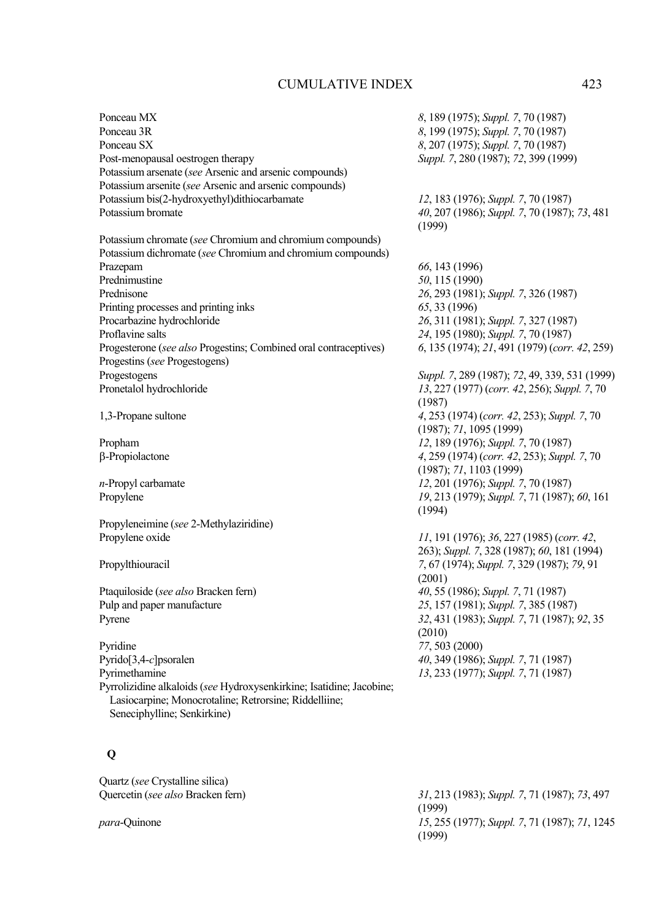| Ponceau MX                                                           | 8, 189 (1975); Suppl. 7, 70 (1987)            |
|----------------------------------------------------------------------|-----------------------------------------------|
| Ponceau 3R                                                           | 8, 199 (1975); Suppl. 7, 70 (1987)            |
| Ponceau SX                                                           | 8, 207 (1975); Suppl. 7, 70 (1987)            |
| Post-menopausal oestrogen therapy                                    | Suppl. 7, 280 (1987); 72, 399 (1999)          |
| Potassium arsenate (see Arsenic and arsenic compounds)               |                                               |
| Potassium arsenite (see Arsenic and arsenic compounds)               |                                               |
| Potassium bis(2-hydroxyethyl)dithiocarbamate                         | 12, 183 (1976); Suppl. 7, 70 (1987)           |
| Potassium bromate                                                    | 40, 207 (1986); Suppl. 7, 70 (1987); 73, 481  |
|                                                                      | (1999)                                        |
| Potassium chromate (see Chromium and chromium compounds)             |                                               |
| Potassium dichromate (see Chromium and chromium compounds)           |                                               |
| Prazepam                                                             | 66, 143 (1996)                                |
| Prednimustine                                                        | 50, 115 (1990)                                |
| Prednisone                                                           | 26, 293 (1981); Suppl. 7, 326 (1987)          |
| Printing processes and printing inks                                 | 65, 33 (1996)                                 |
| Procarbazine hydrochloride                                           | 26, 311 (1981); Suppl. 7, 327 (1987)          |
| Proflavine salts                                                     | 24, 195 (1980); Suppl. 7, 70 (1987)           |
| Progesterone (see also Progestins; Combined oral contraceptives)     | 6, 135 (1974); 21, 491 (1979) (corr. 42, 259) |
| Progestins (see Progestogens)                                        |                                               |
| Progestogens                                                         | Suppl. 7, 289 (1987); 72, 49, 339, 531 (1999) |
| Pronetalol hydrochloride                                             | 13, 227 (1977) (corr. 42, 256); Suppl. 7, 70  |
|                                                                      | (1987)                                        |
| 1,3-Propane sultone                                                  | 4, 253 (1974) (corr. 42, 253); Suppl. 7, 70   |
|                                                                      | (1987); 71, 1095 (1999)                       |
| Propham                                                              | 12, 189 (1976); Suppl. 7, 70 (1987)           |
| β-Propiolactone                                                      | 4, 259 (1974) (corr. 42, 253); Suppl. 7, 70   |
|                                                                      | (1987); 71, 1103 (1999)                       |
| n-Propyl carbamate                                                   | 12, 201 (1976); Suppl. 7, 70 (1987)           |
| Propylene                                                            | 19, 213 (1979); Suppl. 7, 71 (1987); 60, 161  |
|                                                                      | (1994)                                        |
| Propyleneimine (see 2-Methylaziridine)                               |                                               |
| Propylene oxide                                                      | 11, 191 (1976); 36, 227 (1985) (corr. 42,     |
|                                                                      | 263); Suppl. 7, 328 (1987); 60, 181 (1994)    |
| Propylthiouracil                                                     | 7, 67 (1974); Suppl. 7, 329 (1987); 79, 91    |
|                                                                      | (2001)                                        |
| Ptaquiloside (see also Bracken fern)                                 | 40, 55 (1986); Suppl. 7, 71 (1987)            |
| Pulp and paper manufacture                                           | 25, 157 (1981); Suppl. 7, 385 (1987)          |
| Pyrene                                                               | 32, 431 (1983); Suppl. 7, 71 (1987); 92, 35   |
|                                                                      | (2010)                                        |
| Pyridine                                                             | 77, 503 (2000)                                |
| Pyrido[3,4-c]psoralen                                                | 40, 349 (1986); Suppl. 7, 71 (1987)           |
| Pyrimethamine                                                        | 13, 233 (1977); Suppl. 7, 71 (1987)           |
| Pyrrolizidine alkaloids (see Hydroxysenkirkine; Isatidine; Jacobine; |                                               |
| Lasiocarpine; Monocrotaline; Retrorsine; Riddelliine;                |                                               |
| Seneciphylline; Senkirkine)                                          |                                               |
|                                                                      |                                               |

## **Q**

Quartz (*see* Crystalline silica)

Quercetin (*see also* Bracken fern) *31*, 213 (1983); *Suppl. 7*, 71 (1987); *73*, 497  $(1999)$ *para*-Quinone *15*, 255 (1977); *Suppl. 7*, 71 (1987); *71*, 1245 (1999)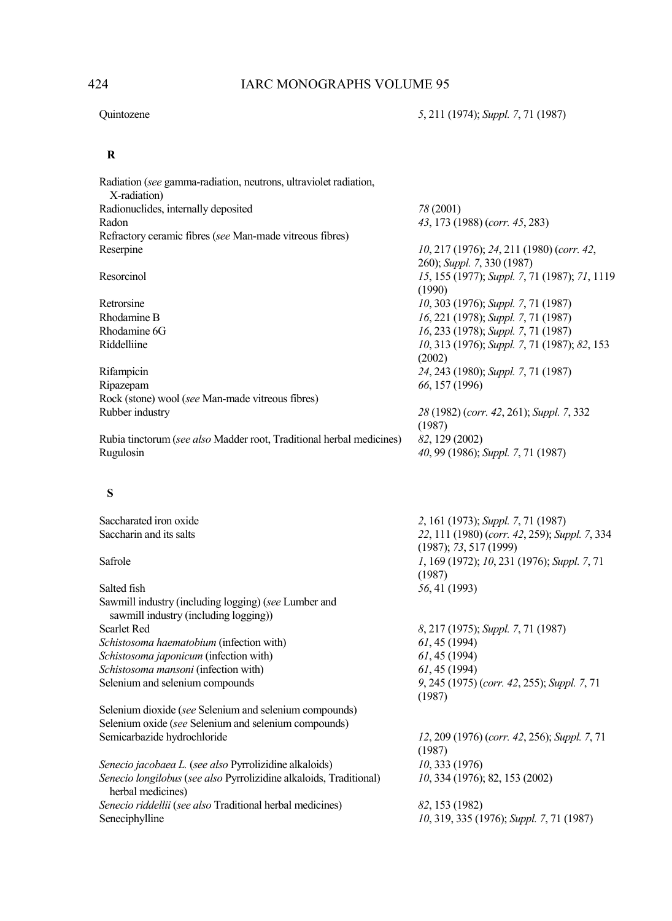## **R**

| Radiation (see gamma-radiation, neutrons, ultraviolet radiation,     |                                                         |
|----------------------------------------------------------------------|---------------------------------------------------------|
| X-radiation)                                                         |                                                         |
| Radionuclides, internally deposited                                  | 78 (2001)                                               |
| Radon                                                                | 43, 173 (1988) (corr. 45, 283)                          |
| Refractory ceramic fibres (see Man-made vitreous fibres)             |                                                         |
| Reserpine                                                            | $10, 217$ (1976); 24, 211 (1980) (corr. 42,             |
|                                                                      | 260); Suppl. 7, 330 (1987)                              |
| Resorcinol                                                           | 15, 155 (1977); Suppl. 7, 71 (1987); 71, 1119<br>(1990) |
| Retrorsine                                                           | 10, 303 (1976); Suppl. 7, 71 (1987)                     |
| Rhodamine B                                                          | 16, 221 (1978); Suppl. 7, 71 (1987)                     |
| Rhodamine 6G                                                         | 16, 233 (1978); Suppl. 7, 71 (1987)                     |
| Riddelliine                                                          | 10, 313 (1976); Suppl. 7, 71 (1987); 82, 153            |
|                                                                      | (2002)                                                  |
| Rifampicin                                                           | 24, 243 (1980); Suppl. 7, 71 (1987)                     |
| Ripazepam                                                            | 66, 157 (1996)                                          |
| Rock (stone) wool (see Man-made vitreous fibres)                     |                                                         |
| Rubber industry                                                      | 28 (1982) (corr. 42, 261); Suppl. 7, 332                |
|                                                                      | (1987)                                                  |
| Rubia tinctorum (see also Madder root, Traditional herbal medicines) | 82, 129 (2002)                                          |
| Rugulosin                                                            | 40, 99 (1986); Suppl. 7, 71 (1987)                      |
|                                                                      |                                                         |

## **S**

| Saccharated iron oxide                                                                        | 2, 161 (1973); Suppl. 7, 71 (1987)            |
|-----------------------------------------------------------------------------------------------|-----------------------------------------------|
| Saccharin and its salts                                                                       | 22, 111 (1980) (corr. 42, 259); Suppl. 7, 334 |
|                                                                                               | $(1987)$ ; 73, 517 (1999)                     |
| Safrole                                                                                       | 1, 169 (1972); 10, 231 (1976); Suppl. 7, 71   |
|                                                                                               | (1987)                                        |
| Salted fish                                                                                   | 56, 41 (1993)                                 |
| Sawmill industry (including logging) (see Lumber and<br>sawmill industry (including logging)) |                                               |
| Scarlet Red                                                                                   | 8, 217 (1975); Suppl. 7, 71 (1987)            |
| <i>Schistosoma haematobium</i> (infection with)                                               | 61, 45(1994)                                  |
| Schistosoma japonicum (infection with)                                                        | 61, 45(1994)                                  |
| Schistosoma mansoni (infection with)                                                          | 61, 45(1994)                                  |
| Selenium and selenium compounds                                                               | 9, 245 (1975) (corr. 42, 255); Suppl. 7, 71   |
|                                                                                               | (1987)                                        |
| Selenium dioxide (see Selenium and selenium compounds)                                        |                                               |
| Selenium oxide (see Selenium and selenium compounds)                                          |                                               |
| Semicarbazide hydrochloride                                                                   | 12, 209 (1976) (corr. 42, 256); Suppl. 7, 71  |
|                                                                                               | (1987)                                        |
| Senecio jacobaea L. (see also Pyrrolizidine alkaloids)                                        | 10, 333(1976)                                 |
| Senecio longilobus (see also Pyrrolizidine alkaloids, Traditional)<br>herbal medicines)       | 10, 334 (1976); 82, 153 (2002)                |
| Senecio riddellii (see also Traditional herbal medicines)                                     | 82, 153 (1982)                                |
| Seneciphylline                                                                                | 10, 319, 335 (1976); Suppl. 7, 71 (1987)      |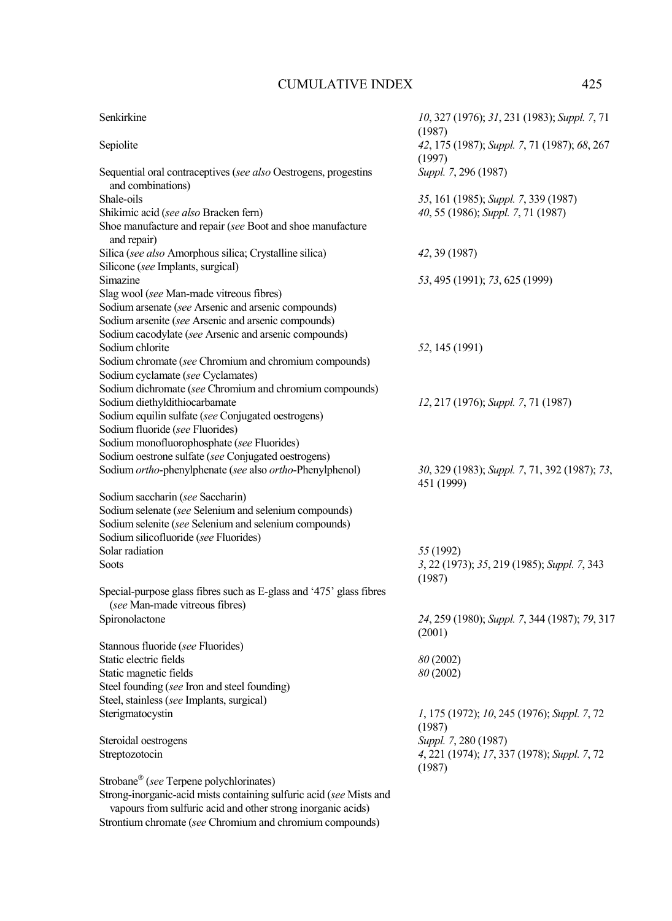| Senkirkine                                                                | 10, 327 (1976); 31, 231 (1983); Suppl. 7, 71                |
|---------------------------------------------------------------------------|-------------------------------------------------------------|
|                                                                           | (1987)                                                      |
| Sepiolite                                                                 | 42, 175 (1987); Suppl. 7, 71 (1987); 68, 267                |
|                                                                           | (1997)                                                      |
| Sequential oral contraceptives (see also Oestrogens, progestins           | Suppl. 7, 296 (1987)                                        |
| and combinations)                                                         |                                                             |
| Shale-oils                                                                | 35, 161 (1985); Suppl. 7, 339 (1987)                        |
| Shikimic acid (see also Bracken fern)                                     | 40, 55 (1986); Suppl. 7, 71 (1987)                          |
| Shoe manufacture and repair (see Boot and shoe manufacture<br>and repair) |                                                             |
| Silica (see also Amorphous silica; Crystalline silica)                    | 42, 39 (1987)                                               |
| Silicone (see Implants, surgical)                                         |                                                             |
| Simazine                                                                  | 53, 495 (1991); 73, 625 (1999)                              |
| Slag wool (see Man-made vitreous fibres)                                  |                                                             |
| Sodium arsenate (see Arsenic and arsenic compounds)                       |                                                             |
| Sodium arsenite (see Arsenic and arsenic compounds)                       |                                                             |
| Sodium cacodylate (see Arsenic and arsenic compounds)                     |                                                             |
| Sodium chlorite                                                           | 52, 145 (1991)                                              |
| Sodium chromate (see Chromium and chromium compounds)                     |                                                             |
| Sodium cyclamate (see Cyclamates)                                         |                                                             |
| Sodium dichromate (see Chromium and chromium compounds)                   |                                                             |
| Sodium diethyldithiocarbamate                                             | 12, 217 (1976); Suppl. 7, 71 (1987)                         |
| Sodium equilin sulfate (see Conjugated oestrogens)                        |                                                             |
| Sodium fluoride (see Fluorides)                                           |                                                             |
| Sodium monofluorophosphate (see Fluorides)                                |                                                             |
| Sodium oestrone sulfate (see Conjugated oestrogens)                       |                                                             |
| Sodium ortho-phenylphenate (see also ortho-Phenylphenol)                  | 30, 329 (1983); Suppl. 7, 71, 392 (1987); 73,<br>451 (1999) |
| Sodium saccharin (see Saccharin)                                          |                                                             |
| Sodium selenate (see Selenium and selenium compounds)                     |                                                             |
| Sodium selenite (see Selenium and selenium compounds)                     |                                                             |
| Sodium silicofluoride (see Fluorides)                                     |                                                             |
| Solar radiation                                                           | 55 (1992)                                                   |
| <b>Soots</b>                                                              | 3, 22 (1973); 35, 219 (1985); Suppl. 7, 343<br>(1987)       |
| Special-purpose glass fibres such as E-glass and '475' glass fibres       |                                                             |
| (see Man-made vitreous fibres)                                            |                                                             |
| Spironolactone                                                            | 24, 259 (1980); Suppl. 7, 344 (1987); 79, 317               |
|                                                                           | (2001)                                                      |
| Stannous fluoride (see Fluorides)                                         |                                                             |
| Static electric fields                                                    | 80 (2002)                                                   |
| Static magnetic fields                                                    | 80 (2002)                                                   |
| Steel founding (see Iron and steel founding)                              |                                                             |
| Steel, stainless (see Implants, surgical)                                 |                                                             |
| Sterigmatocystin                                                          | 1, 175 (1972); 10, 245 (1976); Suppl. 7, 72                 |
|                                                                           | (1987)                                                      |
| Steroidal oestrogens                                                      | Suppl. 7, 280 (1987)                                        |
| Streptozotocin                                                            | 4, 221 (1974); 17, 337 (1978); Suppl. 7, 72                 |
|                                                                           | (1987)                                                      |
| Strobane® (see Terpene polychlorinates)                                   |                                                             |
| Strong-inorganic-acid mists containing sulfuric acid (see Mists and       |                                                             |
| vapours from sulfuric acid and other strong inorganic acids)              |                                                             |

Strontium chromate (*see* Chromium and chromium compounds)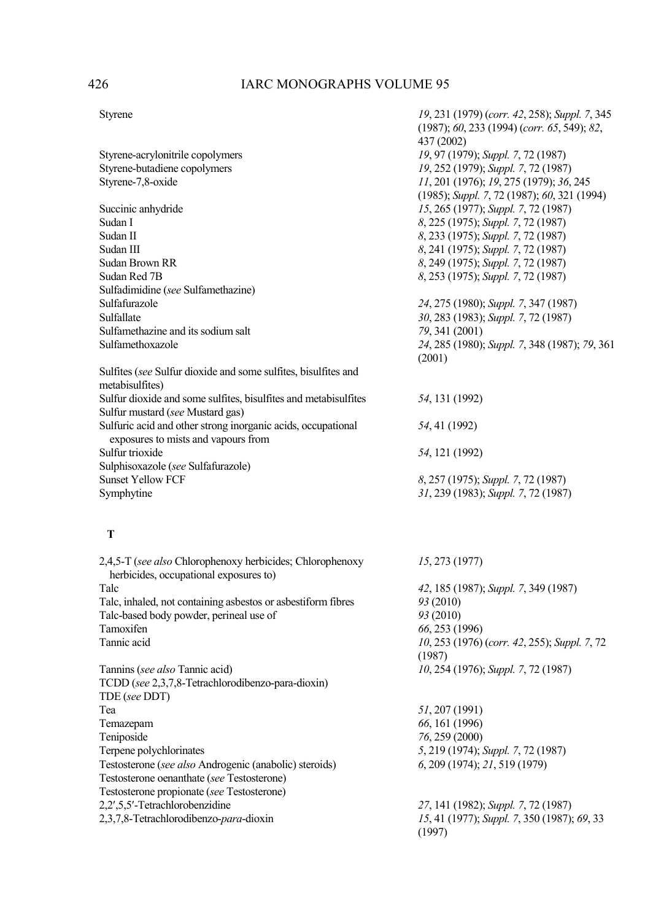Styrene *19*, 231 (1979) (*corr. 42*, 258); *Suppl. 7*, 345

|                                                                                                     | $(1987)$ ; 60, 233 $(1994)$ (corr. 65, 549); 82,<br>437 (2002) |
|-----------------------------------------------------------------------------------------------------|----------------------------------------------------------------|
| Styrene-acrylonitrile copolymers                                                                    | 19, 97 (1979); Suppl. 7, 72 (1987)                             |
| Styrene-butadiene copolymers                                                                        | 19, 252 (1979); Suppl. 7, 72 (1987)                            |
| Styrene-7,8-oxide                                                                                   | 11, 201 (1976); 19, 275 (1979); 36, 245                        |
|                                                                                                     | (1985); Suppl. 7, 72 (1987); 60, 321 (1994)                    |
| Succinic anhydride                                                                                  | 15, 265 (1977); Suppl. 7, 72 (1987)                            |
| Sudan I                                                                                             | 8, 225 (1975); Suppl. 7, 72 (1987)                             |
| Sudan II                                                                                            | 8, 233 (1975); Suppl. 7, 72 (1987)                             |
| Sudan III                                                                                           | 8, 241 (1975); Suppl. 7, 72 (1987)                             |
| Sudan Brown RR                                                                                      | 8, 249 (1975); Suppl. 7, 72 (1987)                             |
| Sudan Red 7B                                                                                        | 8, 253 (1975); Suppl. 7, 72 (1987)                             |
| Sulfadimidine (see Sulfamethazine)                                                                  |                                                                |
| Sulfafurazole                                                                                       | 24, 275 (1980); Suppl. 7, 347 (1987)                           |
| Sulfallate                                                                                          | 30, 283 (1983); Suppl. 7, 72 (1987)                            |
| Sulfamethazine and its sodium salt                                                                  | 79, 341 (2001)                                                 |
| Sulfamethoxazole                                                                                    | 24, 285 (1980); Suppl. 7, 348 (1987); 79, 361                  |
|                                                                                                     | (2001)                                                         |
| Sulfites (see Sulfur dioxide and some sulfites, bisulfites and<br>metabisulfites)                   |                                                                |
| Sulfur dioxide and some sulfites, bisulfites and metabisulfites<br>Sulfur mustard (see Mustard gas) | 54, 131 (1992)                                                 |
| Sulfuric acid and other strong inorganic acids, occupational<br>exposures to mists and vapours from | 54, 41 (1992)                                                  |
| Sulfur trioxide                                                                                     | 54, 121 (1992)                                                 |
| Sulphisoxazole (see Sulfafurazole)                                                                  |                                                                |
| <b>Sunset Yellow FCF</b>                                                                            | 8, 257 (1975); Suppl. 7, 72 (1987)                             |
| Symphytine                                                                                          | 31, 239 (1983); Suppl. 7, 72 (1987)                            |
| Т                                                                                                   |                                                                |
| 2,4,5-T (see also Chlorophenoxy herbicides; Chlorophenoxy<br>herbicides, occupational exposures to) | 15, 273 (1977)                                                 |
| Talc                                                                                                | 42, 185 (1987); Suppl. 7, 349 (1987)                           |
| Talc, inhaled, not containing asbestos or asbestiform fibres                                        | 93 (2010)                                                      |
| Talc-based body powder, perineal use of                                                             | 93 (2010)                                                      |
| Tamoxifen                                                                                           | 66, 253 (1996)                                                 |
| Tannic acid                                                                                         | 10, 253 (1976) (corr. 42, 255); Suppl. 7, 72<br>(1987)         |
| Tannins (see also Tannic acid)                                                                      | 10, 254 (1976); Suppl. 7, 72 (1987)                            |
| TCDD (see 2,3,7,8-Tetrachlorodibenzo-para-dioxin)<br>TDE (see DDT)                                  |                                                                |
| Tea                                                                                                 | 51, 207 (1991)                                                 |
| Temazepam                                                                                           | 66, 161 (1996)                                                 |
| Teniposide                                                                                          | 76, 259 (2000)                                                 |
| Terpene polychlorinates                                                                             | 5, 219 (1974); Suppl. 7, 72 (1987)                             |
| Testosterone (see also Androgenic (anabolic) steroids)                                              | 6, 209 (1974); 21, 519 (1979)                                  |
| Testosterone oenanthate (see Testosterone)                                                          |                                                                |
| Testosterone propionate (see Testosterone)                                                          |                                                                |
| 2,2',5,5'-Tetrachlorobenzidine                                                                      | 27, 141 (1982); Suppl. 7, 72 (1987)                            |
| 2,3,7,8-Tetrachlorodibenzo-para-dioxin                                                              | 15, 41 (1977); Suppl. 7, 350 (1987); 69, 33<br>(1997)          |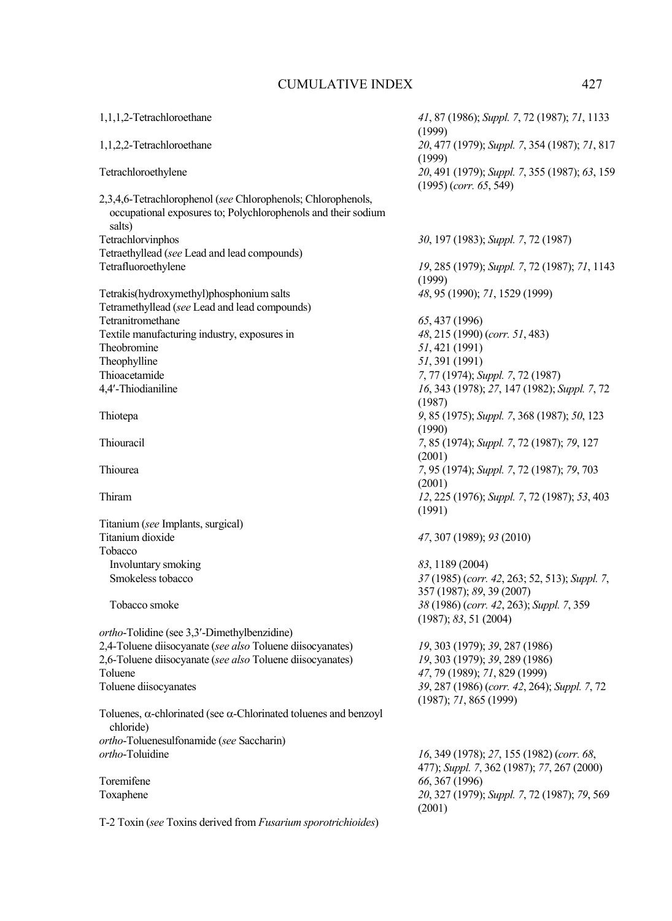| 1,1,1,2-Tetrachloroethane                                                                                                     | 41, 87 (1986); Suppl. 7, 72 (1987); 71, 1133<br>(1999)                    |
|-------------------------------------------------------------------------------------------------------------------------------|---------------------------------------------------------------------------|
| 1,1,2,2-Tetrachloroethane                                                                                                     | 20, 477 (1979); Suppl. 7, 354 (1987); 71, 817<br>(1999)                   |
| Tetrachloroethylene                                                                                                           | 20, 491 (1979); Suppl. 7, 355 (1987); 63, 159<br>$(1995)$ (corr. 65, 549) |
| 2,3,4,6-Tetrachlorophenol (see Chlorophenols; Chlorophenols,<br>occupational exposures to; Polychlorophenols and their sodium |                                                                           |
| salts)                                                                                                                        |                                                                           |
| Tetrachlorvinphos                                                                                                             | 30, 197 (1983); Suppl. 7, 72 (1987)                                       |
| Tetraethyllead (see Lead and lead compounds)                                                                                  |                                                                           |
| Tetrafluoroethylene                                                                                                           | 19, 285 (1979); Suppl. 7, 72 (1987); 71, 1143<br>(1999)                   |
| Tetrakis(hydroxymethyl)phosphonium salts                                                                                      | 48, 95 (1990); 71, 1529 (1999)                                            |
| Tetramethyllead (see Lead and lead compounds)                                                                                 |                                                                           |
| Tetranitromethane                                                                                                             | 65, 437 (1996)                                                            |
| Textile manufacturing industry, exposures in                                                                                  | 48, 215 (1990) (corr. 51, 483)                                            |
| Theobromine                                                                                                                   | 51, 421 (1991)                                                            |
| Theophylline                                                                                                                  | 51, 391 (1991)                                                            |
| Thioacetamide                                                                                                                 | 7, 77 (1974); Suppl. 7, 72 (1987)                                         |
| 4,4'-Thiodianiline                                                                                                            | 16, 343 (1978); 27, 147 (1982); Suppl. 7, 72                              |
|                                                                                                                               | (1987)                                                                    |
| Thiotepa                                                                                                                      | 9, 85 (1975); Suppl. 7, 368 (1987); 50, 123<br>(1990)                     |
| Thiouracil                                                                                                                    | 7, 85 (1974); Suppl. 7, 72 (1987); 79, 127                                |
|                                                                                                                               | (2001)                                                                    |
| Thiourea                                                                                                                      | 7, 95 (1974); Suppl. 7, 72 (1987); 79, 703                                |
|                                                                                                                               | (2001)                                                                    |
| Thiram                                                                                                                        | 12, 225 (1976); Suppl. 7, 72 (1987); 53, 403                              |
|                                                                                                                               | (1991)                                                                    |
| Titanium (see Implants, surgical)                                                                                             |                                                                           |
| Titanium dioxide                                                                                                              | 47, 307 (1989); 93 (2010)                                                 |
| Tobacco                                                                                                                       |                                                                           |
| Involuntary smoking                                                                                                           | 83, 1189 (2004)                                                           |
| Smokeless tobacco                                                                                                             | 37 (1985) (corr. 42, 263; 52, 513); Suppl. 7,                             |
|                                                                                                                               | 357 (1987); 89, 39 (2007)                                                 |
| Tobacco smoke                                                                                                                 | 38 (1986) (corr. 42, 263); Suppl. 7, 359                                  |
|                                                                                                                               | (1987); 83, 51 (2004)                                                     |
| ortho-Tolidine (see 3,3'-Dimethylbenzidine)                                                                                   |                                                                           |
| 2,4-Toluene diisocyanate (see also Toluene diisocyanates)                                                                     | 19, 303 (1979); 39, 287 (1986)                                            |
| 2,6-Toluene diisocyanate (see also Toluene diisocyanates)                                                                     | 19, 303 (1979); 39, 289 (1986)                                            |
| Toluene                                                                                                                       | 47, 79 (1989); 71, 829 (1999)                                             |
| Toluene diisocyanates                                                                                                         | 39, 287 (1986) (corr. 42, 264); Suppl. 7, 72                              |
|                                                                                                                               | (1987); 71, 865 (1999)                                                    |
| Toluenes, $\alpha$ -chlorinated (see $\alpha$ -Chlorinated toluenes and benzoyl<br>chloride)                                  |                                                                           |
| ortho-Toluenesulfonamide (see Saccharin)                                                                                      |                                                                           |
| ortho-Toluidine                                                                                                               | 16, 349 (1978); 27, 155 (1982) (corr. 68,                                 |
|                                                                                                                               | 477); Suppl. 7, 362 (1987); 77, 267 (2000)                                |
| Toremifene                                                                                                                    | 66, 367 (1996)                                                            |
| Toxaphene                                                                                                                     | 20, 327 (1979); Suppl. 7, 72 (1987); 79, 569<br>(2001)                    |
| T-2 Toxin (see Toxins derived from <i>Fusarium sporotrichioides</i> )                                                         |                                                                           |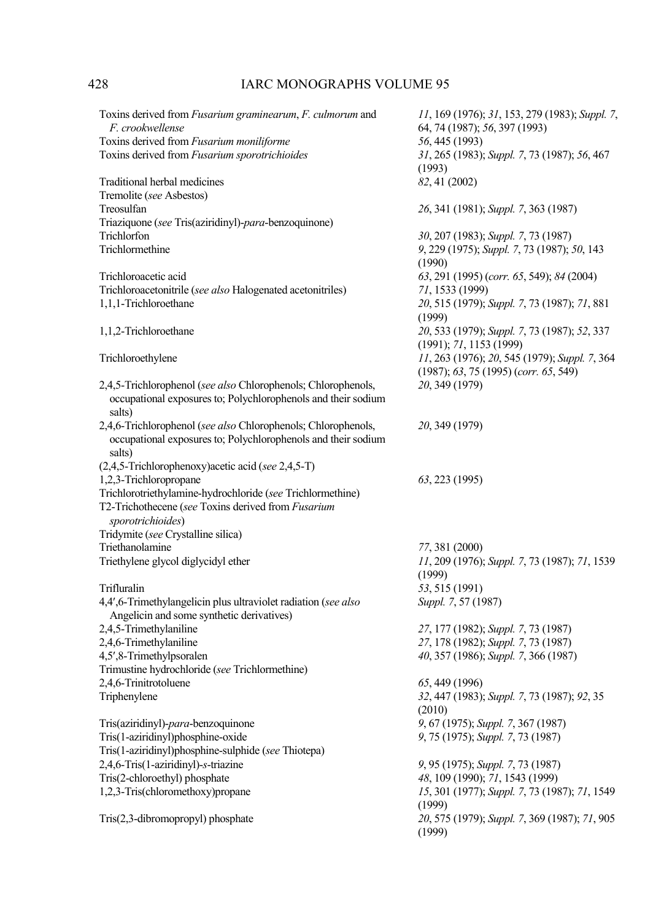| Toxins derived from <i>Fusarium graminearum</i> , <i>F. culmorum</i> and<br>F. crookwellense<br>Toxins derived from Fusarium moniliforme | 11, 169 (1976); 31, 153, 279 (1983); Suppl. 7,<br>64, 74 (1987); 56, 397 (1993)<br>56, 445 (1993) |
|------------------------------------------------------------------------------------------------------------------------------------------|---------------------------------------------------------------------------------------------------|
| Toxins derived from Fusarium sporotrichioides                                                                                            | 31, 265 (1983); Suppl. 7, 73 (1987); 56, 467<br>(1993)                                            |
| Traditional herbal medicines                                                                                                             | 82, 41 (2002)                                                                                     |
| Tremolite (see Asbestos)                                                                                                                 |                                                                                                   |
| Treosulfan                                                                                                                               | 26, 341 (1981); Suppl. 7, 363 (1987)                                                              |
| Triaziquone (see Tris(aziridinyl)-para-benzoquinone)                                                                                     |                                                                                                   |
| Trichlorfon                                                                                                                              | 30, 207 (1983); Suppl. 7, 73 (1987)                                                               |
| Trichlormethine                                                                                                                          | 9, 229 (1975); Suppl. 7, 73 (1987); 50, 143<br>(1990)                                             |
| Trichloroacetic acid                                                                                                                     | 63, 291 (1995) (corr. 65, 549); 84 (2004)                                                         |
| Trichloroacetonitrile (see also Halogenated acetonitriles)                                                                               | 71, 1533 (1999)                                                                                   |
| 1,1,1-Trichloroethane                                                                                                                    | 20, 515 (1979); Suppl. 7, 73 (1987); 71, 881<br>(1999)                                            |
| 1,1,2-Trichloroethane                                                                                                                    | 20, 533 (1979); Suppl. 7, 73 (1987); 52, 337<br>(1991); 71, 1153 (1999)                           |
| Trichloroethylene                                                                                                                        | 11, 263 (1976); 20, 545 (1979); Suppl. 7, 364<br>(1987); 63, 75 (1995) (corr. 65, 549)            |
| 2,4,5-Trichlorophenol (see also Chlorophenols; Chlorophenols,                                                                            | 20, 349 (1979)                                                                                    |
| occupational exposures to; Polychlorophenols and their sodium<br>salts)                                                                  |                                                                                                   |
| 2,4,6-Trichlorophenol (see also Chlorophenols; Chlorophenols,                                                                            | 20, 349 (1979)                                                                                    |
| occupational exposures to; Polychlorophenols and their sodium<br>salts)                                                                  |                                                                                                   |
| $(2,4,5$ -Trichlorophenoxy) acetic acid (see 2,4,5-T)                                                                                    |                                                                                                   |
| 1,2,3-Trichloropropane                                                                                                                   | 63, 223 (1995)                                                                                    |
| Trichlorotriethylamine-hydrochloride (see Trichlormethine)                                                                               |                                                                                                   |
| T2-Trichothecene (see Toxins derived from Fusarium                                                                                       |                                                                                                   |
| sporotrichioides)                                                                                                                        |                                                                                                   |
| Tridymite (see Crystalline silica)                                                                                                       |                                                                                                   |
| Triethanolamine                                                                                                                          | 77, 381 (2000)                                                                                    |
| Triethylene glycol diglycidyl ether                                                                                                      | 11, 209 (1976); Suppl. 7, 73 (1987); 71, 1539                                                     |
|                                                                                                                                          | (1999)                                                                                            |
| Trifluralin                                                                                                                              | 53, 515 (1991)                                                                                    |
| 4,4',6-Trimethylangelicin plus ultraviolet radiation (see also                                                                           | Suppl. 7, 57 (1987)                                                                               |
| Angelicin and some synthetic derivatives)                                                                                                |                                                                                                   |
| 2,4,5-Trimethylaniline                                                                                                                   | 27, 177 (1982); Suppl. 7, 73 (1987)                                                               |
| 2,4,6-Trimethylaniline                                                                                                                   | 27, 178 (1982); Suppl. 7, 73 (1987)                                                               |
| 4,5',8-Trimethylpsoralen                                                                                                                 | 40, 357 (1986); Suppl. 7, 366 (1987)                                                              |
| Trimustine hydrochloride (see Trichlormethine)                                                                                           |                                                                                                   |
| 2,4,6-Trinitrotoluene                                                                                                                    | 65, 449 (1996)                                                                                    |
| Triphenylene                                                                                                                             | 32, 447 (1983); Suppl. 7, 73 (1987); 92, 35                                                       |
|                                                                                                                                          | (2010)                                                                                            |
| Tris(aziridinyl)-para-benzoquinone                                                                                                       | 9, 67 (1975); Suppl. 7, 367 (1987)                                                                |
| Tris(1-aziridinyl)phosphine-oxide                                                                                                        | 9, 75 (1975); Suppl. 7, 73 (1987)                                                                 |
| Tris(1-aziridinyl)phosphine-sulphide (see Thiotepa)                                                                                      |                                                                                                   |
| 2,4,6-Tris(1-aziridinyl)-s-triazine                                                                                                      | 9, 95 (1975); Suppl. 7, 73 (1987)                                                                 |
| Tris(2-chloroethyl) phosphate                                                                                                            | 48, 109 (1990); 71, 1543 (1999)                                                                   |
| 1,2,3-Tris(chloromethoxy)propane                                                                                                         | 15, 301 (1977); Suppl. 7, 73 (1987); 71, 1549<br>(1999)                                           |
| Tris(2,3-dibromopropyl) phosphate                                                                                                        | 20, 575 (1979); Suppl. 7, 369 (1987); 71, 905<br>(1999)                                           |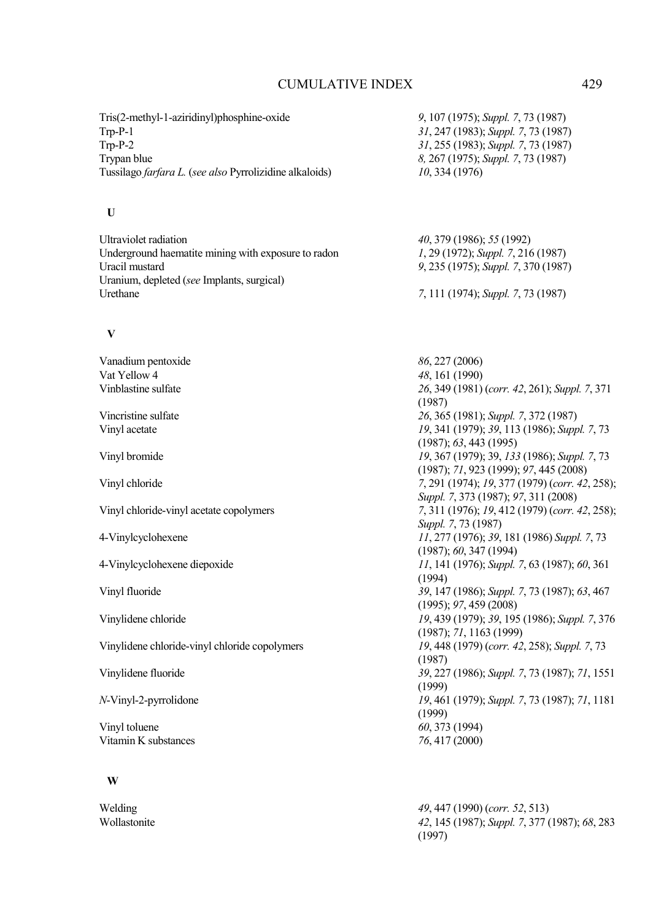| Tris(2-methyl-1-aziridinyl)phosphine-oxide              | 9, 107 (1975); Suppl. 7, 73 (1987)             |
|---------------------------------------------------------|------------------------------------------------|
| $Trp-P-1$                                               | 31, 247 (1983); Suppl. 7, 73 (1987)            |
| $Trp-P-2$                                               | 31, 255 (1983); Suppl. 7, 73 (1987)            |
| Trypan blue                                             | 8, 267 (1975); Suppl. 7, 73 (1987)             |
| Tussilago farfara L. (see also Pyrrolizidine alkaloids) | 10,334(1976)                                   |
| U                                                       |                                                |
| Ultraviolet radiation                                   | 40, 379 (1986); 55 (1992)                      |
| Underground haematite mining with exposure to radon     | 1, 29 (1972); Suppl. 7, 216 (1987)             |
| Uracil mustard                                          | 9, 235 (1975); Suppl. 7, 370 (1987)            |
| Uranium, depleted (see Implants, surgical)              |                                                |
| Urethane                                                | 7, 111 (1974); Suppl. 7, 73 (1987)             |
| V                                                       |                                                |
| Vanadium pentoxide                                      | 86, 227 (2006)                                 |
| Vat Yellow 4                                            | 48, 161 (1990)                                 |
| Vinblastine sulfate                                     | 26, 349 (1981) (corr. 42, 261); Suppl. 7, 371  |
|                                                         | (1987)                                         |
| Vincristine sulfate                                     | 26, 365 (1981); Suppl. 7, 372 (1987)           |
| Vinyl acetate                                           | 19, 341 (1979); 39, 113 (1986); Suppl. 7, 73   |
|                                                         | (1987); 63, 443 (1995)                         |
| Vinyl bromide                                           | 19, 367 (1979); 39, 133 (1986); Suppl. 7, 73   |
|                                                         | (1987); 71, 923 (1999); 97, 445 (2008)         |
| Vinyl chloride                                          | 7, 291 (1974); 19, 377 (1979) (corr. 42, 258); |
|                                                         | Suppl. 7, 373 (1987); 97, 311 (2008)           |
| Vinyl chloride-vinyl acetate copolymers                 | 7, 311 (1976); 19, 412 (1979) (corr. 42, 258); |
|                                                         | Suppl. 7, 73 (1987)                            |
| 4-Vinylcyclohexene                                      | 11, 277 (1976); 39, 181 (1986) Suppl. 7, 73    |
|                                                         | (1987); 60, 347(1994)                          |
| 4-Vinylcyclohexene diepoxide                            | 11, 141 (1976); Suppl. 7, 63 (1987); 60, 361   |
|                                                         | (1994)                                         |
| Vinyl fluoride                                          | 39, 147 (1986); Suppl. 7, 73 (1987); 63, 467   |
|                                                         | (1995); 97, 459(2008)                          |
| Vinylidene chloride                                     | 19, 439 (1979); 39, 195 (1986); Suppl. 7, 376  |
|                                                         | (1987); 71, 1163 (1999)                        |
| Vinylidene chloride-vinyl chloride copolymers           | 19, 448 (1979) (corr. 42, 258); Suppl. 7, 73   |
|                                                         | (1987)                                         |
| Vinylidene fluoride                                     | 39, 227 (1986); Suppl. 7, 73 (1987); 71, 1551  |
|                                                         | (1999)                                         |
| N-Vinyl-2-pyrrolidone                                   | 19, 461 (1979); Suppl. 7, 73 (1987); 71, 1181  |
|                                                         | (1999)                                         |
| Vinyl toluene                                           | 60, 373 (1994)                                 |
| Vitamin K substances                                    | 76, 417 (2000)                                 |
|                                                         |                                                |

 **W** 

Welding *49*, 447 (1990) (*corr. 52*, 513) Wollastonite *42*, 145 (1987); *Suppl. 7*, 377 (1987); *68*, 283 (1997)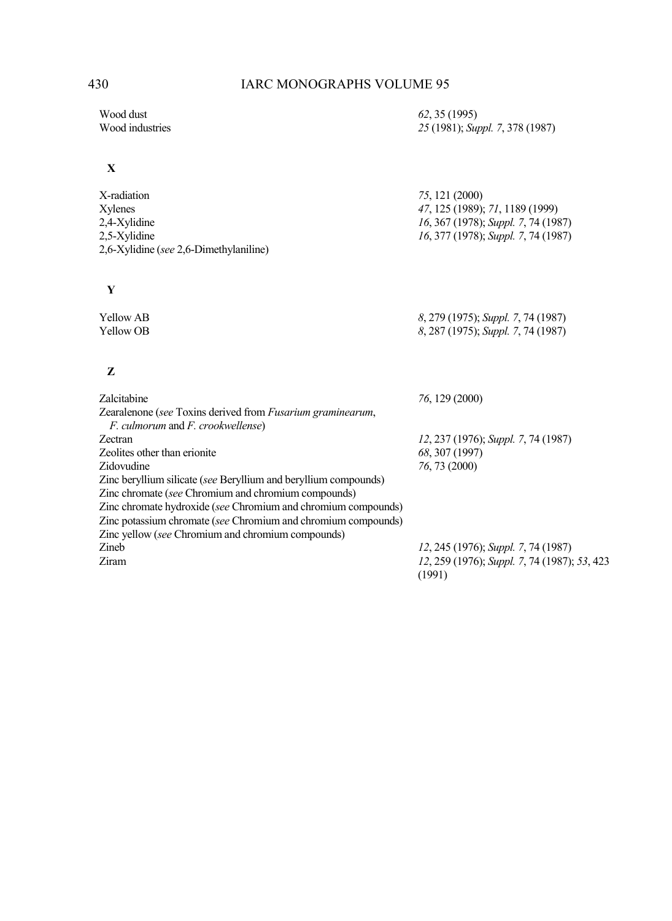Wood dust<br>
Wood industries
25 (1995)
Wood industries
25 (1991); Sup

### **X**

| X-radiation                            | 75, 121 (2000)                      |
|----------------------------------------|-------------------------------------|
| Xylenes                                | 47, 125 (1989); 71, 1189 (1999)     |
| 2,4-Xylidine                           | 16, 367 (1978); Suppl. 7, 74 (1987) |
| 2.5-Xylidine                           | 16, 377 (1978); Suppl. 7, 74 (1987) |
| 2,6-Xylidine (see 2,6-Dimethylaniline) |                                     |
|                                        |                                     |

 **Y** 

Yellow AB *8*, 279 (1975); *Suppl. 7*, 74 (1987)<br>
Yellow OB *8*, 287 (1975); *Suppl. 7*, 74 (1987) Yellow OB *8*, 287 (1975); *Suppl. 7*, 74 (1987)

## **Z**

| <b>Zalcitabine</b>                                                 | 76, 129 (2000)                                         |
|--------------------------------------------------------------------|--------------------------------------------------------|
| Zearalenone (see Toxins derived from <i>Fusarium graminearum</i> , |                                                        |
| <i>F. culmorum</i> and <i>F. crookwellense</i> )                   |                                                        |
| <b>Zectran</b>                                                     | 12, 237 (1976); Suppl. 7, 74 (1987)                    |
| Zeolites other than erionite                                       | 68, 307 (1997)                                         |
| Zidovudine                                                         | 76, 73 (2000)                                          |
| Zinc beryllium silicate (see Beryllium and beryllium compounds)    |                                                        |
| Zinc chromate (see Chromium and chromium compounds)                |                                                        |
| Zinc chromate hydroxide (see Chromium and chromium compounds)      |                                                        |
| Zinc potassium chromate (see Chromium and chromium compounds)      |                                                        |
| Zinc yellow (see Chromium and chromium compounds)                  |                                                        |
| Zineb                                                              | 12, 245 (1976); Suppl. 7, 74 (1987)                    |
| Ziram                                                              | 12, 259 (1976); Suppl. 7, 74 (1987); 53, 423<br>(1991) |

25 (1981); *Suppl.* 7, 378 (1987)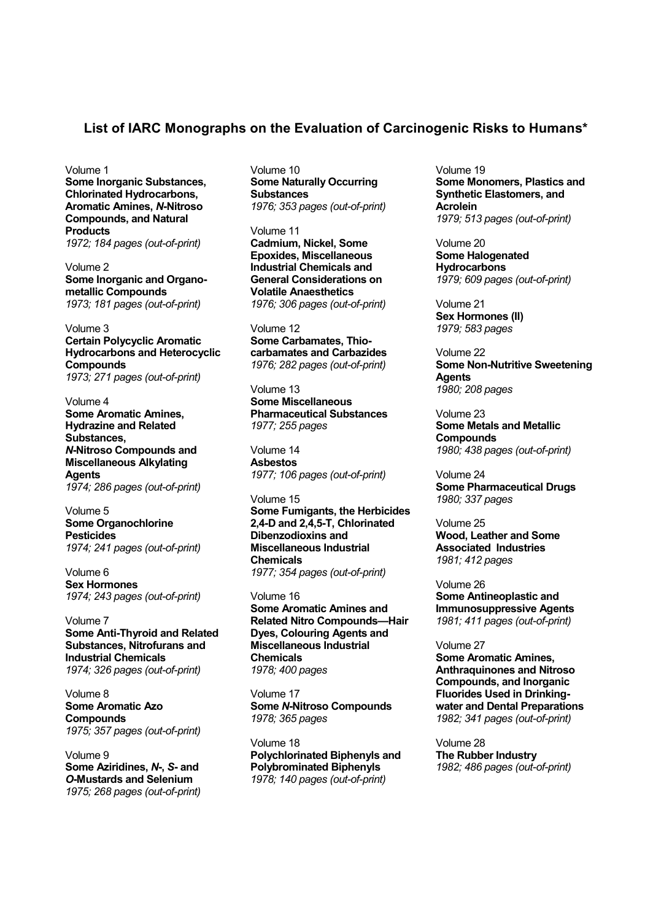### **List of IARC Monographs on the Evaluation of Carcinogenic Risks to Humans\***

Volume 1

**Some Inorganic Substances, Chlorinated Hydrocarbons, Aromatic Amines,** *N***-Nitroso Compounds, and Natural Products**  *1972; 184 pages (out-of-print)* 

Volume 2 **Some Inorganic and Organometallic Compounds**  *1973; 181 pages (out-of-print)* 

Volume 3 **Certain Polycyclic Aromatic Hydrocarbons and Heterocyclic Compounds**  *1973; 271 pages (out-of-print)* 

Volume 4 **Some Aromatic Amines, Hydrazine and Related Substances,**  *N***-Nitroso Compounds and Miscellaneous Alkylating Agents**  *1974; 286 pages (out-of-print)* 

Volume 5 **Some Organochlorine Pesticides**  *1974; 241 pages (out-of-print)* 

Volume 6 **Sex Hormones**  *1974; 243 pages (out-of-print)* 

Volume 7 **Some Anti-Thyroid and Related Substances, Nitrofurans and Industrial Chemicals**  *1974; 326 pages (out-of-print)* 

Volume 8 **Some Aromatic Azo Compounds**  *1975; 357 pages (out-of-print)* 

Volume 9 **Some Aziridines,** *N***-,** *S***- and**  *O***-Mustards and Selenium**  *1975; 268 pages (out-of-print)* Volume 10 **Some Naturally Occurring Substances**  *1976; 353 pages (out-of-print)* 

Volume 11 **Cadmium, Nickel, Some Epoxides, Miscellaneous Industrial Chemicals and General Considerations on Volatile Anaesthetics**  *1976; 306 pages (out-of-print)* 

Volume 12 **Some Carbamates, Thiocarbamates and Carbazides**  *1976; 282 pages (out-of-print)* 

Volume 13 **Some Miscellaneous Pharmaceutical Substances**  *1977; 255 pages* 

Volume 14 **Asbestos**  *1977; 106 pages (out-of-print)* 

Volume 15 **Some Fumigants, the Herbicides 2,4-D and 2,4,5-T, Chlorinated Dibenzodioxins and Miscellaneous Industrial Chemicals**  *1977; 354 pages (out-of-print)* 

Volume 16 **Some Aromatic Amines and Related Nitro Compounds—Hair Dyes, Colouring Agents and Miscellaneous Industrial Chemicals**  *1978; 400 pages* 

Volume 17 **Some** *N***-Nitroso Compounds**  *1978; 365 pages* 

Volume 18 **Polychlorinated Biphenyls and Polybrominated Biphenyls**  *1978; 140 pages (out-of-print)*

Volume 19 **Some Monomers, Plastics and Synthetic Elastomers, and Acrolein**  *1979; 513 pages (out-of-print)* 

Volume 20 **Some Halogenated Hydrocarbons**  *1979; 609 pages (out-of-print)* 

Volume 21 **Sex Hormones (II)**  *1979; 583 pages* 

Volume 22 **Some Non-Nutritive Sweetening Agents**  *1980; 208 pages* 

Volume 23 **Some Metals and Metallic Compounds**  *1980; 438 pages (out-of-print)* 

Volume 24 **Some Pharmaceutical Drugs**  *1980; 337 pages* 

Volume 25 **Wood, Leather and Some Associated Industries**  *1981; 412 pages* 

Volume 26 **Some Antineoplastic and Immunosuppressive Agents**  *1981; 411 pages (out-of-print)* 

Volume 27 **Some Aromatic Amines, Anthraquinones and Nitroso Compounds, and Inorganic Fluorides Used in Drinkingwater and Dental Preparations**  *1982; 341 pages (out-of-print)* 

Volume 28 **The Rubber Industry**  *1982; 486 pages (out-of-print)*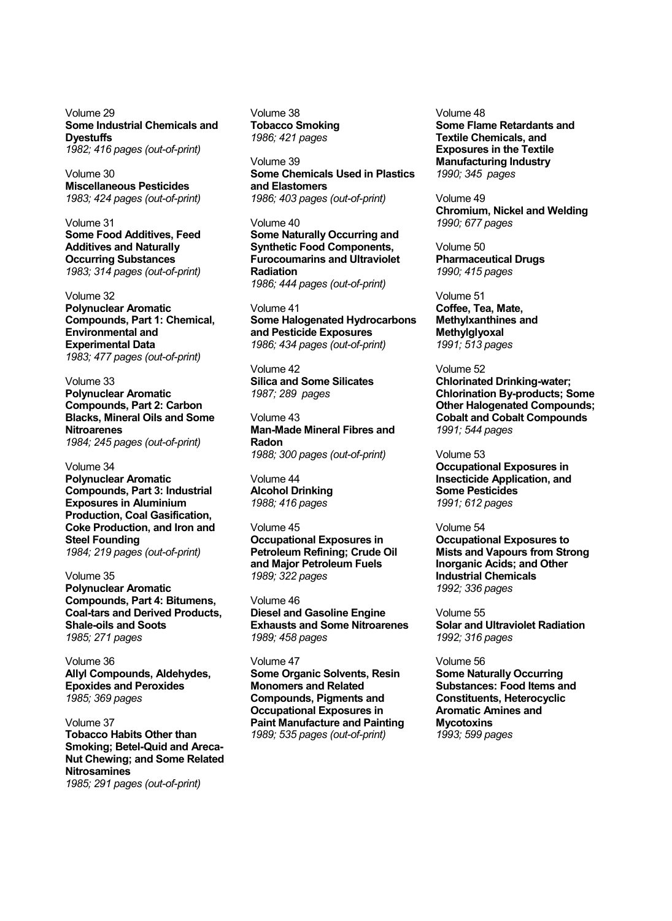Volume 29 **Some Industrial Chemicals and Dyestuffs**  *1982; 416 pages (out-of-print)* 

Volume 30 **Miscellaneous Pesticides**  *1983; 424 pages (out-of-print)* 

Volume 31 **Some Food Additives, Feed Additives and Naturally Occurring Substances**  *1983; 314 pages (out-of-print)* 

Volume 32 **Polynuclear Aromatic Compounds, Part 1: Chemical, Environmental and Experimental Data**  *1983; 477 pages (out-of-print)* 

Volume 33 **Polynuclear Aromatic Compounds, Part 2: Carbon Blacks, Mineral Oils and Some Nitroarenes**  *1984; 245 pages (out-of-print)* 

Volume 34 **Polynuclear Aromatic Compounds, Part 3: Industrial Exposures in Aluminium Production, Coal Gasification, Coke Production, and Iron and Steel Founding**  *1984; 219 pages (out-of-print)* 

Volume 35 **Polynuclear Aromatic Compounds, Part 4: Bitumens, Coal-tars and Derived Products, Shale-oils and Soots**  *1985; 271 pages* 

Volume 36 **Allyl Compounds, Aldehydes, Epoxides and Peroxides**  *1985; 369 pages* 

Volume 37 **Tobacco Habits Other than Smoking; Betel-Quid and Areca-Nut Chewing; and Some Related Nitrosamines**  *1985; 291 pages (out-of-print)*

Volume 38 **Tobacco Smoking**  *1986; 421 pages* 

Volume 39 **Some Chemicals Used in Plastics and Elastomers**  *1986; 403 pages (out-of-print)* 

Volume 40 **Some Naturally Occurring and Synthetic Food Components, Furocoumarins and Ultraviolet Radiation**  *1986; 444 pages (out-of-print)* 

Volume 41 **Some Halogenated Hydrocarbons** 

**and Pesticide Exposures**  *1986; 434 pages (out-of-print)* 

Volume 42 **Silica and Some Silicates**  *1987; 289 pages* 

Volume 43 **Man-Made Mineral Fibres and Radon**  *1988; 300 pages (out-of-print)* 

Volume 44 **Alcohol Drinking**  *1988; 416 pages* 

Volume 45 **Occupational Exposures in Petroleum Refining; Crude Oil and Major Petroleum Fuels**  *1989; 322 pages* 

Volume 46 **Diesel and Gasoline Engine Exhausts and Some Nitroarenes**  *1989; 458 pages* 

Volume 47 **Some Organic Solvents, Resin Monomers and Related Compounds, Pigments and Occupational Exposures in Paint Manufacture and Painting**  *1989; 535 pages (out-of-print)*

Volume 48 **Some Flame Retardants and Textile Chemicals, and Exposures in the Textile Manufacturing Industry**  *1990; 345 pages* 

Volume 49 **Chromium, Nickel and Welding**  *1990; 677 pages* 

Volume 50 **Pharmaceutical Drugs**  *1990; 415 pages* 

Volume 51 **Coffee, Tea, Mate, Methylxanthines and Methylglyoxal**  *1991; 513 pages* 

Volume 52 **Chlorinated Drinking-water; Chlorination By-products; Some Other Halogenated Compounds; Cobalt and Cobalt Compounds**  *1991; 544 pages* 

Volume 53 **Occupational Exposures in Insecticide Application, and Some Pesticides**  *1991; 612 pages* 

Volume 54 **Occupational Exposures to Mists and Vapours from Strong Inorganic Acids; and Other Industrial Chemicals**  *1992; 336 pages* 

Volume 55 **Solar and Ultraviolet Radiation**  *1992; 316 pages* 

Volume 56 **Some Naturally Occurring Substances: Food Items and Constituents, Heterocyclic Aromatic Amines and Mycotoxins**  *1993; 599 pages*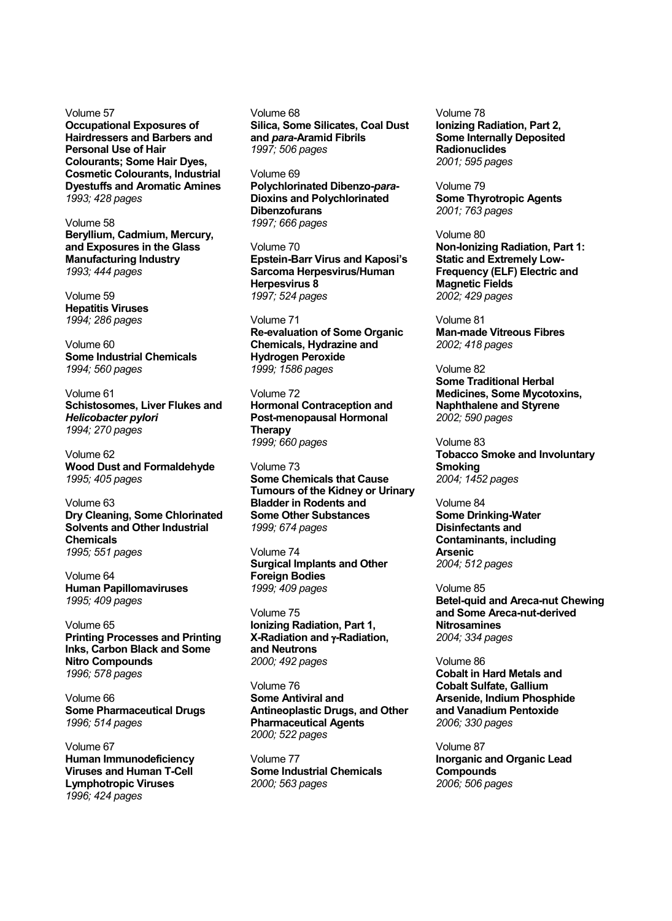Volume 57 **Occupational Exposures of Hairdressers and Barbers and Personal Use of Hair Colourants; Some Hair Dyes, Cosmetic Colourants, Industrial Dyestuffs and Aromatic Amines**  *1993; 428 pages* 

Volume 58 **Beryllium, Cadmium, Mercury, and Exposures in the Glass Manufacturing Industry**  *1993; 444 pages* 

Volume 59 **Hepatitis Viruses**  *1994; 286 pages* 

Volume 60 **Some Industrial Chemicals**  *1994; 560 pages* 

Volume 61 **Schistosomes, Liver Flukes and**  *Helicobacter pylori 1994; 270 pages* 

Volume 62 **Wood Dust and Formaldehyde**  *1995; 405 pages* 

Volume 63 **Dry Cleaning, Some Chlorinated Solvents and Other Industrial Chemicals**  *1995; 551 pages* 

Volume 64 **Human Papillomaviruses**  *1995; 409 pages* 

Volume 65 **Printing Processes and Printing Inks, Carbon Black and Some Nitro Compounds**  *1996; 578 pages* 

Volume 66 **Some Pharmaceutical Drugs**  *1996; 514 pages* 

Volume 67 **Human Immunodeficiency Viruses and Human T-Cell Lymphotropic Viruses**  *1996; 424 pages*

Volume 68 **Silica, Some Silicates, Coal Dust and** *para***-Aramid Fibrils**  *1997; 506 pages* 

Volume 69 **Polychlorinated Dibenzo-***para***-Dioxins and Polychlorinated Dibenzofurans**  *1997; 666 pages* 

Volume 70 **Epstein-Barr Virus and Kaposi's Sarcoma Herpesvirus/Human Herpesvirus 8**  *1997; 524 pages* 

Volume 71 **Re-evaluation of Some Organic Chemicals, Hydrazine and Hydrogen Peroxide**  *1999; 1586 pages* 

Volume 72 **Hormonal Contraception and Post-menopausal Hormonal Therapy**  *1999; 660 pages* 

Volume 73 **Some Chemicals that Cause Tumours of the Kidney or Urinary Bladder in Rodents and Some Other Substances**  *1999; 674 pages* 

Volume 74 **Surgical Implants and Other Foreign Bodies**  *1999; 409 pages* 

Volume 75 **Ionizing Radiation, Part 1, X-Radiation and** γ**-Radiation, and Neutrons** *2000; 492 pages* 

Volume 76 **Some Antiviral and Antineoplastic Drugs, and Other Pharmaceutical Agents**  *2000; 522 pages* 

Volume 77 **Some Industrial Chemicals**  *2000; 563 pages*

Volume 78 **Ionizing Radiation, Part 2, Some Internally Deposited Radionuclides**  *2001; 595 pages* 

Volume 79 **Some Thyrotropic Agents**  *2001; 763 pages* 

Volume 80 **Non-Ionizing Radiation, Part 1: Static and Extremely Low-Frequency (ELF) Electric and Magnetic Fields**  *2002; 429 pages* 

Volume 81 **Man-made Vitreous Fibres**  *2002; 418 pages* 

Volume 82 **Some Traditional Herbal Medicines, Some Mycotoxins, Naphthalene and Styrene**  *2002; 590 pages* 

Volume 83 **Tobacco Smoke and Involuntary Smoking**  *2004; 1452 pages* 

Volume 84 **Some Drinking-Water Disinfectants and Contaminants, including Arsenic**  *2004; 512 pages* 

Volume 85 **Betel-quid and Areca-nut Chewing and Some Areca-nut-derived Nitrosamines**  *2004; 334 pages* 

Volume 86 **Cobalt in Hard Metals and Cobalt Sulfate, Gallium Arsenide, Indium Phosphide and Vanadium Pentoxide**  *2006; 330 pages* 

Volume 87 **Inorganic and Organic Lead Compounds**  *2006; 506 pages*